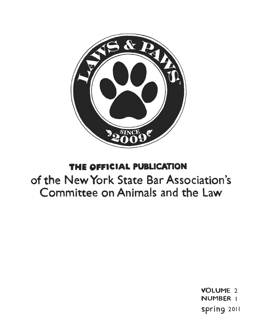

# **THE** OFFICIAL PUBLICATION

# of the New York State Bar Association's Committee on Animals and the law

VOLUME 2 NUMBER I spring 2011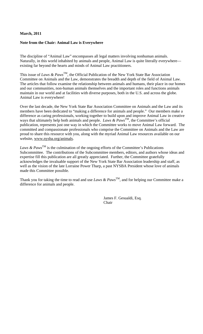# **March, 2011**

# **Note from the Chair: Animal Law is Everywhere**

The discipline of "Animal Law" encompasses all legal matters involving nonhuman animals. Naturally, in this world inhabited by animals and people, Animal Law is quite literally everywhere existing far beyond the hearts and minds of Animal Law practitioners.

This issue of *Laws & Paws*<sup>TM</sup>, the Official Publication of the New York State Bar Association Committee on Animals and the Law, demonstrates the breadth and depth of the field of Animal Law. The articles that follow examine the relationship between animals and humans, their place in our homes and our communities, non-human animals themselves and the important roles and functions animals maintain in our world and at facilities with diverse purposes, both in the U.S. and across the globe. Animal Law is everywhere!

Over the last decade, the New York State Bar Association Committee on Animals and the Law and its members have been dedicated to "making a difference for animals and people." Our members make a difference as caring professionals, working together to build upon and improve Animal Law in creative ways that ultimately help both animals and people. *Laws & Paws*<sup>TM</sup>, the Committee's official publication, represents just one way in which the Committee works to move Animal Law forward. The committed and compassionate professionals who comprise the Committee on Animals and the Law are proud to share this resource with you, along with the myriad Animal Law resources available on our website, www.nysba.org/animals.

*Laws & Paws*<sup>TM</sup> is the culmination of the ongoing efforts of the Committee's Publications Subcommittee. The contributions of the Subcommittee members, editors, and authors whose ideas and expertise fill this publication are all greatly appreciated. Further, the Committee gratefully acknowledges the invaluable support of the New York State Bar Association leadership and staff, as well as the vision of the late Lorraine Power Tharp, a past NYSBA President whose love of animals made this Committee possible.

Thank you for taking the time to read and use *Laws & Paws*<sup>TM</sup>, and for helping our Committee make a difference for animals and people.

> James F. Gesualdi, Esq. Chair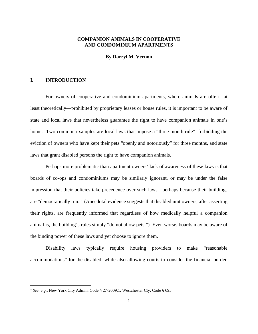# **COMPANION ANIMALS IN COOPERATIVE AND CONDOMINIUM APARTMENTS**

#### **By Darryl M. Vernon**

# **I. INTRODUCTION**

 $\overline{a}$ 

For owners of cooperative and condominium apartments, where animals are often—at least theoretically—prohibited by proprietary leases or house rules, it is important to be aware of state and local laws that nevertheless guarantee the right to have companion animals in one's home. Two common examples are local laws that impose a "three-month rule" forbidding the eviction of owners who have kept their pets "openly and notoriously" for three months, and state laws that grant disabled persons the right to have companion animals.

Perhaps more problematic than apartment owners' lack of awareness of these laws is that boards of co-ops and condominiums may be similarly ignorant, or may be under the false impression that their policies take precedence over such laws—perhaps because their buildings are "democratically run." (Anecdotal evidence suggests that disabled unit owners, after asserting their rights, are frequently informed that regardless of how medically helpful a companion animal is, the building's rules simply "do not allow pets.") Even worse, boards may be aware of the binding power of these laws and yet choose to ignore them.

Disability laws typically require housing providers to make "reasonable accommodations" for the disabled, while also allowing courts to consider the financial burden

<sup>&</sup>lt;sup>1</sup> See, e.g., New York City Admin. Code § 27-2009.1; Westchester Cty. Code § 695.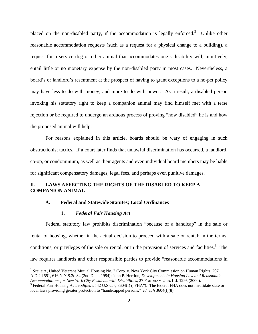placed on the non-disabled party, if the accommodation is legally enforced.<sup>2</sup> Unlike other reasonable accommodation requests (such as a request for a physical change to a building), a request for a service dog or other animal that accommodates one's disability will, intuitively, entail little or no monetary expense by the non-disabled party in most cases. Nevertheless, a board's or landlord's resentment at the prospect of having to grant exceptions to a no-pet policy may have less to do with money, and more to do with power. As a result, a disabled person invoking his statutory right to keep a companion animal may find himself met with a terse rejection or be required to undergo an arduous process of proving "how disabled" he is and how the proposed animal will help.

For reasons explained in this article, boards should be wary of engaging in such obstructionist tactics. If a court later finds that unlawful discrimination has occurred, a landlord, co-op, or condominium, as well as their agents and even individual board members may be liable for significant compensatory damages, legal fees, and perhaps even punitive damages.

# **II. LAWS AFFECTING THE RIGHTS OF THE DISABLED TO KEEP A COMPANION ANIMAL**

#### **A. Federal and Statewide Statutes; Local Ordinances**

# **1.** *Federal Fair Housing Act*

1

Federal statutory law prohibits discrimination "because of a handicap" in the sale or rental of housing, whether in the actual decision to proceed with a sale or rental; in the terms, conditions, or privileges of the sale or rental; or in the provision of services and facilities.<sup>3</sup> The law requires landlords and other responsible parties to provide "reasonable accommodations in

<sup>&</sup>lt;sup>2</sup> See, e.g., United Veterans Mutual Housing No. 2 Corp. v. New York City Commission on Human Rights, 207 A.D.2d 551, 616 N.Y.S.2d 84 (2nd Dept. 1994); John P. Herrion, *Developments in Housing Law and Reasonable Accommodations for New York City Residents with Disabilities,* 27 FORDHAM URB. L.J. 1295 (2000). 3

Federal Fair Housing Act, *codified at* 42 U.S.C. § 3604(f) ("FHA"). The federal FHA does not invalidate state or local laws providing greater protection to "handicapped persons." *Id.* at § 3604(f)(8).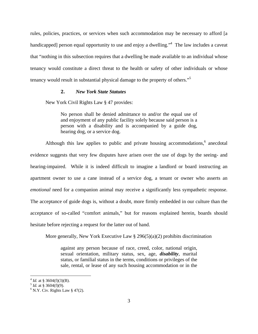rules, policies, practices, or services when such accommodation may be necessary to afford [a handicapped] person equal opportunity to use and enjoy a dwelling."<sup>4</sup> The law includes a caveat that "nothing in this subsection requires that a dwelling be made available to an individual whose tenancy would constitute a direct threat to the health or safety of other individuals or whose tenancy would result in substantial physical damage to the property of others."5

# **2.** *New York State Statutes*

New York Civil Rights Law § 47 provides:

No person shall be denied admittance to and/or the equal use of and enjoyment of any public facility solely because said person is a person with a disability and is accompanied by a guide dog, hearing dog, or a service dog.

Although this law applies to public and private housing accommodations, $6$  anecdotal evidence suggests that very few disputes have arisen over the use of dogs by the seeing- and hearing-impaired. While it is indeed difficult to imagine a landlord or board instructing an apartment owner to use a cane instead of a service dog, a tenant or owner who asserts an *emotional* need for a companion animal may receive a significantly less sympathetic response. The acceptance of guide dogs is, without a doubt, more firmly embedded in our culture than the acceptance of so-called "comfort animals," but for reasons explained herein, boards should hesitate before rejecting a request for the latter out of hand.

More generally, New York Executive Law  $\S 296(5)(a)(2)$  prohibits discrimination

against any person because of race, creed, color, national origin, sexual orientation, military status, sex, age, *disability*, marital status, or familial status in the terms, conditions or privileges of the sale, rental, or lease of any such housing accommodation or in the

 $\overline{a}$ 

 $^{4}$  *Id.* at § 3604(f)(3)(B).<br><sup>5</sup> *Id.* at § 3604(f)(9).

 $6$  N.Y. Civ. Rights Law § 47(2).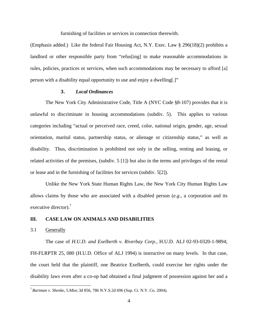furnishing of facilities or services in connection therewith.

(Emphasis added.) Like the federal Fair Housing Act, N.Y. Exec. Law § 296(18)(2) prohibits a landlord or other responsible party from "refus[ing] to make reasonable accommodations in rules, policies, practices or services, when such accommodations may be necessary to afford [a] person with a disability equal opportunity to use and enjoy a dwelling[.]"

# **3.** *Local Ordinances*

The New York City Administrative Code, Title A (NYC Code §8-107) provides that it is unlawful to discriminate in housing accommodations (subdiv. 5). This applies to various categories including "actual or perceived race, creed, color, national origin, gender, age, sexual orientation, marital status, partnership status, or alienage or citizenship status," as well as disability. Thus, discrimination is prohibited not only in the selling, renting and leasing, or related activities of the premises, (subdiv. 5 [1]) but also in the terms and privileges of the rental or lease and in the furnishing of facilities for services (subdiv. 5[2]).

Unlike the New York State Human Rights Law, the New York City Human Rights Law allows claims by those who are associated with a disabled person (*e.g.*, a corporation and its executive director).<sup>7</sup>

# **III. CASE LAW ON ANIMALS AND DISABILITIES**

3.1 Generally

 $\overline{a}$ 

The case of *H.U.D. and Exelberth v. Riverbay Corp.*, H.U.D. ALJ 02-93-0320-1-9894; FH-FLRPTR 25, 080 (H.U.D. Office of ALJ 1994) is instructive on many levels. In that case, the court held that the plaintiff, one Beatrice Exelberth, could exercise her rights under the disability laws even after a co-op had obtained a final judgment of possession against her and a

<sup>7</sup>*Bartman v. Shenke*, 5.Misc.3d 856, 786 N.Y.S.2d 696 (Sup. Ct. N.Y. Co. 2004).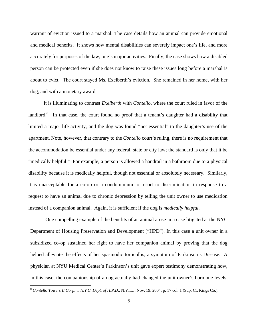warrant of eviction issued to a marshal. The case details how an animal can provide emotional and medical benefits. It shows how mental disabilities can severely impact one's life, and more accurately for purposes of the law, one's major activities. Finally, the case shows how a disabled person can be protected even if she does not know to raise these issues long before a marshal is about to evict. The court stayed Ms. Exelberth's eviction. She remained in her home, with her dog, and with a monetary award.

It is illuminating to contrast *Exelberth* with *Contello*, where the court ruled in favor of the landlord.<sup>8</sup> In that case, the court found no proof that a tenant's daughter had a disability that limited a major life activity, and the dog was found "not essential" to the daughter's use of the apartment. Note, however, that contrary to the *Contello* court's ruling, there is no requirement that the accommodation be essential under any federal, state or city law; the standard is only that it be "medically helpful." For example, a person is allowed a handrail in a bathroom due to a physical disability because it is medically helpful, though not essential or absolutely necessary. Similarly, it is unacceptable for a co-op or a condominium to resort to discrimination in response to a request to have an animal due to chronic depression by telling the unit owner to use medication instead of a companion animal. Again, it is sufficient if the dog is *medically helpful*.

One compelling example of the benefits of an animal arose in a case litigated at the NYC Department of Housing Preservation and Development ("HPD"). In this case a unit owner in a subsidized co-op sustained her right to have her companion animal by proving that the dog helped alleviate the effects of her spasmodic torticollis, a symptom of Parkinson's Disease. A physician at NYU Medical Center's Parkinson's unit gave expert testimony demonstrating how, in this case, the companionship of a dog actually had changed the unit owner's hormone levels,

<sup>8</sup> *Contello Towers II Corp. v. N.Y.C. Dept. of H.P.D.*, N.Y.L.J. Nov. 19, 2004, p. 17 col. 1 (Sup. Ct. Kings Co.).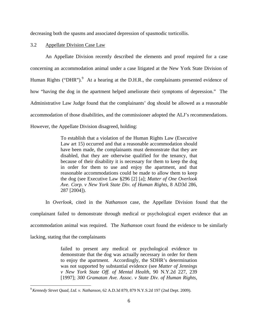decreasing both the spasms and associated depression of spasmodic torticollis.

# 3.2 Appellate Division Case Law

An Appellate Division recently described the elements and proof required for a case concerning an accommodation animal under a case litigated at the New York State Division of Human Rights ("DHR"). $9$  At a hearing at the D.H.R., the complainants presented evidence of how "having the dog in the apartment helped ameliorate their symptoms of depression." The Administrative Law Judge found that the complainants' dog should be allowed as a reasonable accommodation of those disabilities, and the commissioner adopted the ALJ's recommendations. However, the Appellate Division disagreed, holding:

> To establish that a violation of the Human Rights Law (Executive Law art 15) occurred and that a reasonable accommodation should have been made, the complainants must demonstrate that they are disabled, that they are otherwise qualified for the tenancy, that because of their disability it is necessary for them to keep the dog in order for them to use and enjoy the apartment, and that reasonable accommodations could be made to allow them to keep the dog (see Executive Law §296 [2] [a]; *Matter of One Overlook Ave. Corp. v New York State Div. of Human Rights*, 8 AD3d 286, 287 [2004]).

In *Overlook*, cited in the *Nathanson* case, the Appellate Division found that the complainant failed to demonstrate through medical or psychological expert evidence that an accommodation animal was required. The *Nathanson* court found the evidence to be similarly lacking, stating that the complainants

> failed to present any medical or psychological evidence to demonstrate that the dog was actually necessary in order for them to enjoy the apartment. Accordingly, the SDHR's determination was not supported by substantial evidence (see *Matter of Jennings v New York State Off. of Mental Health*, 90 N.Y.2d 227, 239 [1997]; *300 Gramatan Ave. Assoc. v State Div. of Human Rights*,

 $\overline{a}$ 

<sup>9</sup>*Kennedy Street Quad, Ltd. v. Nathanson*, 62 A.D.3d 879, 879 N.Y.S.2d 197 (2nd Dept. 2009).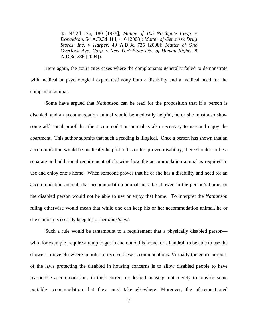45 NY2d 176, 180 [1978]; *Matter of 105 Northgate Coop. v Donaldson*, 54 A.D.3d 414, 416 [2008]; *Matter of Genovese Drug Stores, Inc. v Harper*, 49 A.D.3d 735 [2008]; *Matter of One Overlook Ave. Corp. v New York State Div. of Human Rights*, 8 A.D.3d 286 [2004]).

Here again, the court cites cases where the complainants generally failed to demonstrate with medical or psychological expert testimony both a disability and a medical need for the companion animal.

Some have argued that *Nathanson* can be read for the proposition that if a person is disabled, and an accommodation animal would be medically helpful, he or she must also show some additional proof that the accommodation animal is also necessary to use and enjoy the apartment. This author submits that such a reading is illogical. Once a person has shown that an accommodation would be medically helpful to his or her proved disability, there should not be a separate and additional requirement of showing how the accommodation animal is required to use and enjoy one's home. When someone proves that he or she has a disability and need for an accommodation animal, that accommodation animal must be allowed in the person's home, or the disabled person would not be able to use or enjoy that home. To interpret the *Nathanson* ruling otherwise would mean that while one can keep his or her accommodation animal, he or she cannot necessarily keep his or her *apartment*.

Such a rule would be tantamount to a requirement that a physically disabled person who, for example, require a ramp to get in and out of his home, or a handrail to be able to use the shower—move elsewhere in order to receive these accommodations. Virtually the entire purpose of the laws protecting the disabled in housing concerns is to allow disabled people to have reasonable accommodations in their current or desired housing, not merely to provide some portable accommodation that they must take elsewhere. Moreover, the aforementioned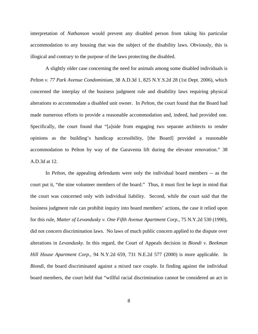interpretation of *Nathanson* would prevent any disabled person from taking his particular accommodation to any housing that was the subject of the disability laws. Obviously, this is illogical and contrary to the purpose of the laws protecting the disabled.

A slightly older case concerning the need for animals among some disabled individuals is *Pelton v. 77 Park Avenue Condominium*, 38 A.D.3d 1, 825 N.Y.S.2d 28 (1st Dept. 2006), which concerned the interplay of the business judgment rule and disability laws requiring physical alterations to accommodate a disabled unit owner. In *Pelton*, the court found that the Board had made numerous efforts to provide a reasonable accommodation and, indeed, had provided one. Specifically, the court found that "[a]side from engaging two separate architects to render opinions as the building's handicap accessibility, [the Board] provided a reasonable accommodation to Pelton by way of the Garaventa lift during the elevator renovation." 38 A.D.3d at 12.

In *Pelton*, the appealing defendants were only the individual board members -- as the court put it, "the nine volunteer members of the board." Thus, it must first be kept in mind that the court was concerned only with individual liability. Second, while the court said that the business judgment rule can prohibit inquiry into board members' actions, the case it relied upon for this rule, *Matter of Levandusky v. One Fifth Avenue Apartment Corp.*, 75 N.Y.2d 530 (1990), did not concern discrimination laws. No laws of much public concern applied to the dispute over alterations in *Levandusky.* In this regard, the Court of Appeals decision in *Biondi v. Beekman Hill House Apartment Corp.*, 94 N.Y.2d 659, 731 N.E.2d 577 (2000) is more applicable. In *Biondi*, the board discriminated against a mixed race couple. In finding against the individual board members, the court held that "willful racial discrimination cannot be considered an act in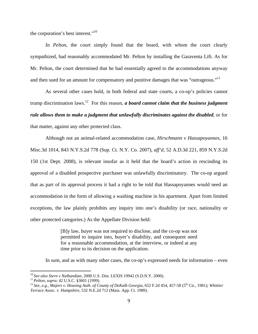the corporation's best interest."<sup>10</sup>

In *Pelton*, the court simply found that the board, with whom the court clearly sympathized, had reasonably accommodated Mr. Pelton by installing the Garaventa Lift. As for Mr. Pelton, the court determined that he had essentially agreed to the accommodations anyway and then sued for an amount for compensatory and punitive damages that was "outrageous."<sup>11</sup>

As several other cases hold, in both federal and state courts, a co-op's policies cannot trump discrimination laws.12 For this reason, *a board cannot claim that the business judgment rule allows them to make a judgment that unlawfully discriminates against the disabled*, or for that matter, against any other protected class.

Although not an animal-related accommodation case, *Hirschmann v Hassapoyannes,* 16 Misc.3d 1014, 843 N.Y.S.2d 778 (Sup. Ct. N.Y. Co. 2007), *aff'd,* 52 A.D.3d 221, 859 N.Y.S.2d 150 (1st Dept. 2008), is relevant insofar as it held that the board's action in rescinding its approval of a disabled prospective purchaser was unlawfully discriminatory. The co-op argued that as part of its approval process it had a right to be told that Hassapoyannes would need an accommodation in the form of allowing a washing machine in his apartment. Apart from limited exceptions, the law plainly prohibits any inquiry into one's disability (or race, nationality or other protected categories.) As the Appellate Division held:

> [B]y law, buyer was not required to disclose, and the co-op was not permitted to inquire into, buyer's disability, and consequent need for a reasonable accommodation, at the interview, or indeed at any time prior to its decision on the application.

In sum, and as with many other cases, the co-op's expressed needs for information – even

<sup>&</sup>lt;sup>10</sup> See also Stern v Nalbandian, 2000 U.S. Dist. LEXIS 19942 (S.D.N.Y. 2000).

<sup>&</sup>lt;sup>11</sup> Pelton, supra; 42 U.S.C. §3601 (1999).<br><sup>12</sup> See, e.g., Majors v. Housing Auth. of County of DeKalb Georgia, 652 F.2d 454, 457-58 (5<sup>th</sup> Cir., 1981); Whittier *Terrace Assoc. v. Hampshire,* 532 N.E.2d 712 (Mass. App. Ct. 1989).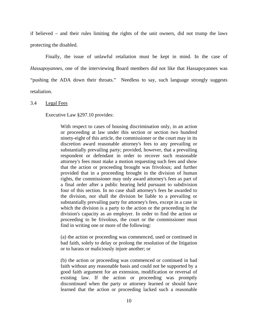if believed – and their rules limiting the rights of the unit owners, did not trump the laws protecting the disabled.

Finally, the issue of unlawful retaliation must be kept in mind. In the case of *Hassapoyannes*, one of the interviewing Board members did not like that Hassapoyannes was "pushing the ADA down their throats." Needless to say, such language strongly suggests retaliation.

3.4 Legal Fees

Executive Law §297.10 provides:

With respect to cases of housing discrimination only, in an action or proceeding at law under this section or section two hundred ninety-eight of this article, the commissioner or the court may in its discretion award reasonable attorney's fees to any prevailing or substantially prevailing party; provided, however, that a prevailing respondent or defendant in order to recover such reasonable attorney's fees must make a motion requesting such fees and show that the action or proceeding brought was frivolous; and further provided that in a proceeding brought in the division of human rights, the commissioner may only award attorney's fees as part of a final order after a public hearing held pursuant to subdivision four of this section. In no case shall attorney's fees be awarded to the division, nor shall the division be liable to a prevailing or substantially prevailing party for attorney's fees, except in a case in which the division is a party to the action or the proceeding in the division's capacity as an employer. In order to find the action or proceeding to be frivolous, the court or the commissioner must find in writing one or more of the following:

(a) the action or proceeding was commenced, used or continued in bad faith, solely to delay or prolong the resolution of the litigation or to harass or maliciously injure another; or

(b) the action or proceeding was commenced or continued in bad faith without any reasonable basis and could not be supported by a good faith argument for an extension, modification or reversal of existing law. If the action or proceeding was promptly discontinued when the party or attorney learned or should have learned that the action or proceeding lacked such a reasonable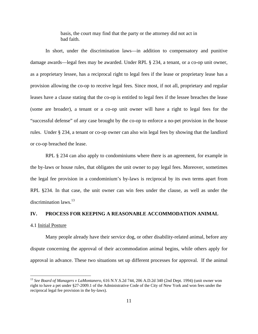basis, the court may find that the party or the attorney did not act in bad faith.

In short, under the discrimination laws—in addition to compensatory and punitive damage awards—legal fees may be awarded. Under RPL § 234, a tenant, or a co-op unit owner, as a proprietary lessee, has a reciprocal right to legal fees if the lease or proprietary lease has a provision allowing the co-op to receive legal fees. Since most, if not all, proprietary and regular leases have a clause stating that the co-op is entitled to legal fees if the lessee breaches the lease (some are broader), a tenant or a co-op unit owner will have a right to legal fees for the "successful defense" of any case brought by the co-op to enforce a no-pet provision in the house rules. Under § 234, a tenant or co-op owner can also win legal fees by showing that the landlord or co-op breached the lease.

RPL § 234 can also apply to condominiums where there is an agreement, for example in the by-laws or house rules, that obligates the unit owner to pay legal fees. Moreover, sometimes the legal fee provision in a condominium's by-laws is reciprocal by its own terms apart from RPL §234. In that case, the unit owner can win fees under the clause, as well as under the discrimination laws. $^{13}$ 

# **IV. PROCESS FOR KEEPING A REASONABLE ACCOMMODATION ANIMAL**

#### 4.1 Initial Posture

 $\overline{a}$ 

Many people already have their service dog, or other disability-related animal, before any dispute concerning the approval of their accommodation animal begins, while others apply for approval in advance. These two situations set up different processes for approval. If the animal

<sup>13</sup> *See Board of Managers v LaMontanero*, 616 N.Y.S.2d 744, 206 A.D.2d 340 (2nd Dept. 1994) (unit owner won right to have a pet under §27-2009.1 of the Administrative Code of the City of New York and won fees under the reciprocal legal fee provision in the by-laws).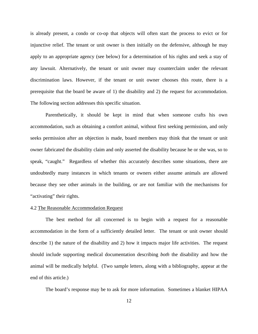is already present, a condo or co-op that objects will often start the process to evict or for injunctive relief. The tenant or unit owner is then initially on the defensive, although he may apply to an appropriate agency (see below) for a determination of his rights and seek a stay of any lawsuit. Alternatively, the tenant or unit owner may counterclaim under the relevant discrimination laws. However, if the tenant or unit owner chooses this route, there is a prerequisite that the board be aware of 1) the disability and 2) the request for accommodation. The following section addresses this specific situation.

Parenthetically, it should be kept in mind that when someone crafts his own accommodation, such as obtaining a comfort animal, without first seeking permission, and only seeks permission after an objection is made, board members may think that the tenant or unit owner fabricated the disability claim and only asserted the disability because he or she was, so to speak, "caught." Regardless of whether this accurately describes some situations, there are undoubtedly many instances in which tenants or owners either assume animals are allowed because they see other animals in the building, or are not familiar with the mechanisms for "activating" their rights.

# 4.2 The Reasonable Accommodation Request

The best method for all concerned is to begin with a request for a reasonable accommodation in the form of a sufficiently detailed letter. The tenant or unit owner should describe 1) the nature of the disability and 2) how it impacts major life activities. The request should include supporting medical documentation describing *both* the disability and how the animal will be medically helpful. (Two sample letters, along with a bibliography, appear at the end of this article.)

The board's response may be to ask for more information. Sometimes a blanket HIPAA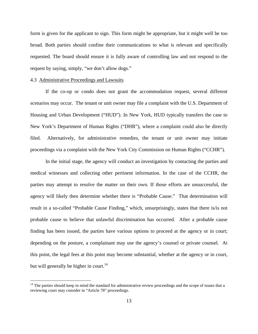form is given for the applicant to sign. This form might be appropriate, but it might well be too broad. Both parties should confine their communications to what is relevant and specifically requested. The board should ensure it is fully aware of controlling law and not respond to the request by saying, simply, "we don't allow dogs."

#### 4.3 Administrative Proceedings and Lawsuits

 $\overline{a}$ 

If the co-op or condo does not grant the accommodation request, several different scenarios may occur. The tenant or unit owner may file a complaint with the U.S. Department of Housing and Urban Development ("HUD"). In New York, HUD typically transfers the case to New York's Department of Human Rights ("DHR"), where a complaint could also be directly filed. Alternatively, for administrative remedies, the tenant or unit owner may initiate proceedings via a complaint with the New York City Commission on Human Rights ("CCHR").

In the initial stage, the agency will conduct an investigation by contacting the parties and medical witnesses and collecting other pertinent information. In the case of the CCHR, the parties may attempt to resolve the matter on their own. If those efforts are unsuccessful, the agency will likely then determine whether there is "Probable Cause." That determination will result in a so-called "Probable Cause Finding," which, unsurprisingly, states that there is/is not probable cause to believe that unlawful discrimination has occurred. After a probable cause finding has been issued, the parties have various options to proceed at the agency or in court; depending on the posture, a complainant may use the agency's counsel or private counsel. At this point, the legal fees at this point may become substantial, whether at the agency or in court, but will generally be higher in court.<sup>14</sup>

 $14$  The parties should keep in mind the standard for administrative review proceedings and the scope of issues that a reviewing court may consider in "Article 78" proceedings.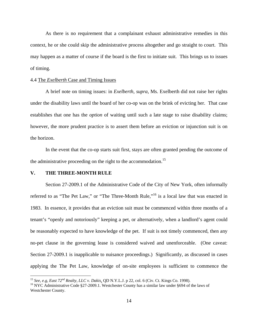As there is no requirement that a complainant exhaust administrative remedies in this context, he or she could skip the administrative process altogether and go straight to court. This may happen as a matter of course if the board is the first to initiate suit. This brings us to issues of timing.

#### 4.4 The *Exelberth* Case and Timing Issues

A brief note on timing issues: in *Exelberth*, *supra*, Ms. Exelberth did not raise her rights under the disability laws until the board of her co-op was on the brink of evicting her. That case establishes that one has the *option* of waiting until such a late stage to raise disability claims; however, the more prudent practice is to assert them before an eviction or injunction suit is on the horizon.

In the event that the co-op starts suit first, stays are often granted pending the outcome of the administrative proceeding on the right to the accommodation.<sup>15</sup>

# **V. THE THREE-MONTH RULE**

 $\overline{a}$ 

Section 27-2009.1 of the Administrative Code of the City of New York, often informally referred to as "The Pet Law," or "The Three-Month Rule,"<sup>16</sup> is a local law that was enacted in 1983. In essence, it provides that an eviction suit must be commenced within three months of a tenant's "openly and notoriously" keeping a pet, or alternatively, when a landlord's agent could be reasonably expected to have knowledge of the pet. If suit is not timely commenced, then any no-pet clause in the governing lease is considered waived and unenforceable. (One caveat: Section 27-2009.1 is inapplicable to nuisance proceedings.) Significantly, as discussed in cases applying the The Pet Law, knowledge of on-site employees is sufficient to commence the

<sup>&</sup>lt;sup>15</sup> See, e.g, East 72<sup>nd</sup> Realty, LLC v. Dakis, QD N.Y.L.J. p 22, col. 6 (Civ. Ct. Kings Co. 1998).<br><sup>16</sup> NYC Administrative Code §27-2009.1. Westchester County has a similar law under §694 of the laws of Westchester County.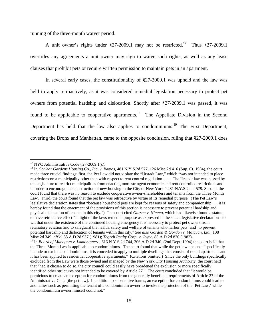running of the three-month waiver period.

A unit owner's rights under  $\S27-2009.1$  may not be restricted.<sup>17</sup> Thus  $\S27-2009.1$ overrides any agreements a unit owner may sign to waive such rights, as well as any lease clauses that prohibit pets or require written permission to maintain pets in an apartment.

 In several early cases, the constitutionality of §27-2009.1 was upheld and the law was held to apply retroactively, as it was considered remedial legislation necessary to protect pet owners from potential hardship and dislocation. Shortly after §27-2009.1 was passed, it was found to be applicable to cooperative apartments.<sup>18</sup> The Appellate Division in the Second Department has held that the law also applies to condominiums.<sup>19</sup> The First Department, covering the Bronx and Manhattan, came to the opposite conclusion, ruling that §27-2009.1 does

<u>.</u>

<sup>&</sup>lt;sup>17</sup> NYC Administrative Code  $\S27-2009.1(c)$ .

<sup>18</sup> In *Corlear Gardens Housing Co., Inc. v. Ramos*, 481 N.Y.S.2d 577, 126 Misc.2d 416 (Sup. Ct. 1984), the court made three crucial findings: first, the Pet Law did not violate the "Urstadt Law," which "was not intended to place restrictions on a municipality other than with respect to rent control regulation . . . . The Urstadt law was passed by the legislature to restrict municipalities from enacting more stringent economic and rent controlled restrictions and in order to encourage the construction of new housing in the City of New York." 481 N.Y.S.2d at 579. Second, the court found that there was no reason to exclude cooperative owner-shareholders and tenants from the Three Month Law. Third, the court found that the pet law was retroactive by virtue of its remedial purpose. (The Pet Law's legislative declaration states that "because household pets are kept for reasons of safety and companionship . . . it is hereby found that the enactment of the provisions of this section is necessary to prevent potential hardship and physical dislocation of tenants in this city.") The court cited *Garsen v. Nimmo*, which had likewise found a statute to have retroactive effect "in light of the laws remedial purpose as expressed in the stated legislative declaration - to wit that under the existence of the continued housing emergency it is necessary to protect pet owners from retaliatory eviction and to safeguard the health, safety and welfare of tenants who harbor pets [and] to prevent potential hardship and dislocation of tenants within this city." *See also Gordon & Gordon v. Matavan, Ltd.*, 108 Misc.2d 349, *aff'd,* 85 A.D.2d 937 (1981); *Tegreh Realty Corp. v. Joyce*, 88 A.D.2d 820 (1982).

<sup>19</sup> In *Board of Managers v. Lamontanero*, 616 N.Y.S.2d 744, 206 A.D.2d 340, (2nd Dept. 1994) the court held that the Three Month Law is applicable to condominiums. The court found that while the pet law does not "specifically include or exclude condominiums, it is conceded to apply to multiple dwellings that consist of rental apartments and it has been applied to residential cooperative apartments." (Citations omitted.) Since the only buildings specifically excluded from the Law were those owned and managed by the New York City Housing Authority, the court held that "had it chosen to do so, the city council could easily have broadened the exclusion or more specifically identified other structures not intended to be covered by Article 27." The court concluded that "it would be pernicious to create an exception for condominiums from the generally beneficial requirements of Article 27 of the Administrative Code [the pet law]. In addition to substantive harms, an exception for condominiums could lead to anomalies such as permitting the tenant of a condominium owner to invoke the protection of the 'Pet Law,' while the condominium owner himself could not."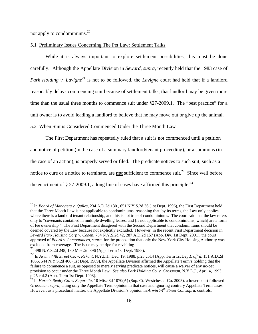not apply to condominiums.<sup>20</sup>

 $\overline{a}$ 

# 5.1 Preliminary Issues Concerning The Pet Law: Settlement Talks

While it is always important to explore settlement possibilities, this must be done carefully. Although the Appellate Division in *Seward*, *supra*, recently held that the 1983 case of *Park Holding v. Lavigne*<sup>21</sup> is not to be followed, the *Lavigne* court had held that if a landlord reasonably delays commencing suit because of settlement talks, that landlord may be given more time than the usual three months to commence suit under §27-2009.1. The "best practice" for a unit owner is to avoid leading a landlord to believe that he may move out or give up the animal.

#### 5.2 When Suit is Considered Commenced Under the Three Month Law

The First Department has repeatedly ruled that a suit is not commenced until a petition and notice of petition (in the case of a summary landlord/tenant proceeding), or a summons (in the case of an action), is properly served or filed. The predicate notices to such suit, such as a notice to cure or a notice to terminate, are *not* sufficient to commence suit.<sup>22</sup> Since well before the enactment of  $\S 27-2009.1$ , a long line of cases have affirmed this principle.<sup>23</sup>

<sup>20</sup> In *Board of Managers v. Quiles*, 234 A.D.2d 130 , 651 N.Y.S.2d 36 (1st Dept. 1996), the First Department held that the Three Month Law is not applicable to condominiums, reasoning that, by its terms, the Law only applies where there is a landlord tenant relationship, and this is not true of condominiums. The court said that the law refers only to "covenants contained in multiple dwelling leases, and [is not applicable to condominiums, which] are a form of fee ownership." The First Department disagreed with the Second Department that condominiums should be deemed covered by the Law because not explicitly excluded. However, in the recent First Department decision in *Seward Park Housing Corp v. Cohen*, 734 N.Y.S.2d 42, 287 A.D.2d 157 (App. Div. 1st Dept. 2001), the court approved of *Board v. Lamontanero*, *supra*, for the proposition that only the New York City Housing Authority was excluded from coverage. The issue may be ripe for revisiting.

<sup>21 498</sup> N.Y.S.2d 248, 130 Misc.2d 396 (App. Term 1st Dept. 1985).

<sup>22</sup> In *Arwin 74th Street Co. v. Rekant*, N.Y.L.J., Dec, 19, 1988, p.23 col.4 (App. Term 1st Dept), *aff'd*, 151 A.D.2d 1056, 544 N.Y.S.2d 406 (1st Dept. 1989), the Appellate Division affirmed the Appellate Term's holding that the failure to commence a suit, as opposed to merely serving predicate notices, will cause a waiver of any no-pet provision to occur under the Three Month Law. *See also Park Holding Co. v. Grossman*, N.Y.L.J., April 4, 1993, p.25 col.2 (App. Term 1st Dept. 1993).

<sup>23</sup> In *Harmir Realty Co. v. Zagarella*, 10 Misc.3d 1070(A) (Sup. Ct. Westchester Co. 2005), a lower court followed *Grossman*, *supra*, citing only the Appellate Term opinion in that case and ignoring contrary Appellate Term cases. However, as a procedural matter, the Appellate Division's opinion in *Arwin 74th Street Co.*, *supra*, controls.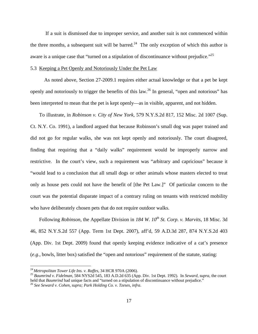If a suit is dismissed due to improper service, and another suit is not commenced within the three months, a subsequent suit will be barred.<sup>24</sup> The only exception of which this author is aware is a unique case that "turned on a stipulation of discontinuance without prejudice."<sup>25</sup>

# 5.3 Keeping a Pet Openly and Notoriously Under the Pet Law

 As noted above, Section 27-2009.1 requires either actual knowledge or that a pet be kept openly and notoriously to trigger the benefits of this law.26 In general, "open and notorious" has been interpreted to mean that the pet is kept openly—as in visible, apparent, and not hidden.

To illustrate, in *Robinson v. City of New York*, 579 N.Y.S.2d 817, 152 Misc. 2d 1007 (Sup. Ct. N.Y. Co. 1991), a landlord argued that because Robinson's small dog was paper trained and did not go for regular walks, she was not kept openly and notoriously. The court disagreed, finding that requiring that a "daily walks" requirement would be improperly narrow and restrictive. In the court's view, such a requirement was "arbitrary and capricious" because it "would lead to a conclusion that all small dogs or other animals whose masters elected to treat only as house pets could not have the benefit of [the Pet Law.]" Of particular concern to the court was the potential disparate impact of a contrary ruling on tenants with restricted mobility who have deliberately chosen pets that do not require outdoor walks.

Following *Robinson*, the Appellate Division in *184 W. 10th St. Corp. v. Marvits*, 18 Misc. 3d 46, 852 N.Y.S.2d 557 (App. Term 1st Dept. 2007), aff'd, 59 A.D.3d 287, 874 N.Y.S.2d 403 (App. Div. 1st Dept. 2009) found that openly keeping evidence indicative of a cat's presence (*e.g.*, bowls, litter box) satisfied the "open and notorious" requirement of the statute, stating:

 $^{24}$  Metropolitan Tower Life Ins. v. Raffes, 34 HCR 970A (2006).

<sup>&</sup>lt;sup>25</sup> Baumrind v. Fidelman, 584 NYS2d 545, 183 A.D.2d 635 (App. Div. 1st Dept. 1992). In *Seward*, *supra*, the court held that *Baumrind* had unique facts and "turned on a stipulation of discontinuance without prejudice." 26 *See Seward v. Cohen*, *supra; Park Holding Co. v. Tzeses*, *infra*.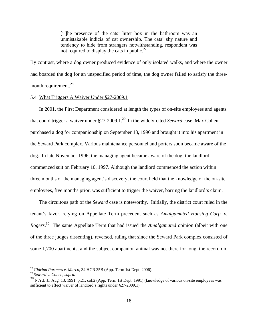[T]he presence of the cats' litter box in the bathroom was an unmistakable indicia of cat ownership. The cats' shy nature and tendency to hide from strangers notwithstanding, respondent was not required to display the cats in public. $27$ 

By contrast, where a dog owner produced evidence of only isolated walks, and where the owner had boarded the dog for an unspecified period of time, the dog owner failed to satisfy the threemonth requirement.<sup>28</sup>

# 5.4 What Triggers A Waiver Under §27-2009.1

In 2001, the First Department considered at length the types of on-site employees and agents that could trigger a waiver under §27-2009.1.29 In the widely-cited *Seward* case, Max Cohen purchased a dog for companionship on September 13, 1996 and brought it into his apartment in the Seward Park complex. Various maintenance personnel and porters soon became aware of the dog. In late November 1996, the managing agent became aware of the dog; the landlord commenced suit on February 10, 1997. Although the landlord commenced the action within three months of the managing agent's discovery, the court held that the knowledge of the on-site employees, five months prior, was sufficient to trigger the waiver, barring the landlord's claim.

The circuitous path of the *Seward* case is noteworthy. Initially, the district court ruled in the tenant's favor, relying on Appellate Term precedent such as *Amalgamated Housing Corp. v. Rogers*. 30 The same Appellate Term that had issued the *Amalgamated* opinion (albeit with one of the three judges dissenting), reversed, ruling that since the Seward Park complex consisted of some 1,700 apartments, and the subject companion animal was not there for long, the record did

<sup>28</sup>*Gidrina Partners v. Marco*, 34 HCR 35B (App. Term 1st Dept. 2006).

<sup>29</sup>*Seward v. Cohen*, *supra.*

<sup>30</sup> N.Y.L.J., Aug. 13, 1991, p.21, col.2 (App. Term 1st Dept. 1991) (knowledge of various on-site employees was sufficient to effect waiver of landlord's rights under §27-2009.1).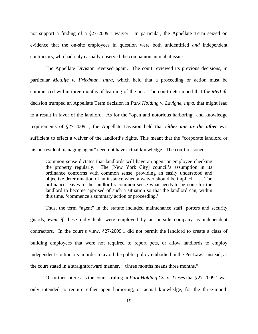not support a finding of a §27-2009.1 waiver. In particular, the Appellate Term seized on evidence that the on-site employees in question were both unidentified *and* independent contractors, who had only casually observed the companion animal at issue.

The Appellate Division reversed again. The court reviewed its previous decisions, in particular *MetLife v. Friedman*, *infra*, which held that a proceeding or action must be commenced within three months of learning of the pet. The court determined that the *MetLife* decision trumped an Appellate Term decision in *Park Holding v. Lavigne*, *infra*, that might lead to a result in favor of the landlord. As for the "open and notorious harboring" and knowledge requirements of §27-2009.1, the Appellate Division held that *either one or the other* was sufficient to effect a waiver of the landlord's rights. This meant that the "corporate landlord or his on-resident managing agent" need not have actual knowledge. The court reasoned:

Common sense dictates that landlords will have an agent or employee checking the property regularly. The [New York City] council's assumption in its ordinance conforms with common sense, providing an easily understood and objective determination of an instance when a waiver should be implied . . . . The ordinance leaves to the landlord's common sense what needs to be done for the landlord to become apprised of such a situation so that the landlord can, within this time, 'commence a summary action or proceeding.'

Thus, the term "agent" in the statute included maintenance staff, porters and security guards, *even if* these individuals were employed by an outside company as independent contractors. In the court's view, §27-2009.1 did not permit the landlord to create a class of building employees that were not required to report pets, or allow landlords to employ independent contractors in order to avoid the public policy embodied in the Pet Law. Instead, as the court stated in a straightforward manner, "[t]hree months means three months."

 Of further interest is the court's ruling in *Park Holding Co. v. Tzeses* that §27-2009.1 was only intended to require either open harboring, or actual knowledge, for the three-month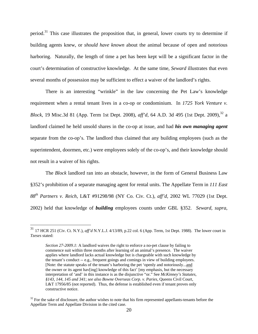period.31 This case illustrates the proposition that, in general, lower courts try to determine if building agents knew, or *should have known* about the animal because of open and notorious harboring. Naturally, the length of time a pet has been kept will be a significant factor in the court's determination of constructive knowledge. At the same time, *Seward* illustrates that even several months of possession may be sufficient to effect a waiver of the landlord's rights.

There is an interesting "wrinkle" in the law concerning the Pet Law's knowledge requirement when a rental tenant lives in a co-op or condominium. In *1725 York Venture v. Block*, 19 Misc.3d 81 (App. Term 1st Dept. 2008), *aff'd*, 64 A.D. 3d 495 (1st Dept. 2009),<sup>32</sup> a landlord claimed he held unsold shares in the co-op at issue, and had *his own managing agent* separate from the co-op's. The landlord thus claimed that any building employees (such as the superintendent, doormen, etc.) were employees solely of the co-op's, and their knowledge should not result in a waiver of his rights.

The *Block* landlord ran into an obstacle, however, in the form of General Business Law §352's prohibition of a separate managing agent for rental units. The Appellate Term in *111 East 88th Partners v. Reich*, L&T #91298/98 (NY Co. Civ. Ct.), *aff'd,* 2002 WL 77029 (1st Dept. 2002) held that knowledge of *building* employees counts under GBL §352. *Seward*, *supra*,

<sup>31</sup> 17 HCR 251 (Civ. Ct. N.Y.), *aff'd* N.Y.L.J. 4/13/89, p.22 col. 6 (App. Term, 1st Dept. 1988). The lower court in *Tzeses* stated:

*Section 27-2009.1*: A landlord waives the right to enforce a no-pet clause by failing to commence suit within three months after learning of an animal's presence. The waiver applies where landlord lacks actual knowledge but is chargeable with such knowledge by the tenant's conduct -- e.g., frequent goings and comings in view of building employees. [Note: the statute speaks of the tenant's harboring the pet 'openly and notoriously...and the owner or its agent hav[ing] knowledge of this fact' [my emphasis, but the necessary interpretation of 'and' in this instance is as the disjunctive "or." See *McKinney's Statutes, §143, 144, 145 and 341*; *see also Bowne Overseas Corp. v. Paries*, Queens Civil Court, L&T 17956/85 (not reported). Thus, the defense is established even if tenant proves only constructive notice.

 $32$  For the sake of disclosure, the author wishes to note that his firm represented appellants-tenants before the Appellate Term and Appellate Division in the cited case.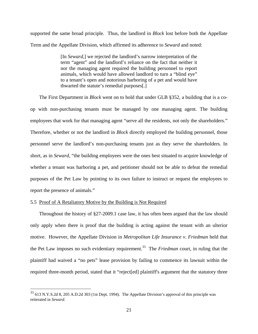supported the same broad principle. Thus, the landlord in *Block* lost before both the Appellate Term and the Appellate Division, which affirmed its adherence to *Seward* and noted:

> [In *Seward*,] we rejected the landlord's narrow interpretation of the term "agent" and the landlord's reliance on the fact that neither it nor the managing agent required the building personnel to report animals, which would have allowed landlord to turn a "blind eye" to a tenant's open and notorious harboring of a pet and would have thwarted the statute's remedial purposes[.]

The First Department in *Block* went on to hold that under GLB §352, a building that is a coop with non-purchasing tenants must be managed by one managing agent. The building employees that work for that managing agent "serve all the residents, not only the shareholders." Therefore, whether or not the landlord in *Block* directly employed the building personnel, those personnel serve the landlord's non-purchasing tenants just as they serve the shareholders. In short, as in *Seward*, "the building employees were the ones best situated to acquire knowledge of whether a tenant was harboring a pet, and petitioner should not be able to defeat the remedial purposes of the Pet Law by pointing to its own failure to instruct or request the employees to report the presence of animals."

# 5.5 Proof of A Retaliatory Motive by the Building is Not Required

 $\overline{a}$ 

Throughout the history of §27-2009.1 case law, it has often been argued that the law should only apply when there is proof that the building is acting against the tenant with an ulterior motive. However, the Appellate Division in *Metropolitan Life Insurance v. Friedman* held that the Pet Law imposes no such evidentiary requirement.<sup>33</sup> The *Friedman* court, in ruling that the plaintiff had waived a "no pets" lease provision by failing to commence its lawsuit within the required three-month period, stated that it "reject[ed] plaintiff's argument that the statutory three

 $33$  613 N.Y.S.2d 8, 205 A.D.2d 303 (1st Dept. 1994). The Appellate Division's approval of this principle was reiterated in *Seward.*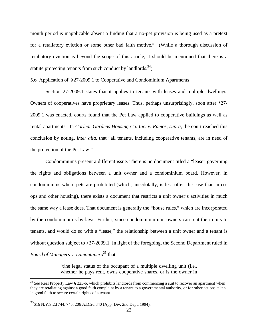month period is inapplicable absent a finding that a no-pet provision is being used as a pretext for a retaliatory eviction or some other bad faith motive." (While a thorough discussion of retaliatory eviction is beyond the scope of this article, it should be mentioned that there is a statute protecting tenants from such conduct by landlords.<sup>34</sup>)

# 5.6 Application of §27-2009.1 to Cooperative and Condominium Apartments

Section 27-2009.1 states that it applies to tenants with leases and multiple dwellings. Owners of cooperatives have proprietary leases. Thus, perhaps unsurprisingly, soon after §27- 2009.1 was enacted, courts found that the Pet Law applied to cooperative buildings as well as rental apartments. In *Corlear Gardens Housing Co. Inc. v. Ramos*, *supra*, the court reached this conclusion by noting, *inter alia*, that "all tenants, including cooperative tenants, are in need of the protection of the Pet Law."

Condominiums present a different issue. There is no document titled a "lease" governing the rights and obligations between a unit owner and a condominium board. However, in condominiums where pets are prohibited (which, anecdotally, is less often the case than in coops and other housing), there exists a document that restricts a unit owner's activities in much the same way a lease does. That document is generally the "house rules," which are incorporated by the condominium's by-laws. Further, since condominium unit owners can rent their units to tenants, and would do so with a "lease," the relationship between a unit owner and a tenant is without question subject to §27-2009.1. In light of the foregoing, the Second Department ruled in *Board of Managers v. Lamontanero*35 that

> [t]he legal status of the occupant of a multiple dwelling unit (i.e., whether he pays rent, owns cooperative shares, or is the owner in

 $\overline{a}$ 

<sup>&</sup>lt;sup>34</sup> See Real Property Law § 223-b, which prohibits landlords from commencing a suit to recover an apartment when they are retaliating against a good faith complaint by a tenant to a governmental authority, or for other actions taken in good faith to secure certain rights of a tenant.

<sup>35616</sup> N.Y.S.2d 744, 745, 206 A.D.2d 340 (App. Div. 2nd Dept. 1994).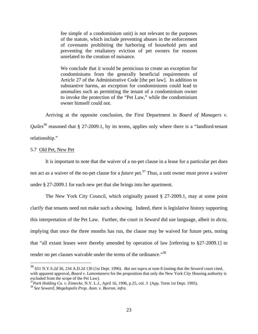fee simple of a condominium unit) is not relevant to the purposes of the statute, which include preventing abuses in the enforcement of covenants prohibiting the harboring of household pets and preventing the retaliatory eviction of pet owners for reasons unrelated to the creation of nuisance.

We conclude that it would be pernicious to create an exception for condominiums from the generally beneficial requirements of Article 27 of the Administrative Code [the pet law]. In addition to substantive harms, an exception for condominiums could lead to anomalies such as permitting the tenant of a condominium owner to invoke the protection of the "Pet Law," while the condominium owner himself could not.

Arriving at the opposite conclusion, the First Department in *Board of Managers v.* 

*Quiles*<sup>36</sup> reasoned that § 27-2009.1, by its terms, applies only where there is a "landlord-tenant" relationship."

#### 5.7 Old Pet, New Pet

 $\overline{a}$ 

It is important to note that the waiver of a no-pet clause in a lease for a particular pet does not act as a waiver of the no-pet clause for a *future* pet.<sup>37</sup> Thus, a unit owner must prove a waiver under § 27-2009.1 for each new pet that she brings into her apartment.

The New York City Council, which originally passed § 27-2009.1, may at some point clarify that tenants need not make such a showing. Indeed, there is legislative history supporting this interpretation of the Pet Law. Further, the court in *Seward* did use language, albeit in *dicta*, implying that once the three months has run, the clause may be waived for future pets, noting that "all extant leases were thereby amended by operation of law [referring to §27-2009.1] to render no pet clauses waivable under the terms of the ordinance."<sup>38</sup>

<sup>36 651</sup> N.Y.S.2d 36, 234 A.D.2d 130 (1st Dept. 1996). *But see supra* at note 8 (noting that the *Seward* court cited, with apparent approval, *Board v. Lamontanero* for the proposition that only the New York City Housing authority is excluded from the scope of the Pet Law).

<sup>37</sup>*Park Holding Co. v. Eimecke*, N.Y. L.J., April 16, 1996, p.25, col. 3 (App. Term 1st Dept. 1995). <sup>38</sup> *See Seward; Megalopolis Prop. Assn. v. Buvron*, *infra*.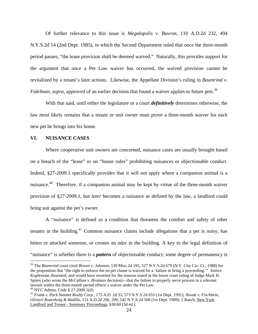Of further relevance to this issue is *Megalopolis v. Buvron*, 110 A.D.2d 232, 494 N.Y.S.2d 14 (2nd Dept. 1985), in which the Second Department ruled that once the three-month period passes, "the lease provision shall be deemed waived." Naturally, this provides support for the argument that once a Pet Law waiver has occurred, the waived provision cannot be revitalized by a tenant's later actions. Likewise, the Appellate Division's ruling in *Baumrind v. Fidelman, supra,* approved of an earlier decision that found a waiver applies to future pets.<sup>39</sup>

With that said, until either the legislature or a court *definitively* determines otherwise, the law most likely remains that a tenant or unit owner must prove a three-month waiver for each new pet he brings into his home.

# **VI. NUISANCE CASES**

 Where cooperative unit owners are concerned, nuisance cases are usually brought based on a breach of the "lease" or on "house rules" prohibiting nuisances or objectionable conduct. Indeed, §27-2009.1 specifically provides that it will not apply where a companion animal is a nuisance.<sup>40</sup> Therefore, if a companion animal may be kept by virtue of the three-month waiver provision of §27-2009.1, but *later* becomes a nuisance as defined by the law, a landlord could bring suit against the pet's owner.

A "nuisance" is defined as a condition that threatens the comfort and safety of other tenants in the building.<sup>41</sup> Common nuisance claims include allegations that a pet is noisy, has bitten or attacked someone, or creates an odor in the building. A key to the legal definition of "nuisance" is whether there is a *pattern* of objectionable conduct; some degree of permanency is

<sup>39</sup> The *Baumrind* court cited *Brown v. Johnson*, 139 Misc.2d 195, 527 N.Y.S.2d 679 (N.Y. City Civ. Ct., 1988) for the proposition that "the right to enforce the no pet clause is waived for a 'failure to bring a proceeding.'" Justice Kupferman dissented, and would have reversed for the reasons stated in the lower court ruling of Judge Mark H. Spires (who wrote the *McCullum v. Brotman* decision)—that the failure to properly serve process in a relevant lawsuit within the three-month period effects a waiver under the Pet Law.

 $^{40}$  NYC Admin. Code § 27-2009.1(d).

<sup>41</sup> *Frank v. Park Summit Realty Corp.*, 175 A.D. 2d 33, 573 N.Y.S.2d 655 (1st Dept. 1991); *Novak v. Fischbein, Olivieri Rozenholg & Badillo*, 151 A.D.2d 296, 299, 542 N.Y.S.2d 568 (1st Dept. 1989); 2 Rasch, New York Landlord and Tenant - Summary Proceedings, §30:60 [3d ed.].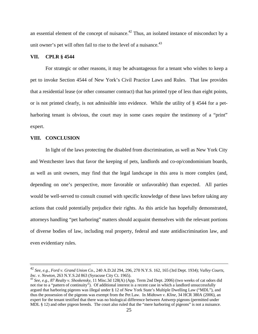an essential element of the concept of nuisance. $42$  Thus, an isolated instance of misconduct by a unit owner's pet will often fail to rise to the level of a nuisance.<sup>43</sup>

# **VII. CPLR § 4544**

For strategic or other reasons, it may be advantageous for a tenant who wishes to keep a pet to invoke Section 4544 of New York's Civil Practice Laws and Rules. That law provides that a residential lease (or other consumer contract) that has printed type of less than eight points, or is not printed clearly, is not admissible into evidence. While the utility of § 4544 for a petharboring tenant is obvious, the court may in some cases require the testimony of a "print" expert.

# **VIII. CONCLUSION**

 $\overline{a}$ 

 In light of the laws protecting the disabled from discrimination, as well as New York City and Westchester laws that favor the keeping of pets, landlords and co-op/condominium boards, as well as unit owners, may find that the legal landscape in this area is more complex (and, depending on one's perspective, more favorable or unfavorable) than expected. All parties would be well-served to consult counsel with specific knowledge of these laws before taking any actions that could potentially prejudice their rights. As this article has hopefully demonstrated, attorneys handling "pet harboring" matters should acquaint themselves with the relevant portions of diverse bodies of law, including real property, federal and state antidiscrimination law, and even evidentiary rules.

<sup>42</sup> *See*, *e.g.*, *Ford v. Grand Union Co.*, 240 A.D.2d 294, 296, 270 N.Y.S. 162, 165 (3rd Dept. 1934); *Valley Courts, Inc. v. Newton*, 263 N.Y.S.2d 863 (Syracuse City Ct. 1965).<br><sup>43</sup> *See*, *e.g.*, *87 Realty v. Shoskensky*, 11 Misc.3d 128(A) (App. Term 2nd Dept. 2006) (two weeks of cat odors did

not rise to a "pattern of continuity"). Of additional interest is a recent case in which a landlord unsuccessfully argued that harboring pigeons was illegal under § 12 of New York State's Multiple Dwelling Law ("MDL"), and thus the possession of the pigeons was exempt from the Pet Law. In *Midtown v. Kline*, 34 HCR 380A (2006), an expert for the tenant testified that there was no biological difference between Antwerp pigeons (permitted under MDL § 12) and other pigeon breeds. The court also ruled that the "mere harboring of pigeons" is not a nuisance.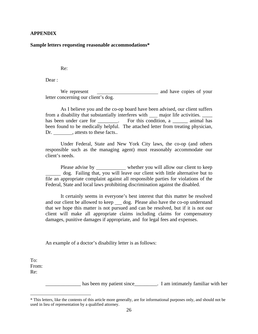# **APPENDIX**

#### **Sample letters requesting reasonable accommodations\***

Re:

Dear :

We represent and have copies of your letter concerning our client's dog.

As I believe you and the co-op board have been advised, our client suffers from a disability that substantially interferes with major life activities. \_\_\_\_ has been under care for \_\_\_\_\_\_\_. For this condition, a \_\_\_\_\_\_\_ animal has been found to be medically helpful. The attached letter from treating physician, Dr. , attests to these facts..

Under Federal, State and New York City laws, the co-op (and others responsible such as the managing agent) must reasonably accommodate our client's needs.

Please advise by whether you will allow our client to keep dog. Failing that, you will leave our client with little alternative but to file an appropriate complaint against all responsible parties for violations of the Federal, State and local laws prohibiting discrimination against the disabled.

It certainly seems in everyone's best interest that this matter be resolved and our client be allowed to keep \_ dog. Please also have the co-op understand that we hope this matter is not pursued and can be resolved, but if it is not our client will make all appropriate claims including claims for compensatory damages, punitive damages if appropriate, and for legal fees and expenses.

An example of a doctor's disability letter is as follows:

To: From: Re:

 $\overline{a}$ 

has been my patient since T am intimately familiar with her

<sup>\*</sup> This letters, like the contents of this article more generally, are for informational purposes only, and should not be used in lieu of representation by a qualified attorney.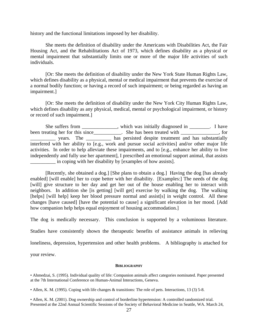history and the functional limitations imposed by her disability.

She meets the definition of disability under the Americans with Disabilities Act, the Fair Housing Act, and the Rehabilitations Act of 1973, which defines disability as a physical or mental impairment that substantially limits one or more of the major life activities of such individuals.

[Or: She meets the definition of disability under the New York State Human Rights Law, which defines disability as a physical, mental or medical impairment that prevents the exercise of a normal bodily function; or having a record of such impairment; or being regarded as having an impairment.]

[Or: She meets the definition of disability under the New York City Human Rights Law, which defines disability as any physical, medical, mental or psychological impairment, or history or record of such impairment.]

She suffers from \_\_\_\_\_\_\_\_\_\_\_, which was initially diagnosed in \_\_\_\_\_\_. I have been treating her for this since\_\_\_\_\_\_\_\_\_\_. She has been treated with \_\_\_\_\_\_\_\_\_\_\_, for years. The <u>secondary has persisted despite treatment</u> and has substantially interfered with her ability to [e.g., work and pursue social activities] and/or other major life activities. In order to help alleviate these impairments, and to [e.g., enhance her ability to live independently and fully use her apartment], I prescribed an emotional support animal, that assists \_\_\_\_\_\_\_\_\_\_ in coping with her disability by [examples of how assists].

[Recently, she obtained a dog.] [She plans to obtain a dog.] Having the dog [has already enabled] [will enable] her to cope better with her disability. [Examples:] The needs of the dog [will] give structure to her day and get her out of the house enabling her to interact with neighbors. In addition she [is getting] [will get] exercise by walking the dog. The walking [helps] [will help] keep her blood pressure normal and assist[s] in weight control. All these changes [have caused] [have the potential to cause] a significant elevation in her mood. [Add how companion help helps equal enjoyment of housing accommodation.

The dog is medically necessary. This conclusion is supported by a voluminous literature.

Studies have consistently shown the therapeutic benefits of assistance animals in relieving

loneliness, depression, hypertension and other health problems. A bibliography is attached for

your review.

#### **BIBLIOGRAPHY**

<sup>•</sup> Ahmedzai, S. (1995). Individual quality of life: Companion animals affect categories nominated. Paper presented at the 7th International Conference on Human-Animal Interactions, Geneva.

<sup>•</sup> Allen, K. M. (1995). Coping with life changes & transitions: The role of pets. Interactions, 13 (3) 5-8.

<sup>•</sup> Allen, K. M. (2001). Dog ownership and control of borderline hypertension: A controlled randomized trial. Presented at the 22nd Annual Scientific Sessions of the Society of Behavioral Medicine in Seattle, WA. March 24,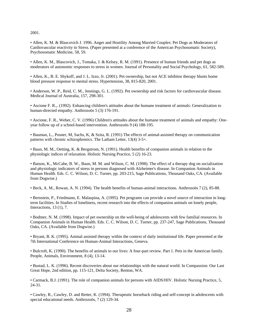2001.

• Allen, K. M. & Blascovich J. 1996. Anger and Hostility Among Married Couples: Pet Dogs as Moderators of Cardiovascular reactivity to Stress. (Paper presented at a conference of the American Psychosomatic Society), Psychosomatic Medicine, 58, 59.

• Allen, K. M., Blascovich, J., Tomaka, J. & Kelsey, R. M. (1991). Presence of human friends and pet dogs as moderators of autonomic responses to stress in women. Journal of Personality and Social Psychology, 61, 582-589.

• Allen, K., B. E. Shykoff, and J. L. Izzo, Jr. (2001). Pet ownership, but not ACE inhibitor therapy blunts home blood pressure response to mental stress. Hypertension, 38, 815-820, 2001.

• Anderson, W. P., Reid, C. M., Jennings, G. L. (1992). Pet ownership and risk factors for cardiovascular disease. Medical Journal of Australia, 157, 298-301.

• Ascione F. R.,. (1992). Enhancing children's attitudes about the humane treatment of animals: Generalization to human-directed empathy. Anthrozoös 5 (3) 176-191.

• Ascione, F. R., Weber, C. V. (1996) Children's attitudes about the humane treatment of animals and empathy: Oneyear follow up of a school-based intervention. Anthrozoös 9 (4) 188-195.

• Bauman, L., Posner, M, Sachs, K, & Szita, R. (1991) The effects of animal-assisted therapy on communication patterns with chronic schizophrenics. The Latham Letter, 13(4) 3-5+.

• Baun, M. M., Oetting, K. & Bergstrom, N. (1991). Health benefits of companion animals in relation to the physiologic indices of relaxation. Holistic Nursing Practice, 5 (2) 16-23.

• Batson, K., McCabe, B. W., Baun, M. M. and Wilson, C. M. (1998). The effect of a therapy dog on socialization and physiologic indicators of stress in persons diagnosed with Alzheimer's disease. In Companion Animals in Human Health. Eds. C. C. Wilson, D. C. Turner, pp. 203-215, Sage Publications, Thousand Oaks, CA. (Available from Dogwise.)

• Beck, A. M., Rowan, A. N. (1994). The health benefits of human-animal interactions. Anthrozoös 7 (2), 85-88.

• Bernstein, P., Friedmann, E. Malaspina, A. (1995). Pet programs can provide a novel source of interaction in longterm facilities. In Studies of loneliness, recent research into the effects of companion animals on lonely people, Interactions, 13 (1), 7.

• Bodmer, N. M. (1998). Impact of pet ownership on the well-being of adolescents with few familial resources. In Companion Animals in Human Health. Eds. C. C. Wilson, D. C. Turner, pp. 237-247, Sage Publications, Thousand Oaks, CA. (Available from Dogwise.)

• Bryant, B. K. (1995). Animal assisted therapy within the context of daily institutional life. Paper presented at the 7th International Conference on Human-Animal Interactions, Geneva.

• Bulcroft, K. (1990). The benefits of animals to our lives: A four-part review. Part 1. Pets in the American family. People, Animals, Environment, 8 (4), 13-14.

• Bustad, L. K. (1996). Recent discoveries about our relationships with the natural world. In Compassion: Our Last Great Hope, 2nd edition, pp. 115-121, Delta Society, Renton, WA.

• Carmack, B.J. (1991). The role of companion animals for persons with AIDS/HIV. Holistic Nursing Practice, 5, 24-31.

• Cawley, R., Cawley, D. and Retter, K. (1994). Therapeutic horseback riding and self-concept in adolescents with special educational needs. Anthrozoös, 7 (2) 129-34.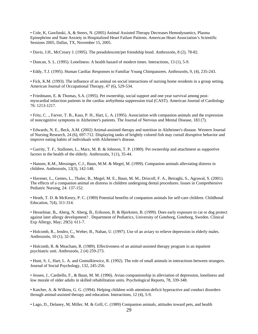• Cole, K, Gawlinski, A, & Steers, N. (2005) Animal Assisted Therapy Decreases Hemodynamics, Plasma Epinephrine and State Anxiety in Hospitalized Heart Failure Patients. American Heart Association's Scientific Sessions 2005, Dallas, TX, November 15, 2005.

• Davis, J.H., McCreary J. (1995). The preadolescent/pet friendship bond. Anthrozoös, 8 (2), 78-82.

• Duncan, S. L. (1995). Loneliness: A health hazard of modern times. Interactions, 13 (1), 5-9.

• Eddy, T.J. (1995). Human Cardiac Responses to Familiar Young Chimpanzees. Anthrozoös, 9, (4), 235-243.

• Fick, K.M. (1993). The influence of an animal on social interactions of nursing home residents in a group setting. American Journal of Occupational Therapy, 47 (6), 529-534.

• Friedmann, E. & Thomas, S.A. (1995). Pet ownership, social support and one year survival among postmyocardial infarction patients in the cardiac arrhythmia suppression trial (CAST). American Journal of Cardiology 76: 1213-1217.

• Fritz, C. ., Farver, T. B., Kass, P. H., Hart, L. A. (1995). Association with companion animals and the expression of noncognitive symptoms in Alzheimer's patients. The Journal of Nervous and Mental Disease, 183 (7).

• Edwards, N. E., Beck, A.M. (2002) Animal-assisted therapy and nutrition in Alzheimer's disease. Western Journal of Nursing Research, 24 (6), 697-712. Displaying tanks of brightly colored fish may curtail disruptive behavior and improve eating habits of individuals with Alzheimer's disease.

• Garrity, T. F., Stallones, L., Marx, M. B. & Johnson, T. P. (1989). Pet ownership and attachment as supportive factors in the health of the elderly. Anthrozoös, 3 (1), 35-44.

• Hansen, K.M., Messinger, C.J., Baun, M.M. & Megel, M. (1999). Companion animals alleviating distress in children. Anthrozoös, 12(3), 142-148.

• Havener, L., Gentes, L., Thaler, B., Megel, M. E., Baun, M. M., Driscoll, F. A., Beiraghi, S., Agrawal, S. (2001). The effects of a companion animal on distress in children undergoing dental procedures. Issues in Comprehensive Pediatric Nursing, 24: 137-152.

• Heath, T. D. & McKenry, P. C. (1989) Potential benefits of companion animals for self-care children. Childhood Education, 7(4), 311-314.

• Hesselmar, B,, Aberg, N. Aberg, B., Eriksson, B. & Bjorksten, B. (1999). Does early exposure to cat or dog protect against later allergy development? . Department of Pediatrics, University of Goteborg, Goteborg, Sweden. Clinical Exp Allergy, May; 29(5): 611-7.

• Holcomb, R., Jendro, C., Weber, B., Nahan, U. (1997). Use of an aviary to relieve depression in elderly males. Anthrozoös, 10 (1), 32-36.

• Holcomb, R. & Meacham, R. (1989). Effectiveness of an animal-assisted therapy program in an inpatient psychiatric unit. Anthrozoös, 2 (4) 259-273.

• Hunt, S. J., Hart, L. A. and Gomulkiewicz, R. (1992). The role of small animals in interactions between strangers. Journal of Social Psychology, 132, 245-256.

• Jessen, J., Cardiello, F., & Baun, M. M. (1996). Avian companionship in alleviation of depression, loneliness and low morale of older adults in skilled rehabilitation units. Psychological Reports, 78, 339-348.

• Katcher, A. & Wilkins, G. G. (1994). Helping children with attention-deficit hyperactive and conduct disorders through animal-assisted therapy and education. Interactions, 12 (4), 5-9.

• Lago, D., Delaney, M, Miller, M. & Grill, C. (1989) Companion animals, attitudes toward pets, and health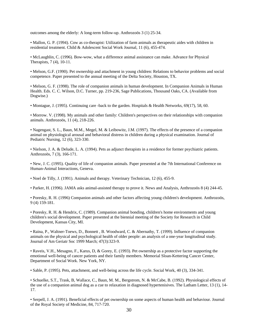outcomes among the elderly: A long-term follow-up. Anthrozoös 3 (1) 25-34.

• Mallon, G. P. (1994). Cow as co-therapist: Utilization of farm animals as therapeutic aides with children in residential treatment. Child & Adolescent Social Work Journal, 11 (6), 455-474.

• McLaughlin, C. (1996). Bow-wow, what a difference animal assistance can make. Advance for Physical Therapists, 7 (4), 10-11.

• Melson, G.F. (1990). Pet ownership and attachment in young children: Relations to behavior problems and social competence. Paper presented to the annual meeting of the Delta Society, Houston, TX.

• Melson, G. F. (1998). The role of companion animals in human development. In Companion Animals in Human Health. Eds. C. C. Wilson, D.C. Turner, pp. 219-236, Sage Publications, Thousand Oaks, CA. (Available from Dogwise.)

• Montague, J. (1995). Continuing care -back to the garden. Hospitals & Health Networks, 69(17), 58, 60.

• Morrow. V. (1998). My animals and other family: Children's perspectives on their relationships with companion animals. Anthrozoös, 11 (4), 218-226.

• Nagengast, S. L., Baun, M.M., Megel, M. & Leibowitz, J.M. (1997). The effects of the presence of a companion animal on physiological arousal and behavioral distress in children during a physical examination. Journal of Pediatric Nursing, 12 (6), 323-330.

• Nielson, J. A. & Delude, L. A. (1994). Pets as adjunct therapists in a residence for former psychiatric patients. Anthrozoös, 7 (3), 166-171.

• New, J. C. (1995). Quality of life of companion animals. Paper presented at the 7th International Conference on Human-Animal Interactions, Geneva.

• Noel de Tilly, J. (1991). Animals and therapy. Veterinary Technician, 12 (6), 455-9.

• Parker, H. (1996). JAMA asks animal-assisted therapy to prove it. News and Analysis, Anthrozoös 8 (4) 244-45.

• Poresky, R. H. (1996) Companion animals and other factors affecting young children's development. Anthrozoös, 9 (4) 159-181.

• Poresky, R. H. & Hendrix, C. (1989). Companion animal bonding, children's home environments and young children's social development. Paper presented at the biennial meeting of the Society for Research in Child Development, Kansas City, MI.

• Raina, P., Waltner-Toews, D., Bonnett , B. Woodward, C. & Abernathy, T. (1999). Influence of companion animals on the physical and psychological health of older people: an analysis of a one-year longitudinal study. Journal of Am Geriatr Soc 1999 March; 47(3):323-9.

• Raveis, V.H., Mesagno, F., Karus, D, & Gorey, E. (1993). Pet ownership as a protective factor supporting the emotional well-being of cancer patients and their family members. Memorial Sloan-Kettering Cancer Center, Department of Social Work. New York, NY.

• Sable, P. (1995). Pets, attachment, and well-being across the life cycle. Social Work, 40 (3), 334-341.

• Schuelke, S.T., Trask, B, Wallace, C., Baun, M. M., Bergstrom, N. & McCabe, B. (1992). Physiological effects of the use of a companion animal dog as a cue to relaxation in diagnosed hypertenisives. The Latham Letter, 13 (1), 14- 17.

• Serpell, J. A. (1991). Beneficial effects of pet ownership on some aspects of human health and behaviour. Journal of the Royal Society of Medicine, 84, 717-720.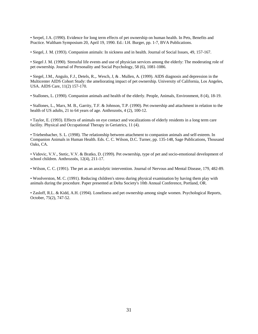• Serpel, J.A. (1990). Evidence for long term effects of pet ownership on human health. In Pets, Benefits and Practice. Waltham Symposium 20, April 19, 1990. Ed.: I.H. Burger, pp. 1-7, BVA Publications.

• Siegel, J. M. (1993). Companion animals: In sickness and in health. Journal of Social Issues, 49, 157-167.

• Siegel J. M. (1990). Stressful life events and use of physician services among the elderly: The moderating role of pet ownership. Journal of Personality and Social Psychology, 58 (6), 1081-1086.

• Siegel, J.M., Angulo, F.J., Detels, R.,. Wesch, J, & . Mullen, A. (1999). AIDS diagnosis and depression in the Multicenter AIDS Cohort Study: the ameliorating impact of pet ownership. University of California, Los Angeles, USA. AIDS Care, 11(2) 157-170.

• Stallones, L. (1990). Companion animals and health of the elderly. People, Animals, Environment, 8 (4), 18-19.

• Stallones, L., Marx, M. B., Garrity, T.F. & Johnson, T.P. (1990). Pet ownership and attachment in relation to the health of US adults, 21 to 64 years of age. Anthrozoös, 4 (2), 100-12.

• Taylor, E. (1993). Effects of animals on eye contact and vocalizations of elderly residents in a long term care facility. Physical and Occupational Therapy in Geriatrics, 11 (4).

• Triebenbacher, S. L. (1998). The relationship between attachment to companion animals and self-esteem. In Companion Animals in Human Health. Eds. C. C. Wilson, D.C. Turner, pp. 135-148, Sage Publications, Thousand Oaks, CA.

• Vidovic, V.V., Stetic, V.V. & Bratko, D. (1999). Pet ownership, type of pet and socio-emotional development of school children. Anthrozoös, 12(4), 211-17.

• Wilson, C. C. (1991). The pet as an anxiolytic intervention. Journal of Nervous and Mental Disease, 179, 482-89.

• Woolverston, M. C. (1991). Reducing children's stress during physical examination by having them play with animals during the procedure. Paper presented at Delta Society's 10th Annual Conference, Portland, OR.

• Zasloff, R.L. & Kidd, A.H. (1994). Loneliness and pet ownership among single women. Psychological Reports, October, 75(2), 747-52.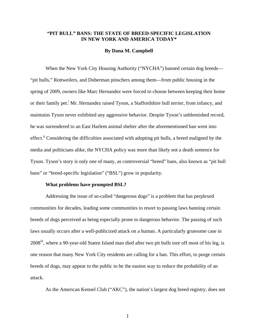# **"PIT BULL" BANS: THE STATE OF BREED-SPECIFIC LEGISLATION IN NEW YORK AND AMERICA TODAY\***

#### **By Dana M. Campbell**

When the New York City Housing Authority ("NYCHA") banned certain dog breeds— "pit bulls," Rottweilers, and Doberman pinschers among them—from public housing in the spring of 2009, owners like Marc Hernandez were forced to choose between keeping their home or their family pet.<sup>i</sup> Mr. Hernandez raised Tyson, a Staffordshire bull terrier, from infancy, and maintains Tyson never exhibited any aggressive behavior. Despite Tyson's unblemished record, he was surrendered to an East Harlem animal shelter after the aforementioned ban went into effect.<sup>ii</sup> Considering the difficulties associated with adopting pit bulls, a breed maligned by the media and politicians alike, the NYCHA policy was more than likely not a death sentence for Tyson. Tyson's story is only one of many, as controversial "breed" bans, also known as "pit bull bans" or "breed-specific legislation" ("BSL") grow in popularity.

#### **What problems have prompted BSL?**

 Addressing the issue of so-called "dangerous dogs" is a problem that has perplexed communities for decades, leading some communities to resort to passing laws banning certain breeds of dogs perceived as being especially prone to dangerous behavior. The passing of such laws usually occurs after a well-publicized attack on a human. A particularly gruesome case in 2008iii, where a 90-year-old Staten Island man died after two pit bulls tore off most of his leg, is one reason that many New York City residents are calling for a ban. This effort, to purge certain breeds of dogs, may appear to the public to be the easiest way to reduce the probability of an attack.

As the American Kennel Club ("AKC"), the nation's largest dog breed registry, does not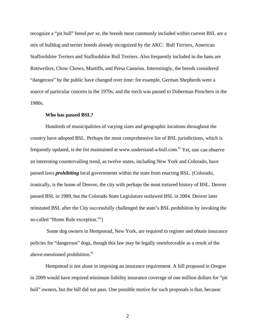recognize a "pit bull" breed *per se*, the breeds most commonly included within current BSL are a mix of bulldog and terrier breeds already recognized by the AKC: Bull Terriers, American Staffordshire Terriers and Staffordshire Bull Terriers. Also frequently included in the bans are Rottweilers, Chow Chows, Mastiffs, and Presa Canarios. Interestingly, the breeds considered "dangerous" by the public have changed over time: for example, German Shepherds were a source of particular concern in the 1970s, and the torch was passed to Doberman Pinschers in the 1980s.

#### **Who has passed BSL?**

 Hundreds of municipalities of varying sizes and geographic locations throughout the country have adopted BSL. Perhaps the most comprehensive list of BSL jurisdictions, which is frequently updated, is the list maintained at www.understand-a-bull.com.<sup>iv</sup> Yet, one can observe an interesting countervailing trend, as twelve states, including New York and Colorado, have passed laws *prohibiting* local governments within the state from enacting BSL. (Colorado, ironically, is the home of Denver, the city with perhaps the most tortured history of BSL. Denver passed BSL in 1989, but the Colorado State Legislature outlawed BSL in 2004. Denver later reinstated BSL after the City successfully challenged the state's BSL prohibition by invoking the so-called "Home Rule exception."<sup>v</sup>)

 Some dog owners in Hempstead, New York, are required to register and obtain insurance policies for "dangerous" dogs, though this law may be legally unenforceable as a result of the above-mentioned prohibition.<sup>vi</sup>

Hempstead is not alone in imposing an insurance requirement. A bill proposed in Oregon in 2009 would have required minimum liability insurance coverage of one million dollars for "pit bull" owners, but the bill did not pass. One possible motive for such proposals is that, because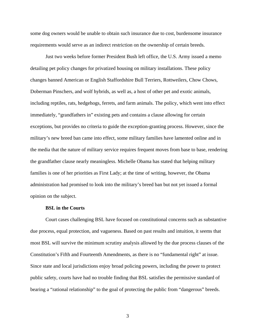some dog owners would be unable to obtain such insurance due to cost, burdensome insurance requirements would serve as an indirect restriction on the ownership of certain breeds.

 Just two weeks before former President Bush left office, the U.S. Army issued a memo detailing pet policy changes for privatized housing on military installations. These policy changes banned American or English Staffordshire Bull Terriers, Rottweilers, Chow Chows, Doberman Pinschers, and wolf hybrids, as well as, a host of other pet and exotic animals, including reptiles, rats, hedgehogs, ferrets, and farm animals. The policy, which went into effect immediately, "grandfathers in" existing pets and contains a clause allowing for certain exceptions, but provides no criteria to guide the exception-granting process. However, since the military's new breed ban came into effect, some military families have lamented online and in the media that the nature of military service requires frequent moves from base to base, rendering the grandfather clause nearly meaningless. Michelle Obama has stated that helping military families is one of her priorities as First Lady; at the time of writing, however, the Obama administration had promised to look into the military's breed ban but not yet issued a formal opinion on the subject.

# **BSL in the Courts**

 Court cases challenging BSL have focused on constitutional concerns such as substantive due process, equal protection, and vagueness. Based on past results and intuition, it seems that most BSL will survive the minimum scrutiny analysis allowed by the due process clauses of the Constitution's Fifth and Fourteenth Amendments, as there is no "fundamental right" at issue. Since state and local jurisdictions enjoy broad policing powers, including the power to protect public safety, courts have had no trouble finding that BSL satisfies the permissive standard of bearing a "rational relationship" to the goal of protecting the public from "dangerous" breeds.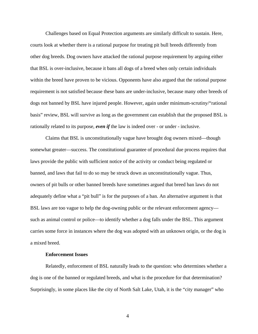Challenges based on Equal Protection arguments are similarly difficult to sustain. Here, courts look at whether there is a rational purpose for treating pit bull breeds differently from other dog breeds. Dog owners have attacked the rational purpose requirement by arguing either that BSL is over-inclusive, because it bans all dogs of a breed when only certain individuals within the breed have proven to be vicious. Opponents have also argued that the rational purpose requirement is not satisfied because these bans are under-inclusive, because many other breeds of dogs not banned by BSL have injured people. However, again under minimum-scrutiny/"rational basis" review, BSL will survive as long as the government can establish that the proposed BSL is rationally related to its purpose, *even if* the law is indeed over - or under - inclusive.

 Claims that BSL is unconstitutionally vague have brought dog owners mixed—though somewhat greater—success. The constitutional guarantee of procedural due process requires that laws provide the public with sufficient notice of the activity or conduct being regulated or banned, and laws that fail to do so may be struck down as unconstitutionally vague. Thus, owners of pit bulls or other banned breeds have sometimes argued that breed ban laws do not adequately define what a "pit bull" is for the purposes of a ban. An alternative argument is that BSL laws are too vague to help the dog-owning public or the relevant enforcement agency such as animal control or police—to identify whether a dog falls under the BSL. This argument carries some force in instances where the dog was adopted with an unknown origin, or the dog is a mixed breed.

#### **Enforcement Issues**

 Relatedly, enforcement of BSL naturally leads to the question: who determines whether a dog is one of the banned or regulated breeds, and what is the procedure for that determination? Surprisingly, in some places like the city of North Salt Lake, Utah, it is the "city manager" who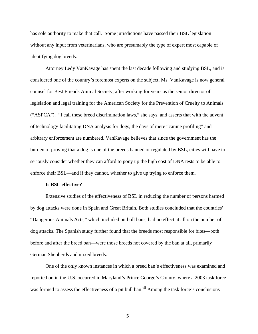has sole authority to make that call. Some jurisdictions have passed their BSL legislation without any input from veterinarians, who are presumably the type of expert most capable of identifying dog breeds.

Attorney Ledy VanKavage has spent the last decade following and studying BSL, and is considered one of the country's foremost experts on the subject. Ms. VanKavage is now general counsel for Best Friends Animal Society, after working for years as the senior director of legislation and legal training for the American Society for the Prevention of Cruelty to Animals ("ASPCA"). "I call these breed discrimination laws," she says, and asserts that with the advent of technology facilitating DNA analysis for dogs, the days of mere "canine profiling" and arbitrary enforcement are numbered. VanKavage believes that since the government has the burden of proving that a dog is one of the breeds banned or regulated by BSL, cities will have to seriously consider whether they can afford to pony up the high cost of DNA tests to be able to enforce their BSL—and if they cannot, whether to give up trying to enforce them.

#### **Is BSL effective?**

 Extensive studies of the effectiveness of BSL in reducing the number of persons harmed by dog attacks were done in Spain and Great Britain. Both studies concluded that the countries' "Dangerous Animals Acts," which included pit bull bans, had no effect at all on the number of dog attacks. The Spanish study further found that the breeds most responsible for bites—both before and after the breed ban—were those breeds not covered by the ban at all, primarily German Shepherds and mixed breeds.

 One of the only known instances in which a breed ban's effectiveness was examined and reported on in the U.S. occurred in Maryland's Prince George's County, where a 2003 task force was formed to assess the effectiveness of a pit bull ban.<sup>vii</sup> Among the task force's conclusions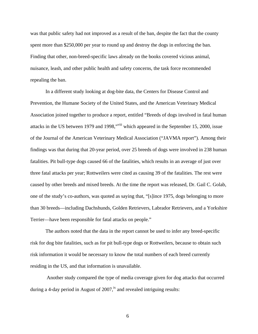was that public safety had not improved as a result of the ban, despite the fact that the county spent more than \$250,000 per year to round up and destroy the dogs in enforcing the ban. Finding that other, non-breed-specific laws already on the books covered vicious animal, nuisance, leash, and other public health and safety concerns, the task force recommended repealing the ban.

 In a different study looking at dog-bite data, the Centers for Disease Control and Prevention, the Humane Society of the United States, and the American Veterinary Medical Association joined together to produce a report, entitled "Breeds of dogs involved in fatal human attacks in the US between 1979 and 1998,"viii which appeared in the September 15, 2000, issue of the Journal of the American Veterinary Medical Association ("JAVMA report"). Among their findings was that during that 20-year period, over 25 breeds of dogs were involved in 238 human fatalities. Pit bull-type dogs caused 66 of the fatalities, which results in an average of just over three fatal attacks per year; Rottweilers were cited as causing 39 of the fatalities. The rest were caused by other breeds and mixed breeds. At the time the report was released, Dr. Gail C. Golab, one of the study's co-authors, was quoted as saying that, "[s]ince 1975, dogs belonging to more than 30 breeds—including Dachshunds, Golden Retrievers, Labrador Retrievers, and a Yorkshire Terrier—have been responsible for fatal attacks on people."

 The authors noted that the data in the report cannot be used to infer any breed-specific risk for dog bite fatalities, such as for pit bull-type dogs or Rottweilers, because to obtain such risk information it would be necessary to know the total numbers of each breed currently residing in the US, and that information is unavailable.

 Another study compared the type of media coverage given for dog attacks that occurred during a 4-day period in August of  $2007$ ,<sup>ix</sup> and revealed intriguing results: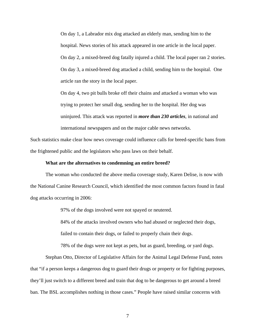On day 1, a Labrador mix dog attacked an elderly man, sending him to the hospital. News stories of his attack appeared in one article in the local paper. On day 2, a mixed-breed dog fatally injured a child. The local paper ran 2 stories. On day 3, a mixed-breed dog attacked a child, sending him to the hospital. One article ran the story in the local paper.

On day 4, two pit bulls broke off their chains and attacked a woman who was trying to protect her small dog, sending her to the hospital. Her dog was uninjured. This attack was reported in *more than 230 articles*, in national and international newspapers and on the major cable news networks.

Such statistics make clear how news coverage could influence calls for breed-specific bans from the frightened public and the legislators who pass laws on their behalf.

### **What are the alternatives to condemning an entire breed?**

 The woman who conducted the above media coverage study, Karen Delise, is now with the National Canine Research Council, which identified the most common factors found in fatal dog attacks occurring in 2006:

97% of the dogs involved were not spayed or neutered.

84% of the attacks involved owners who had abused or neglected their dogs,

failed to contain their dogs, or failed to properly chain their dogs.

78% of the dogs were not kept as pets, but as guard, breeding, or yard dogs.

 Stephan Otto, Director of Legislative Affairs for the Animal Legal Defense Fund, notes that "if a person keeps a dangerous dog to guard their drugs or property or for fighting purposes, they'll just switch to a different breed and train that dog to be dangerous to get around a breed ban. The BSL accomplishes nothing in those cases." People have raised similar concerns with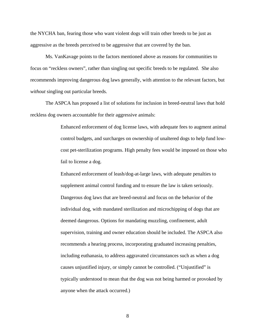the NYCHA ban, fearing those who want violent dogs will train other breeds to be just as aggressive as the breeds perceived to be aggressive that are covered by the ban.

 Ms. VanKavage points to the factors mentioned above as reasons for communities to focus on "reckless owners", rather than singling out specific breeds to be regulated. She also recommends improving dangerous dog laws generally, with attention to the relevant factors, but *without* singling out particular breeds.

 The ASPCA has proposed a list of solutions for inclusion in breed-neutral laws that hold reckless dog owners accountable for their aggressive animals:

> Enhanced enforcement of dog license laws, with adequate fees to augment animal control budgets, and surcharges on ownership of unaltered dogs to help fund lowcost pet-sterilization programs. High penalty fees would be imposed on those who fail to license a dog.

Enhanced enforcement of leash/dog-at-large laws, with adequate penalties to supplement animal control funding and to ensure the law is taken seriously. Dangerous dog laws that are breed-neutral and focus on the behavior of the individual dog, with mandated sterilization and microchipping of dogs that are deemed dangerous. Options for mandating muzzling, confinement, adult supervision, training and owner education should be included. The ASPCA also recommends a hearing process, incorporating graduated increasing penalties, including euthanasia, to address aggravated circumstances such as when a dog causes unjustified injury, or simply cannot be controlled. ("Unjustified" is typically understood to mean that the dog was not being harmed or provoked by anyone when the attack occurred.)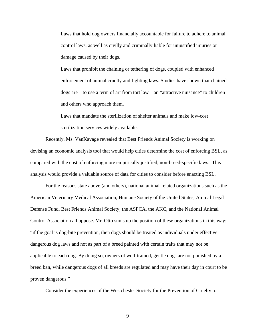Laws that hold dog owners financially accountable for failure to adhere to animal control laws, as well as civilly and criminally liable for unjustified injuries or damage caused by their dogs.

Laws that prohibit the chaining or tethering of dogs, coupled with enhanced enforcement of animal cruelty and fighting laws. Studies have shown that chained dogs are—to use a term of art from tort law—an "attractive nuisance" to children and others who approach them.

Laws that mandate the sterilization of shelter animals and make low-cost sterilization services widely available.

 Recently, Ms. VanKavage revealed that Best Friends Animal Society is working on devising an economic analysis tool that would help cities determine the cost of enforcing BSL, as compared with the cost of enforcing more empirically justified, non-breed-specific laws. This analysis would provide a valuable source of data for cities to consider before enacting BSL.

 For the reasons state above (and others), national animal-related organizations such as the American Veterinary Medical Association, Humane Society of the United States, Animal Legal Defense Fund, Best Friends Animal Society, the ASPCA, the AKC, and the National Animal Control Association all oppose. Mr. Otto sums up the position of these organizations in this way: "if the goal is dog-bite prevention, then dogs should be treated as individuals under effective dangerous dog laws and not as part of a breed painted with certain traits that may not be applicable to each dog. By doing so, owners of well-trained, gentle dogs are not punished by a breed ban, while dangerous dogs of all breeds are regulated and may have their day in court to be proven dangerous."

Consider the experiences of the Westchester Society for the Prevention of Cruelty to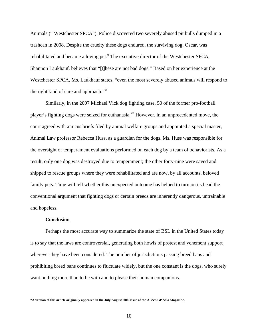Animals (" Westchester SPCA"). Police discovered two severely abused pit bulls dumped in a trashcan in 2008. Despite the cruelty these dogs endured, the surviving dog, Oscar, was rehabilitated and became a loving pet.<sup>x</sup> The executive director of the Westchester SPCA, Shannon Laukhauf, believes that "[t]hese are not bad dogs." Based on her experience at the Westchester SPCA, Ms. Laukhauf states, "even the most severely abused animals will respond to the right kind of care and approach."<sup>xi</sup>

Similarly, in the 2007 Michael Vick dog fighting case, 50 of the former pro-football player's fighting dogs were seized for euthanasia.<sup>xii</sup> However, in an unprecedented move, the court agreed with amicus briefs filed by animal welfare groups and appointed a special master, Animal Law professor Rebecca Huss, as a guardian for the dogs. Ms. Huss was responsible for the oversight of temperament evaluations performed on each dog by a team of behaviorists. As a result, only one dog was destroyed due to temperament; the other forty-nine were saved and shipped to rescue groups where they were rehabilitated and are now, by all accounts, beloved family pets. Time will tell whether this unexpected outcome has helped to turn on its head the conventional argument that fighting dogs or certain breeds are inherently dangerous, untrainable and hopeless.

#### **Conclusion**

 Perhaps the most accurate way to summarize the state of BSL in the United States today is to say that the laws are controversial, generating both howls of protest and vehement support wherever they have been considered. The number of jurisdictions passing breed bans and prohibiting breed bans continues to fluctuate widely, but the one constant is the dogs, who surely want nothing more than to be with and to please their human companions.

**<sup>\*</sup>A version of this article originally appeared in the July/August 2009 issue of the ABA's GP Solo Magazine.**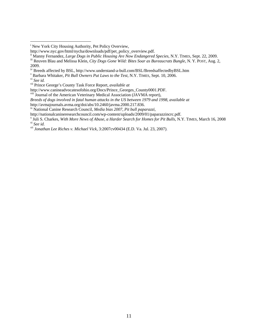$\overline{a}$ 

http://avmajournals.avma.org/doi/abs/10.2460/javma.2000.217.836.

http://nationalcanineresearchcouncil.com/wp-content/uploads/2009/01/paparazzincrc.pdf.

<sup>&</sup>lt;sup>i</sup> New York City Housing Authority, Pet Policy Overview,

http://www.nyc.gov/html/nycha/downloads/pdf/pet\_policy\_overview.pdf.<br>
ii Manny Fernandez, *Large Dogs in Public Housing Are Now Endangered Species*, N.Y. TIMES, Sept. 22, 2009.<br>
iii Reuven Blau and Melissa Klein, *City Dog* 2009.

iv Breeds affected by BSL, http://www.understand-a-bull.com/BSL/BreedsaffectedbyBSL.htm

v Barbara Whitaker, *Pit Bull Owners Put Laws to the Test*, N.Y. TIMES, Sept. 10, 2006.

vi *See id.*

vii Prince George's County Task Force Report, *available at*

http://www.canineadvocatesofohio.org/Docs/Prince\_Georges\_County0001.PDF.

viii Journal of the American Veterinary Medical Association (JAVMA report),

*Breeds of dogs involved in fatal human attacks in the US between 1979 and 1998*, *available at*

ix National Canine Research Council, *Media bias 2007, Pit bull paparazzi*,

Juli S. Charkes, *With More News of Abuse, a Harder Search for Homes for Pit Bulls*, N.Y. TIMES, March 16, 2008 xi *See id.* xii *Jonathan Lee Riches v. Michael Vick*, 3:2007cv00434 (E.D. Va. Jul. 23, 2007).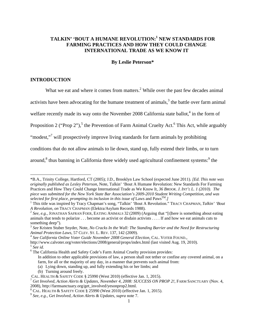# **TALKIN' 'BOUT A HUMANE REVOLUTION:<sup>1</sup> NEW STANDARDS FOR FARMING PRACTICES AND HOW THEY COULD CHANGE INTERNATIONAL TRADE AS WE KNOW IT**

#### **By Leslie Peterson\***

### **INTRODUCTION**

l

What we eat and where it comes from matters. $2$  While over the past few decades animal

activists have been advocating for the humane treatment of animals, $<sup>3</sup>$  the battle over farm animal</sup>

welfare recently made its way onto the November 2008 California state ballot, $4$  in the form of

Proposition 2 ("Prop 2"),<sup>5</sup> the Prevention of Farm Animal Cruelty Act.<sup>6</sup> This Act, while arguably

"modest,"<sup>7</sup> will prospectively improve living standards for farm animals by prohibiting

conditions that do not allow animals to lie down, stand up, fully extend their limbs, or to turn

around,<sup>8</sup> thus banning in California three widely used agricultural confinement systems:<sup>9</sup> the

<sup>\*</sup>B.A., Trinity College, Hartford, CT (2005); J.D., Brooklyn Law School (expected June 2011). *[Ed. This note was originally published as Lesley Peterson,* Note, Talkin' 'Bout A Humane Revolution: New Standards For Farming Practices and How They Could Change International Trade as We Know It*, 36 BROOK. J. INT'L L. 1 (2010). The piece was submitted for the New York State Bar Association's 2009-2010 Student Writing Competition, and was selected for first place, prompting its inclusion in this issue of Laws and Paws*<sup>TM</sup>.

This title was inspired by Tracy Chapman's song, "Talkin' 'Bout A Revolution." TRACY CHAPMAN, *Talkin' 'Bout A Revolution, on* TRACY CHAPMAN (Elektra/Asylum Records 1988).<br><sup>2</sup> *See, e.g., JONATHAN SAFRAN FOER, EATING ANIMALS 32 (2009) (Arguing that "[t]here is something about eating* 

animals that tends to polarize . . . become an activist or disdain activists . . . . If and how we eat animals cuts to something deep").

<sup>3</sup> *See* Kristen Stuber Snyder, Note, *No Cracks In the Wall: The Standing Barrier and the Need for Restructuring Animal Protection Laws,* 57 CLEV. ST. L. REV. 137, 142 (2009). 4 *See California Online Voter Guide November 2008 General Election,* CAL. VOTER FOUND.,

http://www.calvoter.org/voter/elections/2008/general/props/index.html (last visited Aug. 19, 2010). 5 *See id.* 

<sup>&</sup>lt;sup>6</sup> The California Health and Safety Code's Farm Animal Cruelty provision provides:

In addition to other applicable provisions of law, a person shall not tether or confine any covered animal, on a farm, for all or the majority of any day, in a manner that prevents such animal from:

<sup>(</sup>a) Lying down, standing up, and fully extending his or her limbs; and

<sup>(</sup>b) Turning around freely.<br>CAL. HEALTH & SAFETY CODE § 25990 (West 2010) (effective Jan. 1, 2015).

<sup>&</sup>lt;sup>7</sup> Get Involved, Action Alerts & Updates, November 4, 2008: SUCCESS ON PROP 2!, FARM SANCTUARY (Nov. 4, 2008), http://farmsanctuary.org/get\_involved/yesonprop2.html.

 $8$  CAL. HEALTH & SAFETY CODE § 25990 (West 2010) (effective Jan. 1, 2015).

<sup>&</sup>lt;sup>9</sup> See, e.g., Get Involved, Action Alerts & Updates, supra note 7.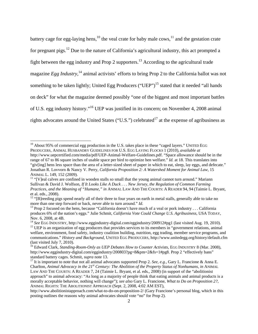battery cage for egg-laying hens,<sup>10</sup> the veal crate for baby male cows,<sup>11</sup> and the gestation crate for pregnant pigs.<sup>12</sup> Due to the nature of California's agricultural industry, this act prompted a fight between the egg industry and Prop 2 supporters.<sup>13</sup> According to the agricultural trade magazine *Egg Industry*,<sup>14</sup> animal activists' efforts to bring Prop 2 to the California ballot was not something to be taken lightly; United Egg Producers ("UEP")<sup>15</sup> stated that it needed "all hands on deck" for what the magazine deemed possibly "one of the biggest and most important battles of U.S. egg industry history."16 UEP was justified in its concern; on November 4, 2008 animal rights advocates around the United States ("U.S.") celebrated<sup>17</sup> at the expense of agribusiness as

 $10$  About 95% of commercial egg production in the U.S. takes place in these "caged layers." UNITED EGG PRODUCERS, ANIMAL HUSBANDRY GUIDELINES FOR U.S. EGG LAYING FLOCKS 1 (2010), *available at*  http://www.uepcertified.com/media/pdf/UEP-Animal-Welfare-Guidelines.pdf. "Space allowance should be in the range of 67 to 86 square inches of usable space per bird to optimize hen welfare." *Id.* at 18. This translates into "giv[ing] hens less space than the area of a letter-sized sheet of paper in which to eat, sleep, lay eggs, and defecate." Jonathan R. Lovvorn & Nancy V. Perry, *California Proposition 2: A Watershed Moment for Animal Law,* 15 ANIMAL L. 149, 152 (2009).<br><sup>11</sup> "[V]eal calves are confined in wooden stalls so small that the young animal cannot turn around." Mariann

Sullivan & David J. Wolfson, *If It Looks Like A Duck . . . New Jersey, the Regulation of Common Farming Practices, and the Meaning of "Humane," in* ANIMAL LAW AND THE COURTS: A READER 94, 94 (Taimie L. Bryant, et al. eds., 2008).

<sup>&</sup>lt;sup>12</sup> "[B]reeding pigs spend nearly all of their three to four years on earth in metal stalls, generally able to take no more than one step forward or back, never able to turn around." *Id*.

<sup>&</sup>lt;sup>13</sup> Prop 2 focused on the hens, because "California doesn't have much of a veal or pork industry . . . California produces 6% of the nation's eggs." Julie Schmit, *California Vote Could Change U.S. Agribusiness,* USA TODAY, Nov. 6, 2008, at 4B.<br><sup>14</sup> See EGG INDUSTRY, http://www.eggindustry-digital.com/eggindustry/200912#pg1 (last visited Aug. 19, 2010).

<sup>&</sup>lt;sup>15</sup> UEP is an organization of egg producers that provides services to its members in "government relations, animal welfare, environment, food safety, industry coalition building, nutrition, egg trading, member service programs, and communications." *History and Background,* UNITED EGG PRODUCERS, http://www.unitedegg.org/history/default.cfm (last visited July 7, 2010).

<sup>&</sup>lt;sup>16</sup> Edward Clark, *Standing-Room-Only as UEP Debates How to Counter Activists*, EGG INDUSTRY 8 (Mar. 2008), http://www.eggindustry-digital.com/eggindustry/200803?pg=8&pm=2&fs=1#pg8. Prop 2 "effectively bans" standard battery cages. Schmit, *supra* note 13.<br><sup>17</sup> It is important to note that not all animal advocates supported Prop 2. *See, e.g.*, Gary L. Francione & Anna E.

Charlton, *Animal Advocacy in the 21st Century: The Abolition of the Property Status of Nonhumans, in* ANIMAL LAW AND THE COURTS: A READER 7, 24 (Taimie L. Bryant, et al. eds., 2008) (in support of the "abolitionist approach" to animal advocacy: "As long as a majority of people think that eating animals and animal products is a morally acceptable behavior, nothing will change"); *see also* Gary L. Francione, *What to Do on Proposition 2?*, ANIMAL RIGHTS: THE ABOLITIONIST APPROACH (Sept. 2, 2008, 4:02 AM EST),

http://www.abolitionistapproach.com/what-to-do-on-proposition-2/ (Gary Francione's personal blog, which in this posting outlines the reasons why animal advocates should vote "no" for Prop 2).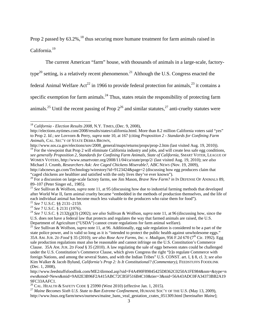Prop 2 passed by  $63.2\%$ ,<sup>18</sup> thus securing more humane treatment for farm animals raised in

California.<sup>19</sup>

 $\overline{\phantom{a}}$ 

The current American "farm" house, with thousands of animals in a large-scale, factorytype<sup>20</sup> setting, is a relatively recent phenomenon.<sup>21</sup> Although the U.S. Congress enacted the federal Animal Welfare Act<sup>22</sup> in 1966 to provide federal protection for animals,<sup>23</sup> it contains a specific exemption for farm animals.<sup>24</sup> Thus, states retain the responsibility of protecting farm animals.<sup>25</sup> Until the recent passing of Prop  $2^{26}$  and similar statutes,<sup>27</sup> anti-cruelty statutes were

http://elections.nytimes.com/2008/results/states/california.html. More than 8.2 million California voters said "yes" to Prop 2. *Id.*; *see* Lovvorn & Perry, *supra* note 10, at 167 (citing *Proposition 2 - Standards for Confining Farm Animals,* CAL. SEC'Y OF STATE DEBRA BROWN,

http://www.sos.ca.gov/elections/sov/2008\_general/maps/returns/props/prop-2.htm (last visited Aug. 19, 2010)).  $19$  For the viewpoint that Prop 2 will eliminate California industry and jobs, and will create less safe egg conditions, *see generally Proposition 2, Standards for Confining Farm Animals, State of California,* SMART VOTER, LEAGUE OF WOMEN VOTERS, http://www.smartvoter.org/2008/11/04/ca/state/prop/2/ (last visited Aug. 19, 2010); *see also* 

Michael J. Crumb, *Researchers Ask: Are Caged Chickens Miserable?,* ABC NEWS (Nov. 19, 2009), http://abcnews.go.com/Technology/wirestory?id=9123424&page=2 (discussing how egg producers claim that

<sup>27</sup> Maine Becomes Sixth U.S. State to Ban Extreme Confinement, HUMANE SOC'Y OF THE U.S. (May 13, 2009), http://www.hsus.org/farm/news/ournews/maine\_bans\_veal\_gestation\_crates\_051309.html [hereinafter *Maine*];

<sup>18</sup> *California - Election Results 2008,* N.Y. TIMES, (Dec. 9, 2008),

<sup>&</sup>quot;caged chickens are healthier and satisfied with the only lives they've ever known"). 20 For a discussion on large-scale factory farms, see Jim Mason, *Brave New Farm? in* IN DEFENSE OF ANIMALS 89, 89–107 (Peter Singer ed., 1985).

<sup>21</sup> *See* Sullivan & Wolfson, *supra* note 11, at 95 (discussing how due to industrial farming methods that developed after World War II, farm animal cruelty became "embedded in the methods of production themselves, and the life of each individual animal has become much less valuable to the producers who raise them for food").<br>
<sup>22</sup> See 7 U.S.C. §§ 2131–2159.<br>
<sup>23</sup> See 7 U.S.C. § 2131 (1976).<br>
<sup>24</sup> See 7 U.S.C. § 2132(g)(3) (2002); *see also* Sulliv

U.S. does not have a federal law that protects and regulates the way that farmed animals are raised, the U.S. Department of Agriculture ("USDA") cannot create regulations for farm animal welfare).

<sup>&</sup>lt;sup>25</sup> See Sullivan & Wolfson, *supra* note 11, at 96. Additionally, egg sale regulation is considered to be a part of the state police power, and is valid so long as it is "intended to protect the public health against unwholesome eggs." 35A AM. JUR. 2D *Food* § 35 (2010); *see also Rose Acre Farms, Inc. v. Madigan,* 956 F.2d 670 (7th Cir. 1992). Egg sale production regulations must also be reasonable and cannot infringe on the U.S. Constitution's Commerce Clause. 35A AM. JUR. 2D *Food* § 35 (2010). A law regulating the sale of eggs between states could be challenged under the U.S. Constitution's Commerce Clause, which gives Congress the right "[t]o regulate Commerce with foreign Nations, and among the several States, and with the Indian Tribes" U.S. CONST. art. I, § 8, cl. 3; *see also* Kim Walker & Jacob Bylund, *California's Prop 2: Is It Constitutional? (Commentary)*, FEEDSTUFFS FOODLINK (Dec. 1, 2008),

http://www.feedstuffsfoodlink.com/ME2/dirmod.asp?sid=F4A490F89845425D8362C0250A1FE984&nm=&type=n ews&mod=News&mid=9A02E3B96F2A415ABC72CB5F516B4C10&tier=3&nid=56A43ADC0FA34373BB2A19 9FC33AAFC1.<br><sup>26</sup> CAL. HEALTH & SAFETY CODE § 25990 (West 2010) (effective Jan. 1, 2015).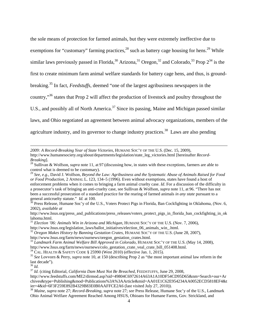the sole means of protection for farmed animals, but they were extremely ineffective due to exemptions for "customary" farming practices, $^{28}$  such as battery cage housing for hens.<sup>29</sup> While similar laws previously passed in Florida,<sup>30</sup> Arizona,<sup>31</sup> Oregon,<sup>32</sup> and Colorado,<sup>33</sup> Prop  $2^{34}$  is the first to create minimum farm animal welfare standards for battery cage hens, and thus, is groundbreaking.35 In fact, *Feedstuffs*, deemed "one of the largest agribusiness newspapers in the country,"36 states that Prop 2 will affect the production of livestock and poultry throughout the U.S., and possibly all of North America.<sup>37</sup> Since its passing, Maine and Michigan passed similar laws, and Ohio negotiated an agreement between animal advocacy organizations, members of the agriculture industry, and its governor to change industry practices.<sup>38</sup> Laws are also pending

*2009: A Record-Breaking Year of State Victories,* HUMANE SOC'Y OF THE U.S. (Dec. 15, 2009),

http://www.humanesociety.org/about/departments/legislation/state\_leg\_victories.html [hereinafter *Record-Breaking*].<br><sup>28</sup> Sullivan & Wolfson, *supra* note 11, at 97 (discussing how, in states with these exceptions, farmers are able to

control what is deemed to be customary).

http://www.hsus.org/press\_and\_publications/press\_releases/voters\_protect\_pigs\_in\_florida\_ban\_cockfighting\_in\_ok lahoma.html.

<sup>32</sup> Oregon Makes History by Banning Gestation Crates, HUMANE SOC'Y OF THE U.S. (June 28, 2007),

http://www.hsus.org/farm/news/ournews/oregon\_gestation\_crates.html. 33 *Landmark Farm Animal Welfare Bill Approved in Colorado,* HUMANE SOC'Y OF THE U.S. (May 14, 2008),

http://www.hsus.org/farm/news/ournews/colo\_gestation\_crate\_veal\_crate\_bill\_051408.html.<br><sup>34</sup> CAL. HEALTH & SAFETY CODE § 25990 (West 2010) (effective Jan. 1, 2015).<br><sup>35</sup> See Lovvorn & Perry, *supra* note 10, at 150 (descri

l

<sup>37</sup> *Id.* (citing Editorial, *California Dam Must Not Be Breached*, FEEDSTUFFS, June 29, 2008,

http://www.feedstuffs.com/ME2/dirmod.asp?sid=49804C6972614A63A1A10DF54CD95D65&nm=Search+our+Ar chives&type=Publishing&mod=Publications%3A%3AArticle&mid=AA01E1C62E954234AA0052ECD5818EF4&t ier=4&id=6F3F259E892B4329B83E0B0AAFFCE2A6 (last visited July 27, 2010)).

<sup>38</sup> *Maine, supra* note 27; *Record-Breaking, supra* note 27; *see* Press Release, Humane Soc'y of the U.S., Landmark Ohio Animal Welfare Agreement Reached Among HSUS, Ohioans for Humane Farms, Gov. Strickland, and

<sup>29</sup> *See, e.g.,* David J. Wolfson, *Beyond the Law: Agribusiness and the Systematic Abuse of Animals Raised for Food or Food Production,* 2 ANIMAL L. 123, 134–5 (1996). Even without exemptions, states have found a host of enforcement problems when it comes to bringing a farm animal cruelty case. *Id*. For a discussion of the difficulty in a prosecutor's task of bringing an anti-cruelty case, see Sullivan & Wolfson, *supra* note 11, at 96. "There has not been a successful prosecution of a standard practice for the rearing of farmed animals *in any state* pursuant to a general anticruelty statute." *Id.* at 100.<br><sup>30</sup> Press Release, Humane Soc'y of the U.S., Voters Protect Pigs in Florida, Ban Cockfighting in Oklahoma, *(Nov. 6,* 

<sup>2002),</sup> *available at*

<sup>&</sup>lt;sup>31</sup> *Election '06: Animals Win in Arizona and Michigan*, HUMANE SOC'Y OF THE U.S. (Nov. 7, 2006), http://www.hsus.org/legislation laws/ballot initiatives/election 06 animals win .html.

last decade").<br> $\frac{36}{1}$ Id.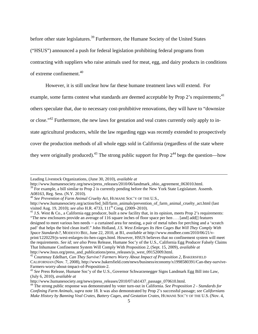before other state legislatures.<sup>39</sup> Furthermore, the Humane Society of the United States

("HSUS") announced a push for federal legislation prohibiting federal programs from

contracting with suppliers who raise animals used for meat, egg, and dairy products in conditions

of extreme confinement.40

 $\overline{\phantom{a}}$ 

However, it is still unclear how far these humane treatment laws will extend. For

example, some farms contest what standards are deemed acceptable by Prop 2's requirements;<sup>41</sup>

others speculate that, due to necessary cost-prohibitive renovations, they will have to "downsize

or close."42 Furthermore, the new laws for gestation and veal crates currently only apply to in-

state agricultural producers, while the law regarding eggs was recently extended to prospectively

cover the production methods of all whole eggs sold in California (regardless of the state where

they were originally produced).<sup>43</sup> The strong public support for Prop  $2^{44}$  begs the question—how

<sup>41</sup> J.S. West & Co., a California egg producer, built a new facility that, in its opinion, meets Prop 2's requirements: "The new enclosures provide an average of 116 square inches of floor space per hen . . . [and] add[] features designed to meet various hen needs — a curtained area for nesting, a pair of metal tubes for perching and a 'scratch pad' that helps the bird clean itself." John Holland, *J.S. West Enlarges Its Hen Cages But Will They Comply With Space Standards?,* MODESTO BEE, June 22, 2010, at B1, *available at* http://www.modbee.com/2010/06/21/vprint/1220229/js-west-enlarges-its-hen-cages.html. However, HSUS believes that no confinement system will meet the requirements. *See id; see also* Press Release, Humane Soc'y of the U.S., California Egg Producer Falsely Claims That Inhumane Confinement System Will Comply With Proposition 2, (Sept. 15, 2009), *available at*  http://www.hsus.org/press\_and\_publications/press\_releases/js\_west\_09152009.html.<br><sup>42</sup> Courtenay Edelhart, *Can They Survive? Farmers Worry About Impact of Proposition 2*, BAKERSFIELD

Leading Livestock Organizations, (June 30, 2010), *available at* 

http://www.humanesociety.org/news/press\_releases/2010/06/landmark\_ohio\_agreement\_063010.html.

 $39$  For example, a bill similar to Prop 2 is currently pending before the New York State Legislature. Assemb. A08163, Reg. Sess. (N.Y. 2010).

<sup>40</sup> *See Prevention of Farm Animal Cruelty Act,* HUMANE SOC'Y OF THE U.S.,

http://www.humanesociety.org/action/fed\_bill/farm\_animals/prevention\_of\_farm\_animal\_cruelty\_act.html (last visited Aug. 19, 2010); *see also* H.R. 4733, 111<sup>th</sup> Cong. (2009–2010).

CALIFORNIAN (Nov. 7, 2008), http://www.bakersfield.com/news/business/economy/x1998580391/Can-they-survive-Farmers-worry-about-impact-of-Proposition-2.<br><sup>43</sup> *See* Press Release, Humane Soc'y of the U.S., Governor Schwarzenegger Signs Landmark Egg Bill into Law,

<sup>(</sup>July 6, 2010), *available at*  $\frac{dt}{dt}$  the sum of press releases/2010/07/ab1437 passage 070610.html.

<sup>&</sup>lt;sup>44</sup> The strong public response was demonstrated by voter turn-out in California. *See Proposition 2 - Standards for Confining Farm Animals*, *supra* note 18. It was also demonstrated by Prop 2's successful passage; *see Californians Make History by Banning Veal Crates, Battery Cages, and Gestation Crates, HUMANE SOC'Y OF THE U.S. (Nov. 4,*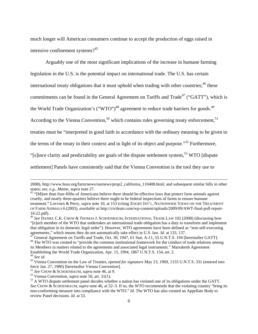much longer will American consumers continue to accept the production of eggs raised in intensive confinement systems?<sup>45</sup>

Arguably one of the most significant implications of the increase in humane farming legislation in the U.S. is the potential impact on international trade. The U.S. has certain international treaty obligations that it must uphold when trading with other countries;  $46$  these commitments can be found in the General Agreement on Tariffs and Trade<sup>47</sup> ("GATT"), which is the World Trade Organization's ("WTO")<sup>48</sup> agreement to reduce trade barriers for goods.<sup>49</sup> According to the Vienna Convention,<sup>50</sup> which contains rules governing treaty enforcement,<sup>51</sup> treaties must be "interpreted in good faith in accordance with the ordinary meaning to be given to the terms of the treaty in their context and in light of its object and purpose."<sup>52</sup> Furthermore, "[s]ince clarity and predictability are goals of the dispute settlement system, $53$  WTO [dispute]" settlement] Panels have consistently said that the Vienna Convention is the tool they use to

<sup>2008),</sup> http://www.hsus.org/farm/news/ournews/prop2\_california\_110408.html; and subsequent similar bills in other states; *see, e.g., Maine, supra* note 27.<br><sup>45</sup> "[M]ore than four-fifths of Americans believe there should be effective laws that protect farm animals against

cruelty, and nearly three-quarters believe there ought to be federal inspections of farms to ensure humane treatment." Lovvorn & Perry, *supra* note 10, at 153 (citing ZOGBY INT'L, NATIONWIDE VIEWS ON THE TREATMENT OF FARM ANIMALS 6 (2003), *available at* http://civileats.com/wp-content/uploads/2009/09/AWT-final-poll-report-10-22.pdf).

<sup>46</sup> *See* DANIEL C.K. CHOW & THOMAS J. SCHOENBAUM, INTERNATIONAL TRADE LAW 102 (2008) (discussing how "[e]ach member of the WTO that undertakes an international trade obligation has a duty to transform and implement that obligation in its domestic legal order"). However, WTO agreements have been defined as "non-self-executing agreements," which means they do not automatically take effect in U.S. law. *Id.* at 133, 137.<br><sup>47</sup> General Agreement on Tariffs and Trade, Oct. 30, 1947, 61 Stat. A-11, 55 U.N.T.S. 194 [hereinafter GATT].

<sup>&</sup>lt;sup>48</sup> The WTO was created to "provide the common institutional framework for the conduct of trade relations among its Members in matters related to the agreements and associated legal instruments." Marrakesh Agreement Establishing the World Trade Organization, Apr. 15, 1994, 1867 U.N.T.S. 154, art. 2.<br><sup>49</sup> See id.

<sup>&</sup>lt;sup>50</sup> Vienna Convention on the Law of Treaties, *opened for signature* May 23, 1969, 1155 U.N.T.S. 331 (entered into force Jan. 27, 1980) [hereinafter Vienna Convention].<br>
<sup>51</sup> See CHOW & SCHOENBAUM, *supra* note 46, at 9.<br>
<sup>52</sup> Vienna Convention, *supra* note 50, art. 31(1).<br>
<sup>53</sup> A WTO dispute settlement panel decides whether a nation

*See* CHOW & SCHOENBAUM, *supra* note 46, at 52–3. If so, the WTO recommends that the violating country "bring its non-conforming measure into compliance with the WTO." *Id.* The WTO has also created an Appellate Body to review Panel decisions. *Id.* at 53.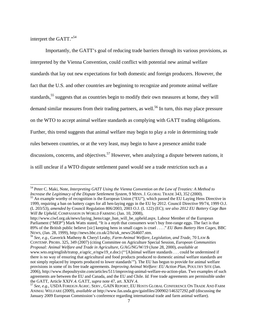interpret the GATT."<sup>54</sup>

l

Importantly, the GATT's goal of reducing trade barriers through its various provisions, as interpreted by the Vienna Convention, could conflict with potential new animal welfare standards that lay out new expectations for both domestic and foreign producers. However, the fact that the U.S. and other countries are beginning to recognize and promote animal welfare standards,<sup>55</sup> suggests that as countries begin to modify their own measures at home, they will demand similar measures from their trading partners, as well.<sup>56</sup> In turn, this may place pressure on the WTO to accept animal welfare standards as complying with GATT trading obligations. Further, this trend suggests that animal welfare may begin to play a role in determining trade rules between countries, or at the very least, may begin to have a presence amidst trade discussions, concerns, and objectives.<sup>57</sup> However, when analyzing a dispute between nations, it is still unclear if a WTO dispute settlement panel would see a trade restriction such as a

<sup>&</sup>lt;sup>54</sup> Peter C. Maki, Note, *Interpreting GATT Using the Vienna Convention on the Law of Treaties: A Method to Increase the Legitimacy of the Dispute Settlement System, 9 MINN. J. GLOBAL TRADE 343, 352 (2000).* 

<sup>&</sup>lt;sup>55</sup> An example worthy of recognition is the European Union ("EU"), which passed the EU Laying Hens Directive in 1999, requiring a ban on battery cages for all hen-laying eggs in the EU by 2012. Council Directive 99/74, 1999 O.J. (L 203/53), *amended by* Council Regulation 806/2003, 2003 O.J. (L 122) (EC); *see also 2012 EU Battery Cage Ban Will Be Upheld,* COMPASSION IN WORLD FARMING (Jan. 10, 2008),

http://www.ciwf.org.uk/news/laying\_hens/cage\_ban\_will\_be\_upheld.aspx. Labour Member of the European Parliament ("MEP") Mark Watts stated, "It is a myth that consumers won't buy free-range eggs. The fact is that 89% of the British public believe [*sic*] keeping hens in small cages is cruel . . . ." *EU Bans Battery Hen Cages,* BBC

NEWS, (Jan. 28, 1999), http://news.bbc.co.uk/2/hi/uk\_news/264607.stm. 56 *See, e.g.,* Gaverick Matheny & Cheryl Leahy, *Farm-Animal Welfare, Legislation, and Trade,* 70 LAW & CONTEMP. PROBS. 325, 349 (2007) (citing Committee on Agriculture Special Session, *European Communities Proposal: Animal Welfare and Trade in Agriculture,* G/AG/NG/W/19 (June 28, 2000), *available at* www.wto.org/english/tratop\_e/agric\_e/ngw19\_e.doc) ("'[A]nimal welfare standards . . . could be undermined if there is no way of ensuring that agricultural and food products produced to domestic animal welfare standards are not simply replaced by imports produced to lower standards'"). The EU has begun to provide for animal welfare provisions in some of its free trade agreements. *Improving Animal Welfare: EU Action Plan,* POULTRY SITE (Jan. 2006), http://www.thepoultrysite.com/articles/511/improving-animal-welfare-eu-action-plan. Two examples of such agreements are between the EU and Canada, and the EU and Chile. *Id.* Free trade agreements are permissible under the GATT, Article XXIV.4. GATT, *supra* note 47, art. XXIV.4.<br><sup>57</sup> *See, e.g., USDA FOREIGN AGRIC. SERV., GAIN REPORT, EU HOSTS GLOBAL CONFERENCE ON TRADE AND FARM* 

ANIMAL WELFARE (2009), *available at* http://www.fas.usda.gov/gainfiles/200902/146327292.pdf (discussing the January 2009 European Commission's conference regarding international trade and farm animal welfare).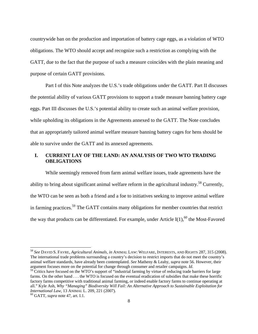countrywide ban on the production and importation of battery cage eggs, as a violation of WTO obligations. The WTO should accept and recognize such a restriction as complying with the GATT, due to the fact that the purpose of such a measure coincides with the plain meaning and purpose of certain GATT provisions.

Part I of this Note analyzes the U.S.'s trade obligations under the GATT. Part II discusses the potential ability of various GATT provisions to support a trade measure banning battery cage eggs. Part III discusses the U.S.'s potential ability to create such an animal welfare provision, while upholding its obligations in the Agreements annexed to the GATT. The Note concludes that an appropriately tailored animal welfare measure banning battery cages for hens should be able to survive under the GATT and its annexed agreements.

# **I. CURRENT LAY OF THE LAND: AN ANALYSIS OF TWO WTO TRADING OBLIGATIONS**

While seemingly removed from farm animal welfare issues, trade agreements have the ability to bring about significant animal welfare reform in the agricultural industry.<sup>58</sup> Currently, the WTO can be seen as both a friend and a foe to initiatives seeking to improve animal welfare in farming practices.<sup>59</sup> The GATT contains many obligations for member countries that restrict the way that products can be differentiated. For example, under Article I(1),<sup>60</sup> the Most-Favored

<sup>58</sup> *See* DAVID S. FAVRE, *Agricultural Animals, in* ANIMAL LAW: WELFARE, INTERESTS, AND RIGHTS 287, 315 (2008). The international trade problems surrounding a country's decision to restrict imports that do not meet the country's animal welfare standards, have already been contemplated. *See* Matheny & Leahy, *supra* note 56. However, their argument focuses more on the potential for change through consumer and retailer campaigns. *Id.* <sup>59</sup> Critics have focused on the WTO's support of "industrial farming by virtue of reducing trade barriers for large

farms. On the other hand . . . the WTO is focused on the eventual eradication of subsidies that make these horrific factory farms competitive with traditional animal farming, or indeed enable factory farms to continue operating at all." Kyle Ash, *Why "Managing" Biodiversity Will Fail: An Alternative Approach to Sustainable Exploitation for International Law,* 13 ANIMAL L. 209, 221 (2007). 60 GATT, *supra* note 47, art. I.1.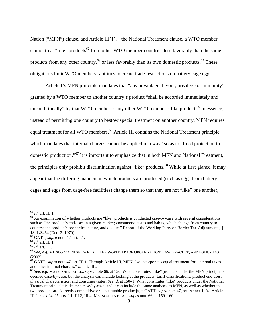Nation ("MFN") clause, and Article III(1), $^{61}$  the National Treatment clause, a WTO member cannot treat "like" products<sup>62</sup> from other WTO member countries less favorably than the same products from any other country,<sup>63</sup> or less favorably than its own domestic products.<sup>64</sup> These obligations limit WTO members' abilities to create trade restrictions on battery cage eggs.

Article I's MFN principle mandates that "any advantage, favour, privilege or immunity" granted by a WTO member to another country's product "shall be accorded immediately and unconditionally" by that WTO member to any other WTO member's like product.<sup>65</sup> In essence, instead of permitting one country to bestow special treatment on another country, MFN requires equal treatment for all WTO members.<sup>66</sup> Article III contains the National Treatment principle, which mandates that internal charges cannot be applied in a way "so as to afford protection to domestic production."67 It is important to emphasize that in both MFN and National Treatment, the principles only prohibit discrimination against "like" products.<sup>68</sup> While at first glance, it may appear that the differing manners in which products are produced (such as eggs from battery cages and eggs from cage-free facilities) change them so that they are not "like" one another,

<sup>&</sup>lt;sup>61</sup> *Id.* art. III.1.<br><sup>62</sup> An examination of whether products are "like" products is conducted case-by-case with several considerations, such as "the product's end-uses in a given market; consumers' tastes and habits, which change from country to country; the product's properties, nature, and quality." Report of the Working Party on Border Tax Adjustments*, ¶*  18, L/3464 (Dec. 2. 1970).<br><sup>63</sup> GATT, *supra* note 47, art. I.1.

<sup>&</sup>lt;sup>64</sup> Id. art. III.1.<br><sup>65</sup> Id. art. I.1.<br><sup>66</sup> See, e.g. Mitsuo Matsushita et al., The World Trade Organization: Law, Practice, and Policy 143 (2003).

<sup>67</sup> GATT, *supra* note 47, art. III.1. Through Article III, MFN also incorporates equal treatment for "internal taxes and other internal charges." *Id.* art. III.2. **68** *See, e.g. MATSUSHITA ET AL., <i>supra* note 66, at 150. What constitutes "like" products under the MFN principle is

deemed case-by-case, but the analysis can include looking at the products' tariff classifications, product end uses, physical characteristics, and consumer tastes. *See id.* at 150–1. What constitutes "like" products under the National Treatment principle is deemed case-by-case, and it can include the same analyses as MFN, as well as whether the two products are "directly competitive or substitutable product[s]." GATT, *supra* note 47, art. Annex I, Ad Article III.2; *see also id.* arts. I.1, III.2, III.4; MATSUSHITA ET AL., *supra* note 66, at 159–160.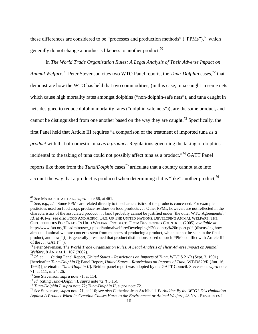these differences are considered to be "processes and production methods" ("PPMs"), $^{69}$  which generally do not change a product's likeness to another product.<sup>70</sup>

In *The World Trade Organisation Rules: A Legal Analysis of Their Adverse Impact on*  Animal Welfare,<sup>71</sup> Peter Stevenson cites two WTO Panel reports, the *Tuna-Dolphin* cases,<sup>72</sup> that demonstrate how the WTO has held that two commodities, (in this case, tuna caught in seine nets which cause high mortality rates amongst dolphins ("non-dolphin-safe nets"), and tuna caught in nets designed to reduce dolphin mortality rates ("dolphin-safe nets")), are the same product, and cannot be distinguished from one another based on the way they are caught.<sup>73</sup> Specifically, the first Panel held that Article III requires "a comparison of the treatment of imported tuna *as a product* with that of domestic tuna *as a product*. Regulations governing the taking of dolphins incidental to the taking of tuna could not possibly affect tuna as a product."<sup>74</sup> GATT Panel reports like those from the *Tuna/Dolphin* cases<sup>75</sup> articulate that a country cannot take into account the way that a product is produced when determining if it is "like" another product,  $76$ 

<sup>69</sup> *See* MATSUSHITA ET AL., *supra* note 66, at 461. 70 *See, e.g., id.* "Some PPMs are related directly to the characteristics of the products concerned. For example, pesticides used on food crops produce residues on food products . . . Other PPMs, however, are not reflected in the characteristics of the associated product . . . [and] probably cannot be justified under [the other WTO Agreements]." *Id.* at 461–2; *see also* FOOD AND AGRIC. ORG. OF THE UNITED NATIONS, DEVELOPING ANIMAL WELFARE: THE OPPORTUNITIES FOR TRADE IN HIGH WELFARE PRODUCTS FROM DEVELOPING COUNTRIES (2005), *available at*  http://www.fao.org/fileadmin/user\_upload/animalwelfare/Developing%20country%20report.pdf (discussing how almost all animal welfare concerns stem from manners of producing a product, which cannot be seen in the final product, and how "[i]t is generally presumed that product distinctions based on such PPMs conflict with Article III of the  $\ldots$  GATT $[$ ]").

<sup>71</sup> Peter Stevenson, *The World Trade Organisation Rules: A Legal Analysis of Their Adverse Impact on Animal* 

<sup>&</sup>lt;sup>72</sup> *Id.* at 111 (citing Panel Report, *United States – Restrictions on Imports of Tuna*, WT/DS 21/R (Sept. 3, 1991) [hereinafter *Tuna-Dolphin I*]; Panel Report, *United States – Restrictions on Imports of Tuna,* WT/DS29/R (Jun. 16, 1994) [hereinafter *Tuna-Dolphin II*]. Neither panel report was adopted by the GATT Council. Stevenson, *supra* note 71, at 111, n. 24, 26.<br>
<sup>73</sup> See Stevenson, *supra* note 71, at 114.<br>
<sup>74</sup> Id. (citing *Tuna-Dolphin I, supra* note 72, ¶ 5.15).<br>
<sup>75</sup> *Tuna-Dolphin I, supra* note 72; *Tuna-Dolphin II, supra* note 72.<br>
<sup>75</sup> See Stevenson

*Against A Product When Its Creation Causes Harm to the Environment or Animal Welfare,* 48 NAT. RESOURCES J.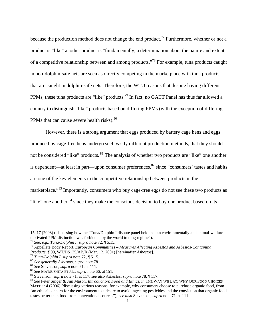because the production method does not change the end product.<sup>77</sup> Furthermore, whether or not a product is "like" another product is "fundamentally, a determination about the nature and extent of a competitive relationship between and among products."78 For example, tuna products caught in non-dolphin-safe nets are seen as directly competing in the marketplace with tuna products that are caught in dolphin-safe nets. Therefore, the WTO reasons that despite having different PPMs, these tuna products are "like" products.79 In fact, no GATT Panel has thus far allowed a country to distinguish "like" products based on differing PPMs (with the exception of differing PPMs that can cause severe health risks).<sup>80</sup>

However, there is a strong argument that eggs produced by battery cage hens and eggs produced by cage-free hens undergo such vastly different production methods, that they should not be considered "like" products. <sup>81</sup> The analysis of whether two products are "like" one another is dependent—at least in part—upon consumer preferences, ${}^{82}$  since "consumers' tastes and habits are one of the key elements in the competitive relationship between products in the marketplace."<sup>83</sup> Importantly, consumers who buy cage-free eggs do not see these two products as "like" one another,  $84$  since they make the conscious decision to buy one product based on its

l

tastes better than food from conventional sources"); *see also* Stevenson, *supra* note 71, at 111.

<sup>15, 17 (2008) (</sup>discussing how the "Tuna/Dolphin I dispute panel held that an environmentally and animal-welfare motivated PPM distinction was forbidden by the world trading regime").<br>  $^{77}$  See, e.g., Tuna-Dolphin I, supra note 72, ¶ 5.15.

<sup>&</sup>lt;sup>78</sup> Appellate Body Report, *European Communities – Measures Affecting Asbestos and Asbestos-Containing Products*, ¶ 99, WT/DS135/AB/R (Mar. 12, 2001) [hereinafter *Asbestos*].

<sup>&</sup>lt;sup>79</sup> Tuna-Dolphin I, supra note 72, ¶ 5.15.<br><sup>80</sup> See generally Asbestos, supra note 78.<br><sup>81</sup> See Stevenson, supra note 71, at 111.<br><sup>82</sup> See MATSUSHITA ET AL., supra note 66, at 151.<br><sup>83</sup> Stevenson, supra note 71, at 117; MATTER 4 (2006) (discussing various reasons, for example, why consumers choose to purchase organic food, from "an ethical concern for the environment to a desire to avoid ingesting pesticides and the conviction that organic food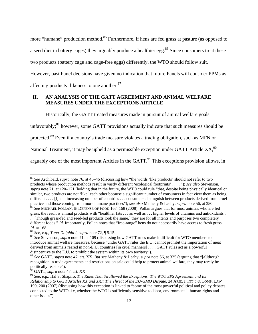more "humane" production method.<sup>85</sup> Furthermore, if hens are fed grass at pasture (as opposed to a seed diet in battery cages) they arguably produce a healthier egg.<sup>86</sup> Since consumers treat these two products (battery cage and cage-free eggs) differently, the WTO should follow suit.

However, past Panel decisions have given no indication that future Panels will consider PPMs as affecting products' likeness to one another.<sup>87</sup>

# **II. AN ANALYSIS OF THE GATT AGREEMENT AND ANIMAL WELFARE MEASURES UNDER THE EXCEPTIONS ARTICLE**

Historically, the GATT treated measures made in pursuit of animal welfare goals

unfavorably;<sup>88</sup> however, some GATT provisions actually indicate that such measures should be

protected.89 Even if a country's trade measure violates a trading obligation, such as MFN or

National Treatment, it may be upheld as a permissible exception under GATT Article XX, <sup>90</sup>

arguably one of the most important Articles in the GATT. $91$  This exceptions provision allows, in

<sup>85</sup> *See* Archibald, *supra* note 76, at 45–46 (discussing how "the words 'like products' should not refer to two products whose production methods result in vastly different 'ecological footprints' . . . . "); *see also* Stevenson, *supra* note 71, at 120–121 (holding that in the future, the WTO could rule "that, despite being physically identical or similar, two products are not 'like' each other because a significant number of consumers in fact view them as being different . . . . [I]n an increasing number of countries . . . consumers distinguish between products derived from cruel practice and those coming from more humane practices"); see also Matheny & Leahy, supra note 56, at 350.<br><sup>86</sup> See MICHAEL POLLAN, IN DEFENSE OF FOOD 167–168 (2008). Pollan argues that for most animals who are fed

grass, the result is animal products with "healthier fats . . . as well as . . . higher levels of vitamins and antioxidants . . . [Though grass-fed and seed-fed products look the same,] they are for all intents and purposes two completely

different foods." *Id*. Importantly, Pollan notes that "free-range" hens do not necessarily have access to fresh grass. *Id.* at 168.

<sup>&</sup>lt;sup>87</sup> *See, e.g., Tuna-Dolphin I, supra* note 72, ¶ 5.15.<br><sup>88</sup> *See Stevenson, <i>supra* note 71, at 109 (discussing how GATT rules make it difficult for WTO members to introduce animal welfare measures, because "under GATT rules the E.U. cannot prohibit the importation of meat derived from animals reared in non-E.U. countries [in cruel manners] . . . . GATT rules act as a powerful disincentive to the E.U. to prohibit the system within its own territory").

<sup>89</sup> *See* GATT, *supra* note 47, art. XX. *But see* Matheny & Leahy, *supra* note 56, at 325 (arguing that "[a]lthough recognition in trade agreements and restrictions on sale could help to protect animal welfare, they may rarely be politically feasible").

<sup>&</sup>lt;sup>50</sup> GATT, *supra* note 47, art. XX.

<sup>91</sup> *See, e.g.,* Hal S. Shapiro, *The Rules That Swallowed the Exceptions: The WTO SPS Agreement and Its Relationship to GATT Articles XX and XXI: The Threat of the EU-GMO Dispute,* 24 ARIZ. J. INT'L & COMP. LAW 199, 200 (2007) (discussing how this exception is linked to "some of the most powerful political and policy debates connected to the WTO–i.e, whether the WTO is sufficiently sensitive to labor, environmental, human rights and other issues").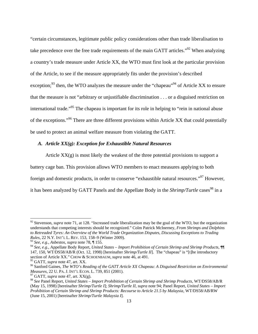"certain circumstances, legitimate public policy considerations other than trade liberalisation to take precedence over the free trade requirements of the main GATT articles."<sup>92</sup> When analyzing a country's trade measure under Article XX, the WTO must first look at the particular provision of the Article, to see if the measure appropriately fits under the provision's described exception;<sup>93</sup> then, the WTO analyzes the measure under the "chapeau"<sup>94</sup> of Article XX to ensure that the measure is not "arbitrary or unjustifiable discrimination . . . or a disguised restriction on international trade."<sup>95</sup> The chapeau is important for its role in helping to "rein in national abuse of the exceptions."96 There are three different provisions within Article XX that could potentially be used to protect an animal welfare measure from violating the GATT.

# *A. Article XX(g): Exception for Exhaustible Natural Resources*

Article  $XX(g)$  is most likely the weakest of the three potential provisions to support a battery cage ban. This provision allows WTO members to enact measures applying to both foreign and domestic products, in order to conserve "exhaustible natural resources."97 However, it has been analyzed by GATT Panels and the Appellate Body in the *Shrimp/Turtle* cases<sup>98</sup> in a

<sup>&</sup>lt;sup>92</sup> Stevenson, *supra* note 71, at 128. "Increased trade liberalization may be the goal of the WTO, but the organization understands that competing interests should be recognized." Colm Patrick McInerney, *From Shrimps and Dolphins to Retreaded Tyres: An Overview of the World Trade Organization Disputes, Discussing Exceptions to Trading Rules,* 22 N.Y. INT'L L. REV. 153, 158–9 (Winter 2009).

<sup>93</sup> *See, e.g., Asbestos, supra* note 78, ¶ 155.

<sup>94</sup> *See, e.g.,* Appellate Body Report, *United States – Import Prohibition of Certain Shrimp and Shrimp Products,* ¶¶ 147, 150, WT/DS58/AB/R (Oct. 12, 1998) [hereinafter *Shrimp/Turtle II*]. The "chapeau" is "[t]he introductory section of Article XX." CHOW & SCHOENBAUM, *supra* note 46, at 491.<br><sup>95</sup> GATT, *supra* note 47, art. XX.

<sup>&</sup>lt;sup>96</sup> Sanford Gaines, *The WTO's Reading of the GATT Article XX Chapeau: A Disguised Restriction on Environmental Measures, 22 U. PA. J. INT'L ECON. L. 739, 851 (2001).* 97 GATT, *supra* note 47, art. XX(g).

<sup>98</sup> *See* Panel Report, *United States – Import Prohibition of Certain Shrimp and Shrimp Products,* WT/DS58/AB/R (May 15, 1998) [hereinafter *Shrimp/Turtle I*]; *Shrimp/Turtle II, supra* note 94; Panel Report, *United States – Import Prohibition of Certain Shrimp and Shrimp Products: Recourse to Article 21.5 by Malaysia,* WT/DS58/AB/RW (June 15, 2001) [hereinafter *Shrimp/Turtle Malaysia I*].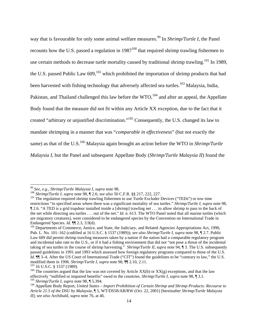way that is favourable for only some animal welfare measures.<sup>99</sup> In *Shrimp/Turtle I*, the Panel recounts how the U.S. passed a regulation in  $1987^{100}$  that required shrimp trawling fishermen to use certain methods to decrease turtle mortality caused by traditional shrimp trawling.<sup>101</sup> In 1989, the U.S. passed Public Law  $609$ ,  $^{102}$  which prohibited the importation of shrimp products that had been harvested with fishing technology that adversely affected sea turtles.<sup>103</sup> Malaysia, India, Pakistan, and Thailand challenged this law before the WTO,<sup>104</sup> and after an appeal, the Appellate Body found that the measure did not fit within any Article XX exception, due to the fact that it created "arbitrary or unjustified discrimination."105 Consequently, the U.S. changed its law to mandate shrimping in a manner that was "*comparable in effectiveness*" (but not exactly the same) as that of the U.S.<sup>106</sup> Malaysia again brought an action before the WTO in *Shrimp/Turtle Malaysia I*, but the Panel and subsequent Appellate Body (*Shrimp/Turtle Malaysia II*) found the

<sup>&</sup>lt;sup>99</sup> See, e.g., Shrimp/Turtle Malaysia I, supra note 98.<br><sup>100</sup> Shrimp/Turtle I, supra note 98,  $\P$  2.6; see also 50 C.F.R. §§ 217, 222, 227.<br><sup>101</sup> The regulation required shrimp trawling fishermen to use Turtle Excluder D restrictions "in specified areas where there was a significant mortality of sea turtles." *Shrimp/Turtle I, supra* note 98, ¶ 2.6. "A TED is a grid trapdoor installed inside a [shrimp] trawling net . . . to allow shrimp to pass to the back of the net while directing sea turtles . . . out of the net." *Id.* n. 613. The WTO Panel noted that all marine turtles (which are migratory creatures), were considered to be endangered species by the Convention on International Trade in Endangered Species. *Id.*  $\P$  2.3, 3.9(d).<br><sup>102</sup> Departments of Commerce, Justice, and State, the Judiciary, and Related Agencies Appropriations Act, 1990,

Pub. L. No. 101–162 (codified at 16 U.S.C. § 1537 (1989)); *see also Shrimp/Turtle I, supra* note 98, ¶ 2.7. Public Law 609 did permit shrimp trawling measures taken by a nation if the nation had a comparable regulatory program and incidental take rate to the U.S., or if it had a fishing environment that did not "not pose a threat of the incidental taking of sea turtles in the course of shrimp harvesting." *Shrimp/Turtle II, supra* note 94, ¶ 3. The U.S. subsequently passed guidelines in 1991 and 1993 which assessed how foreign regulatory programs compared to those of the U.S. *Id.*  $\llbracket \text{M} \rrbracket$  3–4. After the US Court of International Trade ("CIT") found the guidelines to be "contrary to law," the U.S. modified them in 1996. Shrimp/Turtle I, supra note 98,  $\llbracket \text{M} \rrbracket$  2.10, 2.11.

<sup>&</sup>lt;sup>103</sup> 16 U.S.C. § 1537 (1989).<br><sup>104</sup> The countries argued that the law was not covered by Article XX(b) or XX(g) exceptions, and that the law effectively "nullified or impaired benefits" owed to the countries. *Shrimp/Tur* <sup>105</sup> Shrimp/Turtle I, supra note 98,  $\P$  5.394.<br><sup>106</sup> Appellate Body Report, *United States – Import Prohibition of Certain Shrimp and Shrimp Products: Recourse to* 

*Article 21.5 of the DSU by Malaysia,* ¶ 5, WT/DS58/AB/RW (Oct. 22, 2001) [hereinafter *Shrimp/Turtle Malaysia II*]; *see also* Archibald, *supra* note 76, at 46.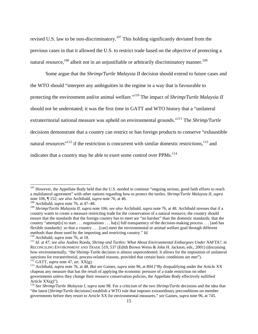revised U.S. law to be non-discriminatory.<sup>107</sup> This holding significantly deviated from the previous cases in that it allowed the U.S. to restrict trade based on the objective of protecting a natural resource,<sup>108</sup> albeit not in an unjustifiable or arbitrarily discriminatory manner.<sup>109</sup>

Some argue that the *Shrimp/Turtle Malaysia II* decision should extend to future cases and the WTO should "interpret any ambiguities in the regime in a way that is favourable to protecting the environment and/or animal welfare."110 The impact of *Shrimp/Turtle Malaysia II*  should not be understated; it was the first time in GATT and WTO history that a "unilateral extraterritorial national measure was upheld on environmental grounds."111 The *Shrimp/Turtle* decisions demonstrate that a country can restrict or ban foreign products to conserve "exhaustible natural resources"<sup>112</sup> if the restriction is concurrent with similar domestic restrictions,  $^{113}$  and indicates that a country may be able to exert some control over PPMs.<sup>114</sup>

 $107$  However, the Appellate Body held that the U.S. needed to continue "ongoing serious, good faith efforts to reach a multilateral agreement" with other nations regarding how to protect the turtles. *Shrimp/Turtle Malaysia II, supra*  note 106, ¶ 152; *see also* Archibald, *supra* note 76, at 46. 108 Archibald, *supra* note 76, at 47–48.

<sup>109</sup> *Shrimp/Turtle Malaysia II, supra* note 106; *see also* Archibald, *supra* note 76, at 48. Archibald stresses that if a country wants to create a measure restricting trade for the conservation of a natural resource, the country should ensure that the standards that the foreign country has to meet are "no harsher" than the domestic standards; that the country "attempt[s] to start . . . negotiations . . . ha[s] full transparency of the decision-making process . . . [and has flexible standards] so that a country . . . [can] meet the environmental or animal welfare goal through different methods than those used by the importing and restricting country."  $Id$ .

 $110$  Archibald, *supra* note 76, at 18.<br><sup>110</sup> Archibald, *supra* note 76, at 18.<br><sup>111</sup> Id. at 47; see also Andres Rueda, *Shrimp and Turtles: What About Environmental Embargoes Under NAFTA?*, *in* RECONCILING ENVIRONMENT AND TRADE 519, 537 (Edith Brown Weiss & John H. Jackson, eds., 2001) (discussing how environmentally, "the Shrimp-Turtle decision is almost unprecedented. It allows for the imposition of unilateral sanctions for extraterritorial, process-related reasons, provided that certain basic conditions are met").<br><sup>112</sup> GATT, *supra* note 47, art. XX(g).<br><sup>113</sup> Archibald, *supra* note 76, at 48. *But see* Gaines, *supra* note 96

chapeau any measure that has the result of applying the economic pressure of a trade restriction on other governments unless they change their resource conservation policies, the Appellate Body effectively nullified Article  $XX(g)$ ").

<sup>114</sup> *See Shrimp/Turtle Malaysia I, supra* note 98. For a criticism of the two *Shrimp/Turtle* decisions and the idea that "the latest [*Shrimp/Turtle* decisions] establish a WTO rule that imposes extraordinary preconditions on member governments before they resort to Article XX for environmental measures," *see* Gaines, *supra* note 96, at 745.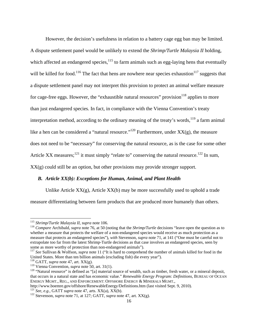However, the decision's usefulness in relation to a battery cage egg ban may be limited. A dispute settlement panel would be unlikely to extend the *Shrimp/Turtle Malaysia II* holding, which affected an endangered species,  $115$  to farm animals such as egg-laying hens that eventually will be killed for food.<sup>116</sup> The fact that hens are nowhere near species exhaustion<sup>117</sup> suggests that a dispute settlement panel may not interpret this provision to protect an animal welfare measure for cage-free eggs. However, the "exhaustible natural resources" provision $118$  applies to more than just endangered species. In fact, in compliance with the Vienna Convention's treaty interpretation method, according to the ordinary meaning of the treaty's words, $^{119}$  a farm animal like a hen can be considered a "natural resource."<sup>120</sup> Furthermore, under  $XX(g)$ , the measure does not need to be "necessary" for conserving the natural resource, as is the case for some other Article XX measures;<sup>121</sup> it must simply "relate to" conserving the natural resource.<sup>122</sup> In sum,  $XX(g)$  could still be an option, but other provisions may provide stronger support.

### *B. Article XX(b): Exceptions for Human, Animal, and Plant Health*

Unlike Article  $XX(g)$ , Article  $XX(b)$  may be more successfully used to uphold a trade measure differentiating between farm products that are produced more humanely than others.

<sup>&</sup>lt;sup>115</sup> Shrimp/Turtle Malaysia II, supra note 106.

<sup>&</sup>lt;sup>116</sup> Compare Archibald, *supra* note 76, at 50 (noting that the *Shrimp/Turtle* decisions "leave open the question as to whether a measure that protects the welfare of a non-endangered species would receive as much protection as a measure that protects an endangered species"), *with* Stevenson, *supra* note 71, at 141 ("One must be careful not to extrapolate too far from the latest Shrimp-Turtle decisions as that case involves an endangered species, seen by some as more worthy of protection than non-endangered animals").

<sup>&</sup>lt;sup>117</sup> See Sullivan & Wolfson, *supra* note 11 ("It is hard to comprehend the number of animals killed for food in the United States. More than ten billion animals (excluding fish) die every year").

<sup>&</sup>lt;sup>118</sup> GATT, *supra* note 47, art. XX(g).<br><sup>119</sup> Vienna Convention, *supra* note 50, art. 31(1).

<sup>&</sup>lt;sup>120</sup> "Natural resource" is defined as "[a] material source of wealth, such as timber, fresh water, or a mineral deposit, that occurs in a natural state and has economic value." *Renewable Energy Program: Definitions,* BUREAU OF OCEAN ENERGY MGMT., REG., AND ENFORCEMENT: OFFSHORE ENERGY & MINERALS MGMT.,<br>http://www.boemre.gov/offshore/RenewableEnergy/Definitions.htm (last visited Sept. 9. 2010).

<sup>&</sup>lt;sup>121</sup> See, e.g., GATT *supra* note 47, arts. XX(a), XX(b).<br><sup>122</sup> Stevenson, *supra* note 71, at 127; GATT, *supra* note 47, art. XX(g).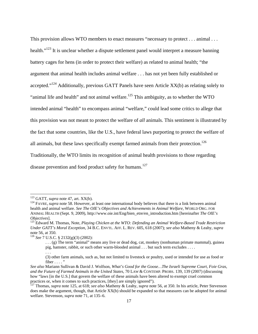This provision allows WTO members to enact measures "necessary to protect . . . animal . . . health."<sup>123</sup> It is unclear whether a dispute settlement panel would interpret a measure banning battery cages for hens (in order to protect their welfare) as related to animal health; "the argument that animal health includes animal welfare . . . has not yet been fully established or accepted."<sup>124</sup> Additionally, previous GATT Panels have seen Article  $XX(b)$  as relating solely to "animal life and health" and not animal welfare.<sup>125</sup> This ambiguity, as to whether the WTO intended animal "health" to encompass animal "welfare," could lead some critics to allege that this provision was not meant to protect the welfare of *all* animals. This sentiment is illustrated by the fact that some countries, like the U.S., have federal laws purporting to protect the welfare of all animals, but these laws specifically exempt farmed animals from their protection.<sup>126</sup> Traditionally, the WTO limits its recognition of animal health provisions to those regarding disease prevention and food product safety for humans.<sup>127</sup>

 $123$  GATT, *supra* note 47, art. XX(b).

<sup>&</sup>lt;sup>124</sup> FAVRE, *supra* note 58. However, at least one international body believes that there is a link between animal health and animal welfare. *See The OIE's Objectives and Achievements in Animal Welfare,* WORLD ORG. FOR ANIMAL HEALTH (Sept. 9, 2009), http://www.oie.int/Eng/bien\_etre/en\_introduction.htm [hereinafter *The OIE's Objectives*].<br><sup>125</sup> Edward M. Thomas, Note, *Playing Chicken at the WTO: Defending an Animal Welfare-Based Trade Restriction* 

*Under GATT's Moral Exception*, 34 B.C. ENVTL. AFF. L. REV. 605, 618 (2007); *see also* Matheny & Leahy, *supra*  note 56, at 350. 126 *See* 7 U.S.C. § 2132(g)(3) (2002):

<sup>. . . (</sup>g) The term "animal" means any live or dead dog, cat, monkey (nonhuman primate mammal), guinea pig, hamster, rabbit, or such other warm-blooded animal . . . but such term excludes . . . . . . .

<sup>(3)</sup> other farm animals, such as, but not limited to livestock or poultry, used or intended for use as food or fiber  $\dots$ ."

*See also* Mariann Sullivan & David J. Wolfson, *What's Good for the Goose…The Israeli Supreme Court, Foie Gras, and the Future of Farmed Animals in the United States,* 70 LAW & CONTEMP. PROBS. 139, 139 (2007) (discussing how "laws [in the U.S.] that govern the welfare of these animals have been altered to exempt cruel common practices or, when it comes to such practices, [they] are simply ignored").<br><sup>127</sup> Thomas, *supra* note 125, at 618; *see also* Matheny & Leahy, *supra* note 56, at 350. In his article, Peter Stevenson

does make the argument, though, that Article XX(b) should be expanded so that measures can be adopted for animal welfare. Stevenson, *supra* note 71, at 135–6.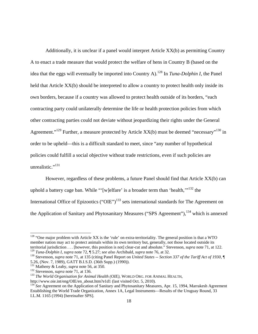Additionally, it is unclear if a panel would interpret Article XX(b) as permitting Country A to enact a trade measure that would protect the welfare of hens in Country B (based on the idea that the eggs will eventually be imported into Country A).128 In *Tuna-Dolphin I*, the Panel held that Article XX(b) should be interpreted to allow a country to protect health only inside its own borders, because if a country was allowed to protect health outside of its borders, "each contracting party could unilaterally determine the life or health protection policies from which other contracting parties could not deviate without jeopardizing their rights under the General Agreement."<sup>129</sup> Further, a measure protected by Article XX(b) must be deemed "necessary"<sup>130</sup> in order to be upheld—this is a difficult standard to meet, since "any number of hypothetical policies could fulfill a social objective without trade restrictions, even if such policies are unrealistic." $^{131}$ 

However, regardless of these problems, a future Panel should find that Article XX(b) can uphold a battery cage ban. While "'[w]elfare' is a broader term than 'health, $\cdot$ "<sup>132</sup> the International Office of Epizootics ("OIE")<sup>133</sup> sets international standards for The Agreement on the Application of Sanitary and Phytosanitary Measures ("SPS Agreement"),<sup>134</sup> which is annexed

 $128$  "One major problem with Article XX is the 'rule' on extra-territoriality. The general position is that a WTO member nation may act to protect animals within its own territory but, generally, not those located outside its territorial jurisdiction . . . [however, this position is not] clear-cut and absolute." Stevenson, *supra* note 71, at 122.

<sup>&</sup>lt;sup>129</sup> Tuna-Dolphin I, supra note 72, ¶ 5.27; see also Archibald, supra note 76, at 32.<br><sup>130</sup> Stevenson, supra note 71, at 135 (citing Panel Report on *United States -- Section 337 of the Tariff Act of 1930*, ¶ 5.26, (Nov. 7, 1989), GATT B.I.S.D. (36th Supp.) (1990)).<br>
<sup>131</sup> Matheny & Leahy, *supra* note 56, at 350.<br>
<sup>132</sup> Stevenson, *supra* note 71, at 136.<br>
<sup>133</sup> The World Organisation for Animal Health (OIE), WORLD ORG. FOR A

http://www.oie.int/eng/OIE/en\_about.htm?e1d1 (last visited Oct. 5, 2010).

<sup>&</sup>lt;sup>134</sup> *See* Agreement on the Application of Sanitary and Phytosanitary Measures, Apr. 15, 1994, Marrakesh Agreement Establishing the World Trade Organization, Annex 1A, Legal Instruments—Results of the Uruguay Round, 33 I.L.M. 1165 (1994) [hereinafter SPS].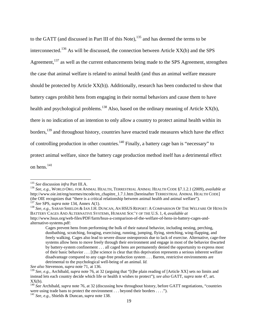to the GATT (and discussed in Part III of this Note),<sup>135</sup> and has deemed the terms to be interconnected.<sup>136</sup> As will be discussed, the connection between Article  $XX(b)$  and the SPS Agreement,<sup>137</sup> as well as the current enhancements being made to the SPS Agreement, strengthen the case that animal welfare is related to animal health (and thus an animal welfare measure should be protected by Article XX(b)). Additionally, research has been conducted to show that battery cages prohibit hens from engaging in their normal behaviors and cause them to have health and psychological problems.<sup>138</sup> Also, based on the ordinary meaning of Article XX(b), there is no indication of an intention to only allow a country to protect animal health within its borders,<sup>139</sup> and throughout history, countries have enacted trade measures which have the effect of controlling production in other countries.<sup>140</sup> Finally, a battery cage ban is "necessary" to protect animal welfare, since the battery cage production method itself has a detrimental effect on hens.<sup>141</sup>

*See also* Stevenson, *supra* note 71, at 136.

 $135$  See discussion *infra* Part III.A.

<sup>&</sup>lt;sup>136</sup> See, e.g., WORLD ORG. FOR ANIMAL HEALTH, TERRESTRIAL ANIMAL HEALTH CODE §7.1.2.1 (2009), *available at* http://www.oie.int/eng/normes/mcode/en\_chapitre\_1.7.1.htm [hereinafter TERRESTRIAL ANIMAL HEALTH CODE] (the OIE recognizes that "there is a critical relationship between animal health and animal welfare").<br><sup>137</sup> See SPS, *supra* note 134, Annex A(1).<br><sup>138</sup> See, e.g., SARAH SHIELDS & IAN J.H. DUNCAN, AN HSUS REPORT: A COMPAR

BATTERY CAGES AND ALTERNATIVE SYSTEMS, HUMANE SOC'Y OF THE U.S. 1, 4, *available at* http://www.hsus.org/web-files/PDF/farm/hsus-a-comparison-of-the-welfare-of-hens-in-battery-cages-andalternative-systems.pdf:

Cages prevent hens from performing the bulk of their natural behavior, including nesting, perching, dustbathing, scratching, foraging, exercising, running, jumping, flying, stretching, wing-flapping, and freely walking. Cages also lead to severe disuse osteoporosis due to lack of exercise. Alternative, cage-free systems allow hens to move freely through their environment and engage in most of the behavior thwarted by battery-system confinement . . . all caged hens are permanently denied the opportunity to express most of their basic behavior . . . [t]he science is clear that this deprivation represents a serious inherent welfare disadvantage compared to any cage-free production system . . . Barren, restrictive environments are detrimental to the psychological well-being of an animal. *Id.* 

<sup>139</sup> *See, e.g.,* Archibald, *supra* note 76, at 32 (arguing that "[t]he plain reading of [Article XX] sets no limits and instead lets each country decide which life or health it wishes to protect"); *see also* GATT, *supra* note 47, art.  $XX(b)$ .

<sup>140</sup> *See* Archibald, *supra* note 76, at 32 (discussing how throughout history, before GATT negotiations, "countries were using trade bans to protect the environment . . . beyond their borders . . . .").

<sup>141</sup> *See, e.g.,* Shields & Duncan, *supra* note 138.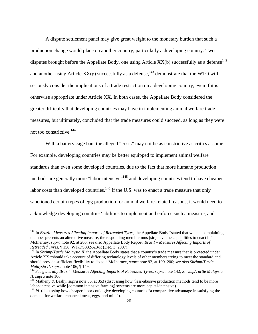A dispute settlement panel may give great weight to the monetary burden that such a production change would place on another country, particularly a developing country. Two disputes brought before the Appellate Body, one using Article  $XX(b)$  successfully as a defense<sup>142</sup> and another using Article  $XX(g)$  successfully as a defense,<sup>143</sup> demonstrate that the WTO will seriously consider the implications of a trade restriction on a developing country, even if it is otherwise appropriate under Article XX. In both cases, the Appellate Body considered the greater difficulty that developing countries may have in implementing animal welfare trade measures, but ultimately, concluded that the trade measures could succeed, as long as they were not too constrictive.<sup>144</sup>

With a battery cage ban, the alleged "costs" may not be as constrictive as critics assume. For example, developing countries may be better equipped to implement animal welfare standards than even some developed countries, due to the fact that more humane production methods are generally more "labor-intensive"<sup>145</sup> and developing countries tend to have cheaper labor costs than developed countries.<sup>146</sup> If the U.S. was to enact a trade measure that only sanctioned certain types of egg production for animal welfare-related reasons, it would need to acknowledge developing countries' abilities to implement and enforce such a measure, and

<sup>&</sup>lt;sup>142</sup> In *Brazil –Measures Affecting Imports of Retreaded Tyres*, the Appellate Body "stated that when a complaining member presents an alternative measure, the responding member mus [sic] have the capabilities to enact it." McInerney, *supra* note 92, at 200; *see also* Appellate Body Report, *Brazil – Measures Affecting Imports of Retreaded Tyres*, ¶ 156, WT/DS332/AB/R (Dec. 3, 2007).<br><sup>143</sup> In *Shrimp/Turtle Malaysia II*, the Appellate Body states that a country's trade measure that is protected under

Article XX "should take account of differing technology levels of other members trying to meet the standard and should provide sufficient flexibility to do so." McInerney, *supra* note 92, at 199–200; *see also Shrimp/Turtle* 

*Malaysia II, supra* note 106, ¶ 149.<br><sup>144</sup> *See generally Brazil –Measures Affecting Imports of Retreaded Tyres, supra* note 142; *Shrimp/Turtle Malaysia II, supra* note 106.

<sup>&</sup>lt;sup>145</sup> Matheny & Leahy, *supra* note 56, at 353 (discussing how "less-abusive production methods tend to be more labor-intensive while [common intensive farming] systems are more capital-intensive).

 $146$  *Id.* (discussing how cheaper labor could give developing countries "a comparative advantage in satisfying the demand for welfare-enhanced meat, eggs, and milk").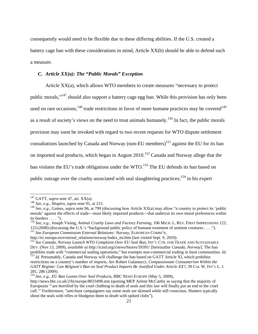consequently would need to be flexible due to these differing abilities. If the U.S. created a battery cage ban with these considerations in mind, Article XX(b) should be able to defend such a measure.

#### *C. Article XX(a): The "Public Morals" Exception*

Article  $XX(a)$ , which allows WTO members to create measures "necessary to protect public morals,"147 should also support a battery cage egg ban. While this provision has only been used on rare occasions,  $^{148}$  trade restrictions in favor of more humane practices may be covered  $^{149}$ as a result of society's views on the need to treat animals humanely.<sup>150</sup> In fact, the public morals provision may soon be invoked with regard to two recent requests for WTO dispute settlement consultations launched by Canada and Norway (non-EU members)<sup>151</sup> against the EU for its ban on imported seal products, which began in August 2010.<sup>152</sup> Canada and Norway allege that the ban violates the EU's trade obligations under the WTO.<sup>153</sup> The EU defends its ban based on public outrage over the cruelty associated with seal slaughtering practices;  $154$  in his expert

<sup>147</sup> GATT, *supra* note 47, art. XX(a). 148 *See, e.g.,* Shapiro, *supra* note 91, at 215.

<sup>149</sup> *See, e.g.,* Gaines, *supra* note 96, at 799 (discussing how Article XX(a) may allow "a country to protect its 'public morals' against the effects of trade—most likely imported products—that undercut its own moral preferences within its borders . . . . ").

<sup>150</sup> *See, e.g.,* Joseph Vining, *Animal Cruelty Laws and Factory Farming,* 106 MICH. L. REV. FIRST IMPRESSIONS 123, <sup>123</sup> (2008) (discussing the U.S.'s "background public policy of humane treatment of sentient creatures . . . ."). 151 *See European Commission External Relations: Norway,* EUROPEAN COMM'N,

http://ec.europa.eu/external\_relations/norway/index\_en.htm (last visited Sept. 9, 2010).

<sup>&</sup>lt;sup>152</sup> See Canada, Norway Launch WTO Complaint Over EU Seal Ban, INT'L CTR. FOR TRADE AND SUSTAINABLE DEV. (Nov.13, 2009), *available at* http://ictsd.org/i/news/biores/59391/ [hereinafter *Canada, Norway*]. The ban

prohibits trade with "commercial sealing operations," but exempts non-commercial trading in Inuit communities. Id.<br><sup>153</sup> Id. Presumably, Canada and Norway will challenge the ban based on GATT Article XI, which prohibits restrictions on a country's number of imports. *See* Robert Galantucci, *Compassionate Consumerism Within the*  GATT Regime: Can Belgium's Ban on Seal Product Imports Be Justified Under Article XX?, 39 CAL W. INT'L L. J. 281, 286 (2009).

<sup>154</sup> *See, e.g., EU Ban Looms Over Seal Products,* BBC NEWS EUROPE (May 5, 2009),

http://news.bbc.co.uk/2/hi/europe/8033498.stm (quoting MEP Arlene McCarthy as saying that the majority of Europeans "'are horrified by the cruel clubbing to death of seals and this law will finally put an end to the cruel cull.'" Furthermore, "anti-hunt campaigners say some seals are skinned while still conscious. Hunters typically shoot the seals with rifles or bludgeon them to death with spiked clubs").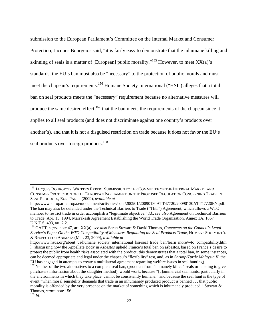submission to the European Parliament's Committee on the Internal Market and Consumer Protection, Jacques Bourgeios said, "it is fairly easy to demonstrate that the inhumane killing and skinning of seals is a matter of [European] public morality."<sup>155</sup> However, to meet  $XX(a)$ 's standards, the EU's ban must also be "necessary" to the protection of public morals and must meet the chapeau's requirements.<sup>156</sup> Humane Society International ("HSI") alleges that a total ban on seal products meets the "necessary" requirement because no alternative measures will produce the same desired effect, $157$  that the ban meets the requirements of the chapeau since it applies to all seal products (and does not discriminate against one country's products over another's), and that it is not a disguised restriction on trade because it does not favor the EU's seal products over foreign products.<sup>158</sup>

<sup>&</sup>lt;sup>155</sup> JACQUES BOURGEOIS, WRITTEN EXPERT SUBMISSION TO THE COMMITTEE ON THE INTERNAL MARKET AND CONSUMER PROTECTION OF THE EUROPEAN PARLIAMENT ON THE PROPOSED REGULATION CONCERNING TRADE IN SEAL PRODUCTS, EUR. PARL., (2009), *available at* 

http://www.europarl.europa.eu/document/activities/cont/200901/20090130ATT47720/20090130ATT47720EN.pdf. The ban may also be defended under the Technical Barriers to Trade ("TBT") Agreement, which allows a WTO member to restrict trade in order accomplish a "legitimate objective." *Id.*; *see also* Agreement on Technical Barriers to Trade, Apr. 15, 1994, Marrakesh Agreement Establishing the World Trade Organization, Annex 1A, 1867 U.N.T.S. 493, art. 2.2.

<sup>156</sup> GATT, *supra* note 47, art. XX(a); *see also* Sarah Stewart & David Thomas, *Comments on the Council's Legal Service's Paper On the WTO Compatibility of Measures Regulating the Seal Products Trade*, HUMANE SOC'Y INT'L & RESPECT FOR ANIMALS (Mar. 23, 2009), *available at* 

http://www.hsus.org/about\_us/humane\_society\_international\_hsi/seal\_trade\_ban/learn\_more/wto\_compatibility.htm l. (discussing how the Appellate Body in *Asbestos* upheld France's total ban on asbestos, based on France's desire to protect the public from health risks associated with the product; this demonstrates that a total ban, in some instances, can be deemed appropriate and legal under the chapeau's "flexibility" test, and, as in *Shrimp/Turtle Malaysia II,* the EU has engaged in attempts to create a multilateral agreement regarding welfare issues in seal hunting). 157 Neither of the two alternatives to a complete seal ban, (products from "humanely killed" seals or labeling to give

purchasers information about the slaughter method), would work, because "[c]ommercial seal hunts, particularly in the environments in which they take place, cannot be consistently humane," and because the seal hunt is the type of event "when moral sensibility demands that trade in an inhumanely produced product is banned . . . that public morality is offended by the very presence on the market of something which is inhumanely produced." Stewart & Thomas*, supra* note 156. 158 *Id*.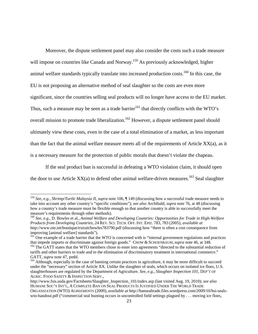Moreover, the dispute settlement panel may also consider the costs such a trade measure will impose on countries like Canada and Norway.<sup>159</sup> As previously acknowledged, higher animal welfare standards typically translate into increased production costs.<sup>160</sup> In this case, the EU is not proposing an alternative method of seal slaughter so the costs are even more significant, since the countries selling seal products will no longer have access to the EU market. Thus, such a measure may be seen as a trade barrier<sup>161</sup> that directly conflicts with the WTO's overall mission to promote trade liberalization.<sup>162</sup> However, a dispute settlement panel should ultimately view these costs, even in the case of a total elimination of a market, as less important than the fact that the animal welfare measure meets all of the requirements of Article XX(a), as it is a necessary measure for the protection of public morals that doesn't violate the chapeau.

If the seal product ban is successful in defeating a WTO violation claim, it should open the door to use Article  $XX(a)$  to defend other animal welfare-driven measures.<sup>163</sup> Seal slaughter

<sup>159</sup> *See, e.g., Shrimp/Turtle Malaysia II, supra* note 106, ¶ 149 (discussing how a successful trade measure needs to take into account any other country's "specific conditions"); *see also* Archibald, *supra* note 76, at 48 (discussing how a country's trade measure must be flexible enough so that another country is able to successfully meet the measure's requirements through other methods).

<sup>160</sup> *See, e.g.,* D. Bowles et al., *Animal Welfare and Developing Countries: Opportunities for Trade in High-Welfare Products from Developing Countries,* 24 REV. SCI. TECH. OFF. INT. EPIZ. 783, 783 (2005), *available at*  http://www.oie.int/boutique/extrait/bowles783790.pdf (discussing how "there is often a cost consequence from improving [animal welfare] standards").

<sup>&</sup>lt;sup>161</sup> One example of a trade barrier that the WTO is concerned with is "internal government regulations and practices that impede imports or discriminate against foreign goods." CHOW & SCHOENBAUM, *supra* note 46, at 348.

<sup>&</sup>lt;sup>162</sup> The GATT states that the WTO members chose to enter into agreements "directed to the substantial reduction of tariffs and other barriers to trade and to the elimination of discriminatory treatment in international commerce." GATT, *supra* note 47, pmbl.<br><sup>163</sup> Although, especially in the case of banning certain practices in agriculture, it may be more difficult to succeed

under the "necessary" section of Article XX. Unlike the slaughter of seals, which occurs on isolated ice floes, U.S. slaughterhouses are regulated by the Department of Agriculture. *See, e.g., Slaughter Inspection 101*, DEP'T OF AGRIC. FOOD SAFETY & INSPECTION SERV.,

http://www.fsis.usda.gov/Factsheets/Slaughter\_Inspection\_101/index.asp (last visited Aug. 19, 2010); *see also*  HUMANE SOC'Y INT'L, A COMPLETE BAN ON SEAL PRODUCTS IS JUSTIFIED UNDER THE WORLD TRADE ORGANIZATION (WTO) AGREEMENTS (2009), *available at* http://bansealtrade.files.wordpress.com/2009/10/hsi-sealswto-handout.pdf ("commercial seal hunting occurs in uncontrolled field settings plagued by . . . moving ice floes,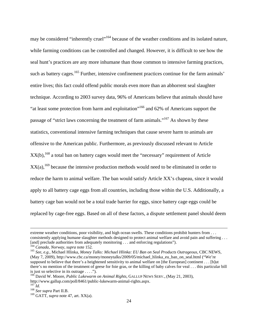may be considered "inherently cruel"<sup>164</sup> because of the weather conditions and its isolated nature, while farming conditions can be controlled and changed. However, it is difficult to see how the seal hunt's practices are any more inhumane than those common to intensive farming practices, such as battery cages.<sup>165</sup> Further, intensive confinement practices continue for the farm animals' entire lives; this fact could offend public morals even more than an abhorrent seal slaughter technique. According to 2003 survey data, 96% of Americans believe that animals should have "at least some protection from harm and exploitation"166 and 62% of Americans support the passage of "strict laws concerning the treatment of farm animals."<sup>167</sup> As shown by these statistics, conventional intensive farming techniques that cause severe harm to animals are offensive to the American public. Furthermore, as previously discussed relevant to Article  $XX(b)$ ,<sup>168</sup> a total ban on battery cages would meet the "necessary" requirement of Article  $XX(a)$ ,<sup>169</sup> because the intensive production methods would need to be eliminated in order to reduce the harm to animal welfare. The ban would satisfy Article XX's chapeau, since it would apply to all battery cage eggs from all countries, including those within the U.S. Additionally, a battery cage ban would not be a total trade barrier for eggs, since battery cage eggs could be replaced by cage-free eggs. Based on all of these factors, a dispute settlement panel should deem

extreme weather conditions, poor visibility, and high ocean swells. These conditions prohibit hunters from . . . consistently applying humane slaughter methods designed to protect animal welfare and avoid pain and suffering ...<br>[and] preclude authorities from adequately monitoring ... and enforcing regulations").

<sup>&</sup>lt;sup>164</sup> Canada, Norway, supra note 152.<br><sup>165</sup> See, e.g., Michael Hlinka, Money Talks: Michael Hlinka: EU Ban on Seal Products Outrageous, CBC NEWS, (May 7, 2009), http://www.cbc.ca/money/moneytalks/2009/05/michael\_hlinka\_eu\_ban\_on\_seal.html ("We're supposed to believe that there's a heightened sensitivity to animal welfare on [the European] continent . . . [b]ut there's no mention of the treatment of geese for foie gras, or the killing of baby calves for veal . . . this particular bill is just so selective in its outrage  $\dots$ .").

<sup>&</sup>lt;sup>166</sup> David W. Moore, *Public Lukewarm on Animal Rights*, GALLUP NEWS SERV., (May 21, 2003), http://www.gallup.com/poll/8461/public-lukewarm-animal-rights.aspx.

<sup>167</sup> *Id.* <sup>168</sup> *See supra* Part II.B.

<sup>169</sup> GATT, *supra* note 47, art. XX(a).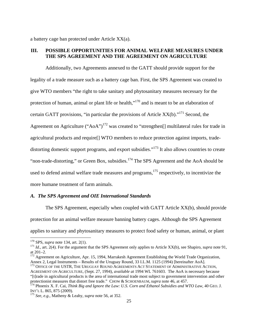a battery cage ban protected under Article XX(a).

# **III. POSSIBLE OPPORTUNITIES FOR ANIMAL WELFARE MEASURES UNDER THE SPS AGREEMENT AND THE AGREEMENT ON AGRICULTURE**

Additionally, two Agreements annexed to the GATT should provide support for the legality of a trade measure such as a battery cage ban. First, the SPS Agreement was created to give WTO members "the right to take sanitary and phytosanitary measures necessary for the protection of human, animal or plant life or health,"<sup>170</sup> and is meant to be an elaboration of certain GATT provisions, "in particular the provisions of Article  $XX(b)$ ."<sup>171</sup> Second, the Agreement on Agriculture ("AoA")<sup>172</sup> was created to "strengthen<sup>[]</sup> multilateral rules for trade in agricultural products and require[] WTO members to reduce protection against imports, tradedistorting domestic support programs, and export subsidies."<sup>173</sup> It also allows countries to create "non-trade-distorting," or Green Box, subsidies.<sup>174</sup> The SPS Agreement and the AoA should be used to defend animal welfare trade measures and programs, $175$  respectively, to incentivize the more humane treatment of farm animals.

#### *A. The SPS Agreement and OIE International Standards*

The SPS Agreement, especially when coupled with GATT Article XX(b), should provide protection for an animal welfare measure banning battery cages. Although the SPS Agreement applies to sanitary and phytosanitary measures to protect food safety or human, animal, or plant

<sup>&</sup>lt;sup>170</sup> SPS, *supra* note 134, art. 2(1).<br><sup>171</sup> *Id.*, art. 2(4). For the argument that the SPS Agreement only applies to Article XX(b), see Shapiro, *supra* note 91, at 201–2.

<sup>&</sup>lt;sup>172</sup> Agreement on Agriculture, Apr. 15, 1994, Marrakesh Agreement Establishing the World Trade Organization, Annex 2, Legal Instruments – Results of the Uruguay Round, 33 I.L.M. 1125 (1994) [hereinafter AoA].

<sup>&</sup>lt;sup>173</sup> OFFICE OF THE USTR, THE URUGUAY ROUND AGREEMENTS ACT STATEMENT OF ADMINISTRATIVE ACTION, AGREEMENT ON AGRICULTURE*,* (Sept. 27, 1994), *available at* 1994 WL 761603. The AoA is necessary because

<sup>&</sup>quot;[t]rade in agricultural products is the area of international trade most subject to government intervention and other protectionist measures that distort free trade." CHOW & SCHOENBAUM, *supra* note 46, at 457.

<sup>&</sup>lt;sup>174</sup> Phoenix X. F. Cai, *Think Big and Ignore the Law: U.S. Corn and Ethanol Subsidies and WTO Law, 40 GEO. J.* INT'L L. 865, 875 (2009).

 $175$  *See, e.g., Matheny & Leahy, <i>supra* note 56, at 352.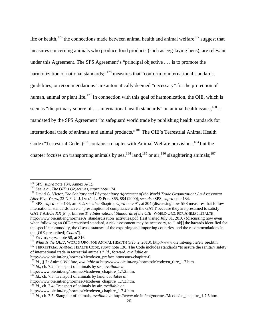life or health,<sup>176</sup> the connections made between animal health and animal welfare<sup>177</sup> suggest that measures concerning animals who produce food products (such as egg-laying hens), are relevant under this Agreement. The SPS Agreement's "principal objective . . . is to promote the harmonization of national standards;"<sup>178</sup> measures that "conform to international standards, guidelines, or recommendations" are automatically deemed "necessary" for the protection of human, animal or plant life.<sup>179</sup> In connection with this goal of harmonization, the OIE, which is seen as "the primary source of  $\ldots$  international health standards" on animal health issues,  $180$  is mandated by the SPS Agreement "to safeguard world trade by publishing health standards for international trade of animals and animal products."<sup>181</sup> The OIE's Terrestrial Animal Health Code ("Terrestrial Code")<sup>182</sup> contains a chapter with Animal Welfare provisions, <sup>183</sup> but the chapter focuses on transporting animals by sea,<sup>184</sup> land,<sup>185</sup> or air;<sup>186</sup> slaughtering animals;<sup>187</sup>

<sup>&</sup>lt;sup>176</sup> SPS, *supra* note 134, Annex A(1).<br><sup>177</sup> *See, e.g., The OIE's Objectives, supra* note 124.<br><sup>178</sup> David G. Victor, *The Sanitary and Phytosanitary Agreement of the World Trade Organization: An Assessment After Five Years,* 32 N.Y.U. J. INTL'L L. & POL. 865, 884 (2000); *see also* SPS, *supra* note 134.

<sup>179</sup> SPS, *supra* note 134, art. 3.2; *see also* Shapiro, *supra* note 91, at 204 (discussing how SPS measures that follow international standards have a "presumption of compliance with the GATT because they are presumed to satisfy GATT Article XX(b)"). *But see The International Standards of the OIE,* WORLD ORG. FOR ANIMAL HEALTH, http://www.oie.int/eng/normes/A\_standardisation\_activities.pdf (last visited July 31, 2010) (discussing how even when following an OIE-prescribed standard, a risk assessment may be necessary, to "link[] the hazards identified for the specific commodity, the disease statuses of the exporting and importing countries, and the recommendations in

the [OIE-prescribed] *Codes*").<br><sup>180</sup> FAVRE, *supra* note 58, at 316.<br><sup>181</sup> What Is the OIE?, WORLD ORG. FOR ANIMAL HEALTH (Feb. 2, 2010), http://www.oie.int/eng/oie/en\_oie.htm.<br><sup>181</sup> TERRESTRIAL ANIMAL HEALTH CODE, *supra* of international trade in terrestrial animals." *Id.*, forward*, available at* 

<sup>&</sup>lt;sup>183</sup>Id., § 7: Animal Welfare, *available at* http://www.oie.int/eng/normes/Mcode/en\_titre\_1.7.htm.<br><sup>184</sup>Id., ch. 7.2: Transport of animals by sea, *available at* 

http://www.oie.int/eng/normes/Mcode/en\_chapitre\_1.7.2.htm.

<sup>185</sup> *Id.*, ch. 7.3: Transport of animals by land, *available at* 

http://www.oie.int/eng/normes/Mcode/en\_chapitre\_1.7.3.htm.

<sup>186</sup> *Id.,* ch. 7.4: Transport of animals by air, *available at* 

http://www.oie.int/eng/normes/Mcode/en\_chapitre\_1.7.4.htm.

<sup>&</sup>lt;sup>187</sup>*Id.*, ch. 7.5: Slaughter of animals, *available at* http://www.oie.int/eng/normes/Mcode/en\_chapitre\_1.7.5.htm.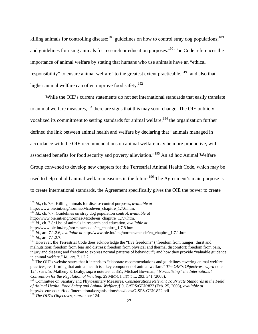killing animals for controlling disease;<sup>188</sup> guidelines on how to control stray dog populations;<sup>189</sup> and guidelines for using animals for research or education purposes.<sup>190</sup> The Code references the importance of animal welfare by stating that humans who use animals have an "ethical responsibility" to ensure animal welfare "to the greatest extent practicable,"<sup>191</sup> and also that higher animal welfare can often improve food safety.<sup>192</sup>

While the OIE's current statements do not set international standards that easily translate to animal welfare measures,  $193$  there are signs that this may soon change. The OIE publicly vocalized its commitment to setting standards for animal welfare; $194$  the organization further defined the link between animal health and welfare by declaring that "animals managed in accordance with the OIE recommendations on animal welfare may be more productive, with associated benefits for food security and poverty alleviation."195 An ad hoc Animal Welfare Group convened to develop new chapters for the Terrestrial Animal Health Code, which may be used to help uphold animal welfare measures in the future.<sup>196</sup> The Agreement's main purpose is to create international standards, the Agreement specifically gives the OIE the power to create

<sup>188</sup> *Id.*, ch. 7.6: Killing animals for disease control purposes, *available at* 

http://www.oie.int/eng/normes/Mcode/en\_chapitre\_1.7.6.htm.

<sup>189</sup> *Id.*, ch. 7.7: Guidelines on stray dog population control, *available at* 

http://www.oie.int/eng/normes/Mcode/en\_chapitre\_1.7.7.htm.

<sup>&</sup>lt;sup>190</sup> *Id.*, ch. 7.8: Use of animals in research and education, *available at* http://www.oie.int/eng/normes/mcode/en chapitre 1.7.8.htm.

http://www.oie.int/eng/normes/mcode/en\_chapitre\_1.7.8.htm*.* <sup>191</sup> *Id.*, art. 7.1.2.6*, available at* http://www.oie.int/eng/normes/mcode/en\_chapitre\_1.7.1.htm.

<sup>192</sup> *Id.*, art. 7.1.2.7.

<sup>&</sup>lt;sup>193</sup> However, the Terrestrial Code does acknowledge the "five freedoms" ("freedom from hunger; thirst and malnutrition; freedom from fear and distress; freedom from physical and thermal discomfort; freedom from pain, injury and disease; and freedom to express normal patterns of behaviour") and how they provide "valuable guidance in animal welfare." *Id.*, art. 7.1.2.2.

<sup>&</sup>lt;sup>194</sup> The OIE's website states that it intends to "elaborate recommendations and guidelines covering animal welfare practices, reaffirming that animal health is a key component of animal welfare." *The OIE's Objectives, supra* note 124; *see also* Matheny & Leahy, *supra* note 56, at 351; Michael Bowman, *"Normalizing" the International Convention for the Regulation of Whaling,* 29 MICH. J. INT'L L. 293, 341 (2008).

<sup>195</sup> Committee on Sanitary and Phytosanitary Measures*, Considerations Relevant To Private Standards in the Field of Animal Health, Food Safety and Animal Welfare*, ¶ 9, G/SPS/GEN/822 (Feb. 25, 2008), *available at* http://ec.europa.eu/food/international/organisations/sps/docs/G-SPS-GEN-822.pdf.

<sup>196</sup> *The OIE's Objectives, supra* note 124.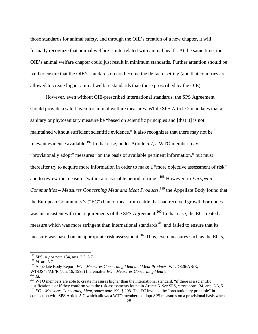those standards for animal safety, and through the OIE's creation of a new chapter, it will formally recognize that animal welfare is interrelated with animal health. At the same time, the OIE's animal welfare chapter could just result in minimum standards. Further attention should be paid to ensure that the OIE's standards do not become the de facto setting (and that countries are allowed to create higher animal welfare standards than those proscribed by the OIE).

However, even without OIE-prescribed international standards, the SPS Agreement should provide a safe-haven for animal welfare measures. While SPS Article 2 mandates that a sanitary or phytosanitary measure be "based on scientific principles and [that it] is not maintained without sufficient scientific evidence," it also recognizes that there may not be relevant evidence available.<sup>197</sup> In that case, under Article 5.7, a WTO member may "provisionally adopt" measures "on the basis of available pertinent information," but must thereafter try to acquire more information in order to make a "more objective assessment of risk" and to review the measure "within a reasonable period of time."198 However, in *European Communities – Measures Concerning Meat and Meat Products*,<sup>199</sup> the Appellate Body found that the European Community's ("EC") ban of meat from cattle that had received growth hormones was inconsistent with the requirements of the SPS Agreement.<sup>200</sup> In that case, the EC created a measure which was more stringent than international standards<sup>201</sup> and failed to ensure that its measure was based on an appropriate risk assessment.<sup>202</sup> Thus, even measures such as the EC's,

<sup>197</sup> SPS, *supra* note 134, arts. 2.2, 5.7.

<sup>198</sup> *Id.* art. 5.7.

<sup>&</sup>lt;sup>199</sup> Appellate Body Report, *EC – Measures Concerning Meat and Meat Products*, WT/DS26/AB/R, WT/DS48/AB/R (Jan. 16, 1998) [hereinafter *EC – Measures Concerning Meat*].

 $\frac{200}{20}$  *Id.* 2013 WTO members are able to create measures higher than the international standard, "if there is a scientific justification," or if they conform with the risk assessments found in Article 5. See SPS, supra note 134, arts. 3.3, 5.<br><sup>202</sup> EC – Measures Concerning Meat, supra note 199, ¶ 208. The EC invoked the "precautionary princip connection with SPS Article 5.7, which allows a WTO member to adopt SPS measures on a provisional basis when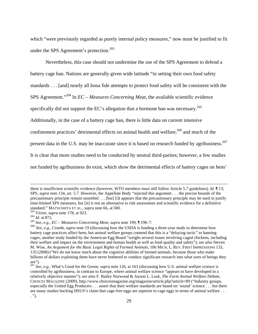which "were previously regarded as purely internal policy measures," now must be justified to fit under the SPS Agreement's protection.<sup>203</sup>

Nevertheless, this case should not undermine the use of the SPS Agreement to defend a battery cage ban. Nations are generally given wide latitude "in setting their own food safety standards . . . [and] nearly all bona fide attempts to protect food safety will be consistent with the SPS Agreement."204 In *EC – Measures Concerning Meat*, the available scientific evidence specifically did not support the EC's allegation that a hormone ban was necessary.<sup>205</sup> Additionally, in the case of a battery cage ban, there is little data on current intensive confinement practices' detrimental effects on animal health and welfare, $206$  and much of the present data in the U.S. may be inaccurate since it is based on research funded by agribusiness.<sup>207</sup> It is clear that more studies need to be conducted by neutral third-parties; however, a few studies not funded by agribusiness do exist, which show the detrimental effects of battery cages on hens'

there is insufficient scientific evidence (however, WTO members must still follow Article 5.7 guidelines). *Id.* ¶ 13; SPS, *supra* note 134, art. 5.7. However, the Appellate Body "rejected this argument . . . the precise bounds of the precautionary principle remain unsettled . . . [but] [i]t appears that the precautionary principle may be used to justify time-limited SPS measures, but [it] is not an alternative to risk assessment and scientific evidence for a definitive standard." MATSUSHITA ET AL., *supra* note 66, at 500.<br><sup>203</sup> Victor, *supra* note 178, at 923.<br><sup>204</sup> *Id.* at 872.<br><sup>205</sup> *See, e.g., EC – Measures Concerning Meat, supra* note 199, ¶ 196–7.

<sup>&</sup>lt;sup>206</sup> *See, e.g., Crumb, supra* note 19 (discussing how the USDA is funding a three-year study to determine how battery cage practices affect hens, but animal welfare groups contend that this is a "delaying tactic" to banning cages; another study funded by the American Egg Board "weighs several issues involving caged chickens, including their welfare and impact on the environment and human health as well as food quality and safety"); *see also* Steven M. Wise, *An Argument for the Basic Legal Rights of Farmed Animals,* 106 MICH. L. REV. FIRST IMPRESSIONS 133, 135 (2008) ("We do not know much about the cognitive abilities of farmed animals, because those who make billions of dollars exploiting them have never bothered to conduct significant research into what sorts of beings they are").

<sup>207</sup> *See, e.g.*, What's Good for the Goose*, supra* note 126, at 163 (discussing how U.S. animal welfare science is controlled by agribusiness, in contrast to Europe, where animal welfare science "appears to have developed in a relatively objective manner"); *see also* F. Bailey Norwood & Jayson L. Lusk, *The Farm Animal Welfare Debate,* CHOICES MAGAZINE (2009), http://www.choicesmagazine.org/magazine/article.php?article=89 ("Industry groups, especially the United Egg Producers . . . assert that their welfare standards are based on 'sound' science . . . but there are many studies backing HSUS's claim that cage-free eggs are superior to cage eggs in terms of animal welfare . . . . ").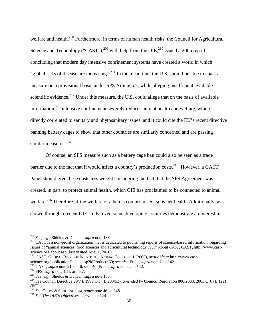welfare and health.<sup>208</sup> Furthermore, in terms of human health risks, the Council for Agricultural Science and Technology ("CAST"), $^{209}$  with help from the OIE, $^{210}$  issued a 2005 report concluding that modern day intensive confinement systems have created a world in which "global risks of disease are increasing."<sup>211</sup> In the meantime, the U.S. should be able to enact a measure on a provisional basis under SPS Article 5.7, while alleging insufficient available scientific evidence.<sup>212</sup> Under this measure, the U.S. could allege that on the basis of available information, $^{213}$  intensive confinement severely reduces animal health and welfare, which is directly correlated to sanitary and phytosanitary issues, and it could cite the EU's recent directive banning battery cages to show that other countries are similarly concerned and are passing similar measures.<sup>214</sup>

Of course, an SPS measure such as a battery cage ban could also be seen as a trade barrier due to the fact that it would affect a country's production costs.<sup>215</sup> However, a GATT Panel should give these costs less weight considering the fact that the SPS Agreement was created, in part, to protect animal health, which OIE has proclaimed to be connected to animal welfare.<sup>216</sup> Therefore, if the welfare of a hen is compromised, so is her health. Additionally, as shown through a recent OIE study, even some developing countries demonstrate an interest in

<sup>208</sup> *See, e.g.,* Shields & Duncan, *supra* note 138.

 $209$  CAST is a non-profit organization that is dedicated to publishing reports of science-based information, regarding issues of "animal sciences, food sciences and agricultural technology . . . ." *About CAST,* CAST, http://www.castscience.org/about.asp (last visited Aug. 1, 2010).

<sup>210</sup> CAST, GLOBAL RISKS OF INFECTIOUS ANIMAL DISEASES 1 (2005), *available at* http://www.cast-

science.org/publicationDetails.asp?idProduct=69; *see also* FOER, *supra* note 2, at 142.<br><sup>211</sup> CAST, *supra* note 210, at 6; *see also* FOER, *supra* note 2, at 142.<br><sup>212</sup> SPS, *supra* note 134, art. 5.7.<br><sup>213</sup> See, e.g. (EC).

<sup>215</sup> *See* CHOW & SCHOENBAUM, *supra* note 46, at 348. 216 *See The OIE's Objectives, supra* note 124.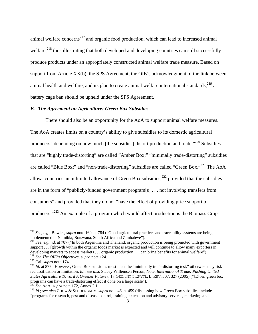animal welfare concerns<sup>217</sup> and organic food production, which can lead to increased animal welfare, $^{218}$  thus illustrating that both developed and developing countries can still successfully produce products under an appropriately constructed animal welfare trade measure. Based on support from Article XX(b), the SPS Agreement, the OIE's acknowledgment of the link between animal health and welfare, and its plan to create animal welfare international standards,  $219$  a battery cage ban should be upheld under the SPS Agreement.

### *B. The Agreement on Agriculture: Green Box Subsidies*

There should also be an opportunity for the AoA to support animal welfare measures. The AoA creates limits on a country's ability to give subsidies to its domestic agricultural producers "depending on how much [the subsidies] distort production and trade. $220$  Subsidies that are "highly trade-distorting" are called "Amber Box;" "minimally trade-distorting" subsidies are called "Blue Box;" and "non-trade-distorting" subsidies are called "Green Box."<sup>221</sup> The AoA allows countries an unlimited allowance of Green Box subsidies, $^{222}$  provided that the subsidies are in the form of "publicly-funded government program[s] . . . not involving transfers from consumers" and provided that they do not "have the effect of providing price support to producers."223 An example of a program which would affect production is the Biomass Crop

<sup>217</sup> *See, e.g.,* Bowles, *supra* note 160, at 784 ("Good agricultural practices and traceability systems are being implemented in Namibia, Botswana, South Africa and Zimbabwe"). 218 *See, e.g., id.* at 787 ("In both Argentina and Thailand, organic production is being promoted with government

support . . . [g]rowth within the organic foods market is expected and will continue to allow many exporters in developing markets to access markets . . . organic production . . . can bring benefits for animal welfare").<br><sup>219</sup> See The OIE's Objectives, supra note 124.

<sup>219</sup> *See The OIE's Objectives, supra* note 124. 220 Cai, *supra* note 174. 221 *Id*. at 877. However, Green Box subsidies must meet the "minimally trade-distorting test," otherwise they risk reclassification or limitation. *Id.*; *see also* Stacey Willemsen Person, Note, *International Trade: Pushing United States Agriculture Toward A Greener Future?*, 17 GEO. INT'L ENVTL. L. REV. 307, 327 (2005) ("[E]ven green box programs can have a trade-distorting effect if done on a large scale").<br>
<sup>222</sup> See AoA, supra note 172, Annex 2.1.<br>
<sup>223</sup> Id.; see also CHOW & SCHOENBAUM, supra note 46, at 459 (discussing how Green Box subsidies include

<sup>&</sup>quot;programs for research, pest and disease control, training, extension and advisory services, marketing and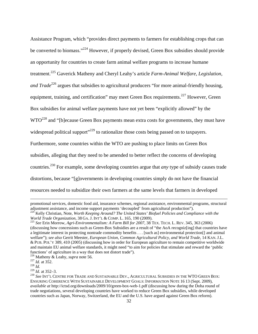Assistance Program, which "provides direct payments to farmers for establishing crops that can be converted to biomass."<sup>224</sup> However, if properly devised, Green Box subsidies should provide an opportunity for countries to create farm animal welfare programs to increase humane treatment.225 Gaverick Matheny and Cheryl Leahy's article *Farm-Animal Welfare, Legislation, and Trade*<sup>226</sup> argues that subsidies to agricultural producers "for more animal-friendly housing, equipment, training, and certification" may meet Green Box requirements.<sup>227</sup> However, Green Box subsidies for animal welfare payments have not yet been "explicitly allowed" by the WTO<sup>228</sup> and "[b]ecause Green Box payments mean extra costs for governments, they must have widespread political support<sup> $229$ </sup> to rationalize those costs being passed on to taxpayers. Furthermore, some countries within the WTO are pushing to place limits on Green Box subsidies, alleging that they need to be amended to better reflect the concerns of developing countries.230 For example, some developing countries argue that *any* type of subsidy causes trade distortions, because "[g]overnments in developing countries simply do not have the financial resources needed to subsidize their own farmers at the same levels that farmers in developed

promotional services, domestic food aid, insurance schemes, regional assistance, environmental programs, structural

<sup>&</sup>lt;sup>224</sup> Kelly Christian, Note, *Worth Keeping Around? The United States' Biofuel Policies and Compliance with the World Trade Organization, 38 GA. J. INT'L & COMP. L. 165, 190 (2009).* 

<sup>&</sup>lt;sup>225</sup> See Erin Morrow, *Agri-Environmentalism: A Farm Bill for 2007*, 38 TEX. TECH. L. REV. 345, 363 (2006) (discussing how concessions such as Green-Box Subsidies are a result of "the AoA recogniz[ing] that countries have a legitimate interest in protecting nontrade commodity benefits . . . [such as] environmental protection[] and animal welfare"); see also Gerrit Meester, *European Union, Common Agricultural Policy, and World Trade,* 14 KAN. J.L. & PUB. POL'Y 389, 410 (2005) (discussing how in order for European agriculture to remain competitive worldwide and maintain EU animal welfare standards, it might need "to aim for policies that stimulate and reward the 'public functions' of agriculture in a way that does not distort trade").

<sup>&</sup>lt;sup>226</sup> Matheny & Leahy, *supra* note 56.<br><sup>227</sup> Id. at 352.<br><sup>228</sup> Id. at 352–3.<br><sup>229</sup> Id. at 352–3.<br><sup>230</sup> See INT'L CENTRE FOR TRADE AND SUSTAINABLE DEV., AGRICULTURAL SUBSIDIES IN THE WTO GREEN BOX: ENSURING COHERENCE WITH SUSTAINABLE DEVELOPMENT GOALS: INFORMATION NOTE 16 13 (Sept. 2009), *available at* http://ictsd.org/downloads/2009/10/green-box-web-1.pdf (discussing how during the Doha round of trade negotiations, several developing countries have worked to reduce Green Box subsidies, while developed countries such as Japan, Norway, Switzerland, the EU and the U.S. have argued against Green Box reform).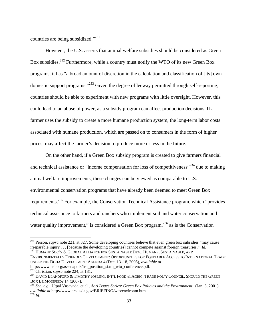countries are being subsidized."231

However, the U.S. asserts that animal welfare subsidies should be considered as Green Box subsidies.232 Furthermore, while a country must notify the WTO of its new Green Box programs, it has "a broad amount of discretion in the calculation and classification of [its] own domestic support programs."233 Given the degree of leeway permitted through self-reporting, countries should be able to experiment with new programs with little oversight. However, this could lead to an abuse of power, as a subsidy program can affect production decisions. If a farmer uses the subsidy to create a more humane production system, the long-term labor costs associated with humane production, which are passed on to consumers in the form of higher prices, may affect the farmer's decision to produce more or less in the future.

On the other hand, if a Green Box subsidy program is created to give farmers financial and technical assistance or "income compensation for loss of competitiveness"<sup>234</sup> due to making animal welfare improvements, these changes can be viewed as comparable to U.S. environmental conservation programs that have already been deemed to meet Green Box requirements.<sup>235</sup> For example, the Conservation Technical Assistance program, which "provides" technical assistance to farmers and ranchers who implement soil and water conservation and water quality improvement," is considered a Green Box program,  $^{236}$  as is the Conservation

 $\overline{\phantom{a}}$ 

<sup>&</sup>lt;sup>231</sup> Person, *supra* note 221, at 327. Some developing countries believe that even green box subsidies "may cause irreparable injury . . . [because the developing countries] cannot compete against foreign treasuries." *Id.* 232 HUMANE SOC'Y & GLOBAL ALLIANCE FOR SUSTAINABLE DEV., HUMANE, SUSTAINABLE, AND

ENVIRONMENTALLY FRIENDLY DEVELOPMENT: OPPORTUNITIES FOR EQUITABLE ACCESS TO INTERNATIONAL TRADE UNDER THE DOHA DEVELOPMENT AGENDA 4 (Dec. 13–18, 2005), *available at* 

http://www.hsi.org/assets/pdfs/hsi\_position\_sixth\_wto\_conference.pdf. 233 Christian, *supra* note 224, at 181. 234 DAVID BLANDFORD & TIMOTHY JOSLING, INT'L FOOD & AGRIC. TRADE POL'Y COUNCIL, SHOULD THE GREEN BOX BE MODIFIED? 14 (2007).<br><sup>235</sup> *See, e.g., Utpal Vasavada, et al., <i>AoA Issues Series: Green Box Policies and the Environment,* (Jan. 3, 2001),

*available at* http://www.ers.usda.gov/BRIEFING/wto/environm.htm. 236 *Id.*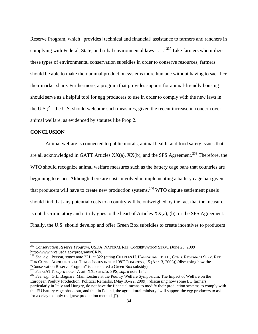Reserve Program, which "provides [technical and financial] assistance to farmers and ranchers in complying with Federal, State, and tribal environmental laws  $\ldots$ <sup>237</sup> Like farmers who utilize these types of environmental conservation subsidies in order to conserve resources, farmers should be able to make their animal production systems more humane without having to sacrifice their market share. Furthermore, a program that provides support for animal-friendly housing should serve as a helpful tool for egg producers to use in order to comply with the new laws in the U.S.;<sup>238</sup> the U.S. should welcome such measures, given the recent increase in concern over animal welfare, as evidenced by statutes like Prop 2.

## **CONCLUSION**

l

Animal welfare is connected to public morals, animal health, and food safety issues that are all acknowledged in GATT Articles  $XX(a)$ ,  $XX(b)$ , and the SPS Agreement.<sup>239</sup> Therefore, the WTO should recognize animal welfare measures such as the battery cage bans that countries are beginning to enact. Although there are costs involved in implementing a battery cage ban given that producers will have to create new production systems,  $240$  WTO dispute settlement panels should find that any potential costs to a country will be outweighed by the fact that the measure is not discriminatory and it truly goes to the heart of Articles XX(a), (b), or the SPS Agreement. Finally, the U.S. should develop and offer Green Box subsidies to create incentives to producers

<sup>237</sup> *Conservation Reserve Program,* USDA, NATURAL RES. CONSERVATION SERV., (June 23, 2009), http://www.nrcs.usda.gov/programs/CRP/.

<sup>238</sup> *See, e.g.,* Person, *supra* note 221, at 322 (citing CHARLES H. HANRAHAN ET. AL., CONG. RESEARCH SERV. REP. FOR CONG., AGRICULTURAL TRADE ISSUES IN THE  $108<sup>TH</sup>$  CONGRESS, 15 (Apr. 3, 2003)) (discussing how the "Conservation Reserve Program" is considered a Green Box subsidy).<br><sup>239</sup> See GATT, supra note 47, art. XX; see also SPS, supra note 134.

<sup>&</sup>lt;sup>240</sup> See, e.g., G.L. Bagnara, Main Lecture at the Poultry Welfare Symposium: The Impact of Welfare on the European Poultry Production: Political Remarks, (May 18–22, 2009), (discussing how some EU farmers, particularly in Italy and Hungry, do not have the financial means to modify their production systems to comply with the EU battery cage phase-out, and that in Poland, the agricultural ministry "will support the egg producers to ask for a delay to apply the [new production methods]").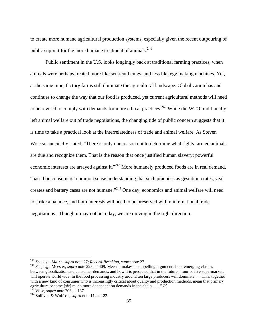to create more humane agricultural production systems, especially given the recent outpouring of public support for the more humane treatment of animals. $^{241}$ 

Public sentiment in the U.S. looks longingly back at traditional farming practices, when animals were perhaps treated more like sentient beings, and less like egg making machines. Yet, at the same time, factory farms still dominate the agricultural landscape. Globalization has and continues to change the way that our food is produced, yet current agricultural methods will need to be revised to comply with demands for more ethical practices.<sup>242</sup> While the WTO traditionally left animal welfare out of trade negotiations, the changing tide of public concern suggests that it is time to take a practical look at the interrelatedness of trade and animal welfare. As Steven Wise so succinctly stated, "There is only one reason not to determine what rights farmed animals are due and recognize them. That is the reason that once justified human slavery: powerful economic interests are arrayed against it."<sup>243</sup> More humanely produced foods are in real demand, "based on consumers' common sense understanding that such practices as gestation crates, veal creates and battery cases are not humane."244 One day, economics and animal welfare will need to strike a balance, and both interests will need to be preserved within international trade negotiations. Though it may not be today, we are moving in the right direction.

<sup>&</sup>lt;sup>241</sup> *See, e.g., Maine, supra* note 27; *Record-Breaking, supra* note 27.<br><sup>242</sup> *See, e.g., Meester, <i>supra* note 225, at 409. Meester makes a compelling argument about emerging clashes between globalization and consumer demands, and how it is predicted that in the future, "four or five supermarkets will operate worldwide. In the food processing industry around ten large producers will dominate . . . This, together with a new kind of consumer who is increasingly critical about quality and production methods, mean that primary agriculture become [*sic*] much more dependent on demands in the chain . . . ." *Id.* <sup>243</sup> Wise, *supra* note 206, at 137. <sup>244</sup> Sullivan & Wolfson, *supra* note 11, at 122.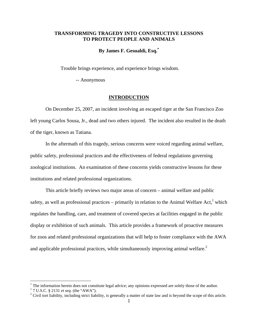# **TRANSFORMING TRAGEDY INTO CONSTRUCTIVE LESSONS TO PROTECT PEOPLE AND ANIMALS**

## **By James F. Gesualdi, Esq.\***

Trouble brings experience, and experience brings wisdom.

-- Anonymous

## **INTRODUCTION**

 On December 25, 2007, an incident involving an escaped tiger at the San Francisco Zoo left young Carlos Sousa, Jr., dead and two others injured. The incident also resulted in the death of the tiger, known as Tatiana.

 In the aftermath of this tragedy, serious concerns were voiced regarding animal welfare, public safety, professional practices and the effectiveness of federal regulations governing zoological institutions. An examination of these concerns yields constructive lessons for these institutions and related professional organizations.

 This article briefly reviews two major areas of concern – animal welfare and public safety, as well as professional practices – primarily in relation to the Animal Welfare Act,<sup>1</sup> which regulates the handling, care, and treatment of covered species at facilities engaged in the public display or exhibition of such animals. This article provides a framework of proactive measures for zoos and related professional organizations that will help to foster compliance with the AWA and applicable professional practices, while simultaneously improving animal welfare.<sup>2</sup>

<u>.</u>

The information herein does not constitute legal advice; any opinions expressed are solely those of the author.

<sup>&</sup>lt;sup>1</sup> 7 U.S.C. § 2131 *et seq.* (the "AWA").

<sup>&</sup>lt;sup>2</sup> Civil tort liability, including strict liability, is generally a matter of state law and is beyond the scope of this article.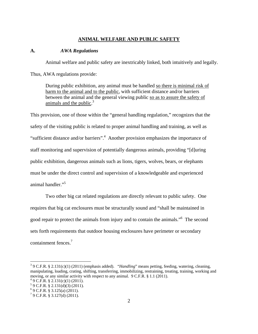## **ANIMAL WELFARE AND PUBLIC SAFETY**

### **A.** *AWA Regulations*

Animal welfare and public safety are inextricably linked, both intuitively and legally.

Thus, AWA regulations provide:

During public exhibition, any animal must be handled so there is minimal risk of harm to the animal and to the public, with sufficient distance and/or barriers between the animal and the general viewing public so as to assure the safety of animals and the public.<sup>3</sup>

This provision, one of those within the "general handling regulation," recognizes that the safety of the visiting public is related to proper animal handling and training, as well as "sufficient distance and/or barriers".<sup>4</sup> Another provision emphasizes the importance of staff monitoring and supervision of potentially dangerous animals, providing "[d]uring public exhibition, dangerous animals such as lions, tigers, wolves, bears, or elephants must be under the direct control and supervision of a knowledgeable and experienced animal handler."<sup>5</sup>

 Two other big cat related regulations are directly relevant to public safety. One requires that big cat enclosures must be structurally sound and "shall be maintained in good repair to protect the animals from injury and to contain the animals."<sup>6</sup> The second sets forth requirements that outdoor housing enclosures have perimeter or secondary containment fences.<sup>7</sup>

<sup>3</sup> 9 C.F.R. § 2.131(c)(1) (2011) (emphasis added). "*Handling*" means petting, feeding, watering, cleaning, manipulating, loading, crating, shifting, transferring, immobilizing, restraining, treating, training, working and moving, or any similar activity with respect to any animal. 9 C.F.R. § 1.1 (2011).

 $49$  C.F.R. § 2.131(c)(1) (2011).

 $5$  9 C.F.R. § 2.131(d)(3) (2011).

<sup>6</sup> 9 C.F.R. § 3.125(a) (2011).

 $7$  9 C.F.R. § 3.127(d) (2011).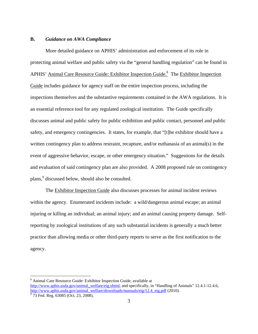### **B.** *Guidance on AWA Compliance*

 $\overline{a}$ 

 More detailed guidance on APHIS' administration and enforcement of its role in protecting animal welfare and public safety via the "general handling regulation" can be found in APHIS' Animal Care Resource Guide: Exhibitor Inspection Guide.<sup>8</sup> The Exhibitor Inspection Guide includes guidance for agency staff on the entire inspection process, including the inspections themselves and the substantive requirements contained in the AWA regulations. It is an essential reference tool for any regulated zoological institution. The Guide specifically discusses animal and public safety for public exhibition and public contact, personnel and public safety, and emergency contingencies. It states, for example, that "[t]he exhibitor should have a written contingency plan to address restraint, recapture, and/or euthanasia of an animal(s) in the event of aggressive behavior, escape, or other emergency situation." Suggestions for the details and evaluation of said contingency plan are also provided. A 2008 proposed rule on contingency plans,<sup>9</sup> discussed below, should also be consulted.

 The Exhibitor Inspection Guide also discusses processes for animal incident reviews within the agency. Enumerated incidents include: a wild/dangerous animal escape; an animal injuring or killing an individual; an animal injury; and an animal causing property damage. Selfreporting by zoological institutions of any such substantial incidents is generally a much better practice than allowing media or other third-party reports to serve as the first notification to the agency.

<sup>&</sup>lt;sup>8</sup> Animal Care Resource Guide: Exhibitor Inspection Guide, available at http://www.aphis.usda.gov/animal\_welfare/eig.shtml, and specifically, in "Handling of Animals" 12.4.1-12.4.6, http://www.aphis.usda.gov/animal\_welfare/downloads/manuals/eig/12.4\_eig.pdf (2010).  $\frac{9}{73}$  Fed. Reg. 63085 (Oct. 23, 2008).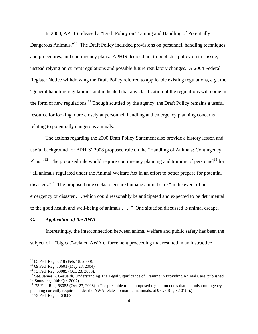In 2000, APHIS released a "Draft Policy on Training and Handling of Potentially Dangerous Animals."<sup>10</sup> The Draft Policy included provisions on personnel, handling techniques and procedures, and contingency plans. APHIS decided not to publish a policy on this issue, instead relying on current regulations and possible future regulatory changes. A 2004 Federal Register Notice withdrawing the Draft Policy referred to applicable existing regulations, *e.g.*, the "general handling regulation," and indicated that any clarification of the regulations will come in the form of new regulations.<sup>11</sup> Though scuttled by the agency, the Draft Policy remains a useful resource for looking more closely at personnel, handling and emergency planning concerns relating to potentially dangerous animals.

The actions regarding the 2000 Draft Policy Statement also provide a history lesson and useful background for APHIS' 2008 proposed rule on the "Handling of Animals: Contingency Plans."<sup>12</sup> The proposed rule would require contingency planning and training of personnel<sup>13</sup> for "all animals regulated under the Animal Welfare Act in an effort to better prepare for potential disasters."<sup>14</sup> The proposed rule seeks to ensure humane animal care "in the event of an emergency or disaster . . . which could reasonably be anticipated and expected to be detrimental to the good health and well-being of animals . . . ." One situation discussed is animal escape.<sup>15</sup>

#### **C.** *Application of the AWA*

Interestingly, the interconnection between animal welfare and public safety has been the subject of a "big cat"-related AWA enforcement proceeding that resulted in an instructive

 $10$  65 Fed. Reg. 8318 (Feb. 18, 2000).

<sup>&</sup>lt;sup>11</sup> 69 Fed. Reg. 30601 (May 28, 2004).

<sup>12 73</sup> Fed. Reg. 63085 (Oct. 23, 2008).

<sup>&</sup>lt;sup>13</sup> See, James F. Gesualdi, Understanding The Legal Significance of Training in Providing Animal Care, published in Soundings (4th Qtr. 2007).

<sup>&</sup>lt;sup>14</sup> 73 Fed. Reg. 63085 (Oct. 23, 2008). (The preamble to the proposed regulation notes that the only contingency planning currently required under the AWA relates to marine mammals, at 9 C.F.R. § 3.101(b).) <sup>15</sup> 73 Fed. Reg. at 63089.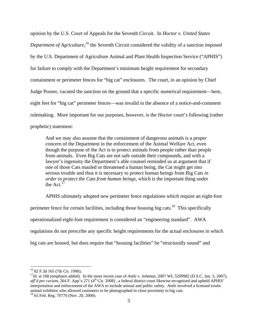opinion by the U.S. Court of Appeals for the Seventh Circuit. In *Hoctor v. United States Department of Agriculture,*<sup>16</sup> the Seventh Circuit considered the validity of a sanction imposed by the U.S. Department of Agriculture Animal and Plant Health Inspection Service ("APHIS") for failure to comply with the Department's minimum height requirement for secondary containment or perimeter fences for "big cat" enclosures. The court, in an opinion by Chief Judge Posner, vacated the sanction on the ground that a specific numerical requirement—here, eight feet for "big cat" perimeter fences—was invalid in the absence of a notice-and-comment rulemaking. More important for our purposes, however, is the *Hoctor* court's following (rather prophetic) statement:

And we may also assume that the containment of dangerous animals is a proper concern of the Department in the enforcement of the Animal Welfare Act, even though the purpose of the Act is to protect animals from people rather than people from animals. Even Big Cats are not safe outside their compounds, and with a lawyer's ingenuity the Department's able counsel reminded us at argument that if one of those Cats mauled or threatened a human being, the Cat might get into serious trouble and thus it is necessary to protect human beings from Big Cats *in order to protect the Cats from human beings*, which is the important thing under the Act. $17$ 

APHIS ultimately adopted new perimeter fence regulations which require an eight-foot perimeter fence for certain facilities, including those housing big cats.<sup>18</sup> This specifically operationalized eight-foot requirement is considered an "engineering standard". AWA regulations do not prescribe any specific height requirements for the actual enclosures in which big cats are housed, but does require that "housing facilities" be "structurally sound" and

<sup>16 82</sup> F.3d 165 (7th Cir. 1996).

<sup>&</sup>lt;sup>17</sup>Id. at 168 (emphasis added). In the more recent case of *Antle v. Johanas*, 2007 WL 5209982 (D.S.C. Jun. 5, 2007), *aff'd per curiam*, 264 F. App'x 271 (4<sup>th</sup> Cir. 2008), a federal district court likewise recognized and upheld APHIS' interpretation and enforcement of the AWA to include animal and public safety. *Antle* involved a licensed exotic animal exhibitor who allowed customers to be photographed in close proximity to big cats. 18 65 Fed. Reg. 70770 (Nov. 20, 2000).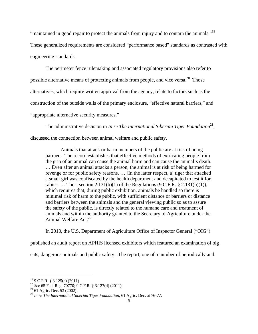"maintained in good repair to protect the animals from injury and to contain the animals."19

These generalized requirements are considered "performance based" standards as contrasted with engineering standards.

The perimeter fence rulemaking and associated regulatory provisions also refer to possible alternative means of protecting animals from people, and vice versa.<sup>20</sup> Those alternatives, which require written approval from the agency, relate to factors such as the construction of the outside walls of the primary enclosure, "effective natural barriers," and "appropriate alternative security measures."

The administrative decision in *In re The International Siberian Tiger Foundation*<sup>21</sup>, discussed the connection between animal welfare and public safety.

 Animals that attack or harm members of the public are at risk of being harmed. The record establishes that effective methods of extricating people from the grip of an animal can cause the animal harm and can cause the animal's death. … Even after an animal attacks a person, the animal is at risk of being harmed for revenge or for public safety reasons. … [In the latter respect, a] tiger that attacked a small girl was confiscated by the health department and decapitated to test it for rabies. ... Thus, section 2.131(b)(1) of the Regulations (9 C.F.R.  $\S$  2.131(b)(1)), which requires that, during public exhibition, animals be handled so there is minimal risk of harm to the public, with sufficient distance or barriers or distance and barriers between the animals and the general viewing public so as to assure the safety of the public, is directly related to the humane care and treatment of animals and within the authority granted to the Secretary of Agriculture under the Animal Welfare Act.<sup>22</sup>

In 2010, the U.S. Department of Agriculture Office of Inspector General ("OIG")

published an audit report on APHIS licensed exhibitors which featured an examination of big

cats, dangerous animals and public safety. The report, one of a number of periodically and

 $19$  9 C.F.R. § 3.125(a) (2011).

<sup>&</sup>lt;sup>20</sup> *See* 65 Fed. Reg. 70770; 9 C.F.R. § 3.127(d) (2011).<br><sup>21</sup> 61 Agric. Dec. 53 (2002).

<sup>22</sup> *In re The International Siberian Tiger Foundation*, 61 Agric. Dec. at 76-77.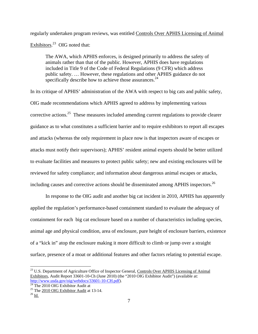regularly undertaken program reviews, was entitled Controls Over APHIS Licensing of Animal Exhibitors.<sup>23</sup> OIG noted that:

The AWA, which APHIS enforces, is designed primarily to address the safety of animals rather than that of the public. However, APHIS does have regulations included in Title 9 of the Code of Federal Regulations (9 CFR) which address public safety. … However, these regulations and other APHIS guidance do not specifically describe how to achieve those assurances. $^{24}$ 

In its critique of APHIS' administration of the AWA with respect to big cats and public safety, OIG made recommendations which APHIS agreed to address by implementing various corrective actions.<sup>25</sup> These measures included amending current regulations to provide clearer guidance as to what constitutes a sufficient barrier and to require exhibitors to report all escapes and attacks (whereas the only requirement in place now is that inspectors aware of escapes or attacks must notify their supervisors); APHIS' resident animal experts should be better utilized to evaluate facilities and measures to protect public safety; new and existing enclosures will be reviewed for safety compliance; and information about dangerous animal escapes or attacks, including causes and corrective actions should be disseminated among APHIS inspectors.<sup>26</sup>

In response to the OIG audit and another big cat incident in 2010, APHIS has apparently applied the regulation's performance-based containment standard to evaluate the adequacy of containment for each big cat enclosure based on a number of characteristics including species, animal age and physical condition, area of enclosure, pure height of enclosure barriers, existence of a "kick in" atop the enclosure making it more difficult to climb or jump over a straight surface, presence of a moat or additional features and other factors relating to potential escape.

<u>.</u>

<sup>&</sup>lt;sup>23</sup> U.S. Department of Agriculture Office of Inspector General, Controls Over APHIS Licensing of Animal Exhibitors, Audit Report 33601-10-Ch (June 2010) (the "2010 OIG Exhibitor Audit") (available at: http://www.usda.gov/oig/webdocs/33601-10-CH.pdf).<br><sup>24</sup> The 2010 OIG Exhibitor Audit at

<sup>&</sup>lt;sup>25</sup> The  $\frac{2010}{10}$  OIG Exhibitor Audit at 13-14.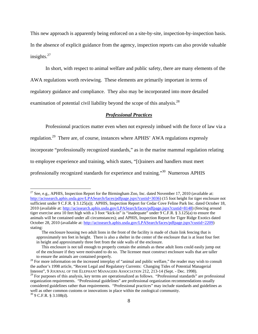This new approach is apparently being enforced on a site-by-site, inspection-by-inspection basis. In the absence of explicit guidance from the agency, inspection reports can also provide valuable insights. $27$ 

 In short, with respect to animal welfare and public safety, there are many elements of the AWA regulations worth reviewing. These elements are primarily important in terms of regulatory guidance and compliance. They also may be incorporated into more detailed examination of potential civil liability beyond the scope of this analysis.<sup>28</sup>

## *Professional Practices*

Professional practices matter even when not expressly imbued with the force of law via a

regulation.29 There are, of course, instances where APHIS' AWA regulations expressly

incorporate "professionally recognized standards," as in the marine mammal regulation relating

to employee experience and training, which states, "[t]rainers and handlers must meet

professionally recognized standards for experience and training."30 Numerous APHIS

<sup>&</sup>lt;sup>27</sup> See, e.g., APHIS, Inspection Report for the Birmingham Zoo, Inc. dated November 17, 2010 (available at: http://acissearch.aphis.usda.gov/LPASearch/faces/pdfpage.jspx?custid=3036) (15 foot height for tiger enclosure not sufficient under 9 C.F.R. § 3.125(a)); APHIS, Inspection Report for Cedar Cove Feline Park Inc. dated October 18, 2010 (available at: http://acissearch.aphis.usda.gov/LPASearch/faces/pdfpage.jspx?custid=8148) (fencing around tiger exercise area 10 feet high with a 3 foot "kick-in" is "inadequate" under 9 C.F.R. § 3.125(a) to ensure the animals will be contained under all circumstances); and APHIS, Inspection Report for Tiger Ridge Exotics dated October 28, 2010 (available at: http://acissearch.aphis.usda.gov/LPASearch/faces/pdfpage.jspx?custid=2209) stating:

The enclosure housing two adult lions in the front of the facility is made of chain link fencing that is approximately ten feet in height. There is also a shelter in the center of the enclosure that is at least four feet in height and approximately three feet from the side walls of the enclosure.

This enclosure is not tall enough to properly contain the animals as these adult lions could easily jump out of the enclosure if they were motivated to do so. The licensee must construct enclosure walls that are taller

to ensure the animals are contained properly. 28 For more information on the increased interplay of "animal and public welfare," the reader may wish to consult the author's 1998 article, "Recent Legal and Regulatory Currents: Changing Tides of Potential Managerial Interest", 9 JOURNAL OF THE ELEPHANT MANAGERS ASSOCIATION 212, 213-14 (Sept. - Dec. 1998).

 $^{29}$  For purposes of this analysis, key terms are operationalized as follows. "Professional standards" are professional organization requirements. "Professional guidelines" are professional organization recommendations usually considered guidelines rather than requirements. "Professional practices" may include standards and guidelines as well as other common customs or innovations in place within the zoological community. <sup>30</sup> 9 C.F.R. § 3.108(d).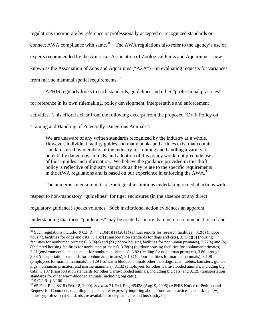regulations incorporate by reference or professionally accepted or recognized standards or connect AWA compliance with same.<sup>31</sup> The AWA regulations also refer to the agency's use of experts recommended by the American Association of Zoological Parks and Aquariums—now known as the Association of Zoos and Aquariums ("AZA")—in evaluating requests for variances from marine mammal spatial requirements.32

APHIS regularly looks to such standards, guidelines and other "professional practices" for reference in its own rulemaking, policy development, interpretative and enforcement activities. This effort is clear from the following excerpt from the proposed "Draft Policy on Training and Handling of Potentially Dangerous Animals":

We are unaware of any written standards recognized by the industry as a whole. However, individual facility guides and many books and articles exist that contain standards used by members of the industry for training and handling a variety of potentially dangerous animals, and adoption of this policy would not preclude use of those guides and information. We believe the guidance provided in this draft policy is reflective of industry standards as they relate to the specific requirements in the AWA regulations and is based on our experience in enforcing the  $AWA$ <sup>33</sup>

The numerous media reports of zoological institutions undertaking remedial actions with

respect to non-mandatory "guidelines" for tiger enclosures (in the absence of any direct

regulatory guidance) speaks volumes. Such institutional action evidences an apparent

understanding that these "guidelines" may be treated as more than mere recommendations if and

1

 $31$  Such regulations include: 9 C.F.R. §§ 2.36(b)(1) (2011) (annual reports for research facilities), 3.2(b) (indoor housing facilities for dogs and cats), 3.13(f) (transportation standards for dogs and cats), 3.75(c)(3) (housing facilities for nonhuman primates), 3.76(a) and (b) (indoor housing facilities for nonhuman primates), 3.77(a) and (b) (sheltered housing facilities for nonhuman primates), 3.78(b) (outdoor housing facilities for nonhuman primates), 3.81 (environmental enhancement for nonhuman primates), 3.82 (feeding for nonhuman primates), 3.86 through 3.88 (transportation standards for nonhuman primates), 3.102 (indoor facilities for marine mammals), 3.108 (employees for marine mammals), 3.129 (for warm blooded animals other than dogs, cats, rabbits, hamsters, guinea pigs, nonhuman primates, and marine mammals), 3.132 (employees for other warm-blooded animals, including big cats), 3.137 (transportation standards for other warm-blooded animals, including big cats) and 3.139 (transportation standards for other warm-blooded animals, including big cats.).

<sup>32 9</sup> C.F.R. § 3.100.

<sup>33 65</sup> Fed. Reg. 8318 (Feb. 18, 2000). *See also* 71 Fed. Reg. 45438 (Aug. 9, 2006) (APHIS Notice of Petition and Request for Comments regarding elephant care, expressly inquiring about "foot care practices" and asking "[w]hat industry/professional standards are available for elephant care and husbandry?")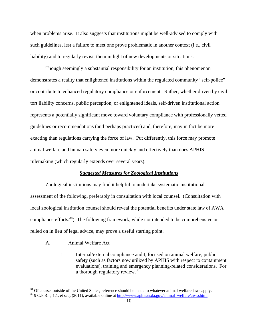when problems arise. It also suggests that institutions might be well-advised to comply with such guidelines, lest a failure to meet one prove problematic in another context (i.e., civil liability) and to regularly revisit them in light of new developments or situations.

 Though seemingly a substantial responsibility for an institution, this phenomenon demonstrates a reality that enlightened institutions within the regulated community "self-police" or contribute to enhanced regulatory compliance or enforcement. Rather, whether driven by civil tort liability concerns, public perception, or enlightened ideals, self-driven institutional action represents a potentially significant move toward voluntary compliance with professionally vetted guidelines or recommendations (and perhaps practices) and, therefore, may in fact be more exacting than regulations carrying the force of law. Put differently, this force may promote animal welfare and human safety even more quickly and effectively than does APHIS rulemaking (which regularly extends over several years).

### *Suggested Measures for Zoological Institutions*

 Zoological institutions may find it helpful to undertake systematic institutional assessment of the following, preferably in consultation with local counsel. (Consultation with local zoological institution counsel should reveal the potential benefits under state law of AWA compliance efforts.<sup>34</sup>) The following framework, while not intended to be comprehensive or relied on in lieu of legal advice, may prove a useful starting point.

A. Animal Welfare Act

1

1. Internal/external compliance audit, focused on animal welfare, public safety (such as factors now utilized by APHIS with respect to containment evaluations), training and emergency planning-related considerations. For a thorough regulatory review.<sup>35</sup>

<sup>&</sup>lt;sup>34</sup> Of course, outside of the United States, reference should be made to whatever animal welfare laws apply.<br><sup>35</sup> 9 C.F.R. § 1.1, et seq. (2011), available online at http://www.aphis.usda.gov/animal\_welfare/awr.shtml.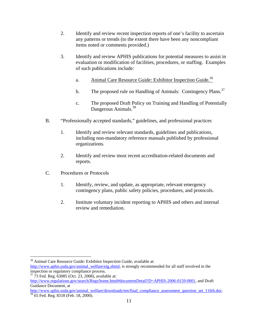- 2. Identify and review recent inspection reports of one's facility to ascertain any patterns or trends (to the extent there have been any noncompliant items noted or comments provided.)
- 3. Identify and review APHIS publications for potential measures to assist in evaluation or modification of facilities, procedures, or staffing. Examples of such publications include:
	- a. Animal Care Resource Guide: Exhibitor Inspection Guide.<sup>36</sup>
	- b. The proposed rule on Handling of Animals: Contingency Plans.<sup>37</sup>
	- c. The proposed Draft Policy on Training and Handling of Potentially Dangerous Animals.<sup>38</sup>
- B. "Professionally accepted standards," guidelines, and professional practices
	- 1. Identify and review relevant standards, guidelines and publications, including non-mandatory reference manuals published by professional organizations.
	- 2. Identify and review most recent accreditation-related documents and reports.
- C. Procedures or Protocols

 $\overline{a}$ 

- 1. Identify, review, and update, as appropriate, relevant emergency contingency plans, public safety policies, procedures, and protocols.
- 2. Institute voluntary incident reporting to APHIS and others and internal review and remediation.

<sup>36</sup> Animal Care Resource Guide: Exhibitor Inspection Guide, available at: http://www.aphis.usda.gov/animal\_welfare/eig.shtml, is strongly recommended for all staff involved in the inspection or regulatory compliance process.

 $37\overline{7}3$  Fed. Reg. 63085 (Oct. 23, 2008), available at: http://www.regulations.gov/search/Regs/home.html#documentDetail?D=APHIS-2006-0159-0001, and Draft Guidance Document, at

http://www.aphis.usda.gov/animal\_welfare/downloads/em/final\_compliance\_assessment\_question\_set\_11feb.doc. 38 65 Fed. Reg. 8318 (Feb. 18, 2000).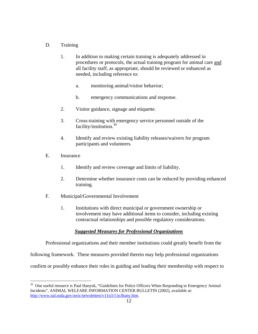# D. Training

- 1. In addition to making certain training is adequately addressed in procedures or protocols, the actual training program for animal care and all facility staff, as appropriate, should be reviewed or enhanced as needed, including reference to:
	- a. monitoring animal/visitor behavior;
	- b. emergency communications and response.
- 2. Visitor guidance, signage and etiquette.
- 3. Cross-training with emergency service personnel outside of the facility/institution.39
- 4. Identify and review existing liability releases/waivers for program participants and volunteers.
- E. Insurance

 $\overline{a}$ 

- 1. Identify and review coverage and limits of liability.
- 2. Determine whether insurance costs can be reduced by providing enhanced training.
- F. Municipal/Governmental Involvement
	- 1. Institutions with direct municipal or government ownership or involvement may have additional items to consider, including existing contractual relationships and possible regulatory considerations.

# *Suggested Measures for Professional Organizations*

Professional organizations and their member institutions could greatly benefit from the

following framework. These measures provided therein may help professional organizations

confirm or possibly enhance their roles in guiding and leading their membership with respect to

<sup>&</sup>lt;sup>39</sup> One useful resource is Paul Hanyok, "Guidelines for Police Officers When Responding to Emergency Animal Incidents", ANIMAL WELFARE INFORMATION CENTER BULLETIN (2002), available at: http://www.nal.usda.gov/awic/newsletters/v11n3/11n3hany.htm.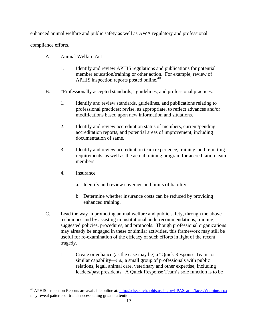enhanced animal welfare and public safety as well as AWA regulatory and professional

compliance efforts.

1

- A. Animal Welfare Act
	- 1. Identify and review APHIS regulations and publications for potential member education/training or other action. For example, review of APHIS inspection reports posted online.<sup>40</sup>
- B. "Professionally accepted standards," guidelines, and professional practices.
	- 1. Identify and review standards, guidelines, and publications relating to professional practices; revise, as appropriate, to reflect advances and/or modifications based upon new information and situations.
	- 2. Identify and review accreditation status of members, current/pending accreditation reports, and potential areas of improvement, including documentation of same.
	- 3. Identify and review accreditation team experience, training, and reporting requirements, as well as the actual training program for accreditation team members.
	- 4. Insurance
		- a. Identify and review coverage and limits of liability.
		- b. Determine whether insurance costs can be reduced by providing enhanced training.
- C. Lead the way in promoting animal welfare and public safety, through the above techniques and by assisting in institutional audit recommendations, training, suggested policies, procedures, and protocols. Though professional organizations may already be engaged in these or similar activities, this framework may still be useful for re-examination of the efficacy of such efforts in light of the recent tragedy.
	- 1. Create or enhance (as the case may be) a "Quick Response Team" or similar capability—*i.e.*, a small group of professionals with public relations, legal, animal care, veterinary and other expertise, including leaders/past presidents. A Quick Response Team's sole function is to be

<sup>&</sup>lt;sup>40</sup> APHIS Inspection Reports are available online at: http://acissearch.aphis.usda.gov/LPASearch/faces/Warning.jspx may reveal patterns or trends necessitating greater attention.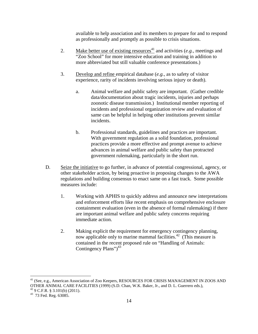available to help association and its members to prepare for and to respond as professionally and promptly as possible to crisis situations.

- 2. Make better use of existing resources<sup>41</sup> and activities  $(e.g.,$  meetings and "Zoo School" for more intensive education and training in addition to more abbreviated but still valuable conference presentations.)
- 3. Develop and refine empirical database (*e.g.*, as to safety of visitor experience, rarity of incidents involving serious injury or death).
	- a. Animal welfare and public safety are important. (Gather credible data/documentation about tragic incidents, injuries and perhaps zoonotic disease transmission.) Institutional member reporting of incidents and professional organization review and evaluation of same can be helpful in helping other institutions prevent similar incidents.
	- b. Professional standards, guidelines and practices are important. With government regulation as a solid foundation, professional practices provide a more effective and prompt avenue to achieve advances in animal welfare and public safety than protracted government rulemaking, particularly in the short run.
- D. Seize the initiative to go further, in advance of potential congressional, agency, or other stakeholder action, by being proactive in proposing changes to the AWA regulations and building consensus to enact same on a fast track. Some possible measures include:
	- 1. Working with APHIS to quickly address and announce new interpretations and enforcement efforts like recent emphasis on comprehensive enclosure containment evaluation (even in the absence of formal rulemaking) if there are important animal welfare and public safety concerns requiring immediate action.
	- 2. Making explicit the requirement for emergency contingency planning, now applicable only to marine mammal facilities.<sup>42</sup> (This measure is contained in the recent proposed rule on "Handling of Animals: Contingency Plans" $)^{43}$

<sup>&</sup>lt;sup>41</sup> (See, e.g., American Association of Zoo Keepers, RESOURCES FOR CRISIS MANAGEMENT IN ZOOS AND OTHER ANIMAL CARE FACILITIES (1999) (S.D. Chan, W.K. Baker, Jr., and D. L. Guerrero eds.),

 $42$  9 C.F.R. § 3.101(b) (2011).

<sup>&</sup>lt;sup>43</sup> 73 Fed. Reg. 63085.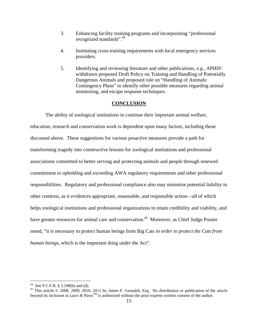- 3. Enhancing facility training programs and incorporating "professional recognized standards".<sup>44</sup>
- 4. Instituting cross-training requirements with local emergency services providers.
- 5. Identifying and reviewing literature and other publications, *e.g.*, APHIS' withdrawn proposed Draft Policy on Training and Handling of Potentially Dangerous Animals and proposed rule on "Handling of Animals: Contingency Plans" to identify other possible measures regarding animal monitoring, and escape response techniques.

#### **CONCLUSION**

 The ability of zoological institutions to continue their important animal welfare, education, research and conservation work is dependent upon many factors, including those discussed above. These suggestions for various proactive measures provide a path for transforming tragedy into constructive lessons for zoological institutions and professional associations committed to better serving and protecting animals and people through renewed commitment to upholding and exceeding AWA regulatory requirements and other professional responsibilities. Regulatory and professional compliance also may minimize potential liability in other contexts, as it evidences appropriate, reasonable, and responsible action—all of which helps zoological institutions and professional organizations to retain credibility and viability, and have greater resources for animal care and conservation.<sup>45</sup> Moreover, as Chief Judge Posner noted, "it is necessary to protect human beings from Big Cats *in order to protect the Cats from human beings*, which is the important thing under the Act".

<u>.</u>

<sup>&</sup>lt;sup>44</sup> See 9 C.F.R. § 3.108(b) and (d).

<sup>&</sup>lt;sup>45</sup> This article  $\odot$  2008, 2009, 2010, 2011 by James F. Gesualdi, Esq. No distribution or publication of the article beyond its inclusion in *Laws & Paws*TM is authorized without the prior express written consent of the author.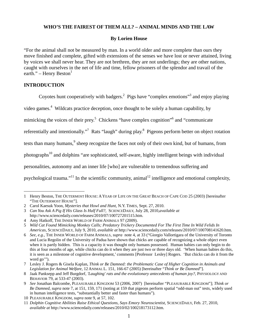# **WHO'S THE FAIREST OF THEM ALL? – ANIMAL MINDS AND THE LAW**

## **By Lorien House**

"For the animal shall not be measured by man. In a world older and more complete than ours they move finished and complete, gifted with extensions of the senses we have lost or never attained, living by voices we shall never hear. They are not brethren, they are not underlings; they are other nations, caught with ourselves in the net of life and time, fellow prisoners of the splendor and travail of the earth." – Henry Beston $<sup>1</sup>$ </sup>

# **INTRODUCTION**

 $\overline{a}$ 

Coyotes hunt cooperatively with badgers.<sup>2</sup> Pigs have "complex emotions"<sup>3</sup> and enjoy playing

video games.<sup>4</sup> Wildcats practice deception, once thought to be solely a human capability, by

mimicking the voices of their prey.<sup>5</sup> Chickens "have complex cognition"<sup>6</sup> and "communicate

referentially and intentionally."<sup>7</sup> Rats "laugh" during play.<sup>8</sup> Pigeons perform better on object rotation

tests than many humans,<sup>9</sup> sheep recognize the faces not only of their own kind, but of humans, from

photographs10 and dolphins "are sophisticated, self-aware, highly intelligent beings with individual

personalities, autonomy and an inner life [who] are vulnerable to tremendous suffering and

psychological trauma."<sup>11</sup> In the scientific community, animal<sup>12</sup> intelligence and emotional complexity,

<sup>1</sup> Henry Beston, THE OUTERMOST HOUSE: AYEAR OF LIFE ON THE GREAT BEACH OF CAPE COD 25 (2003) [hereinafter "THE OUTERMOST HOUSE"].

<sup>2</sup> Carol Kaesuk Yoon, *Mysteries that Howl and Hunt*, N.Y. TIMES, Sept. 27, 2010.

<sup>3</sup> *Can You Ask A Pig If His Glass Is Half Full?,* SCIENCEDAILY, July 28, 2010,*available at* http://www.sciencedaily.com/releases/2010/07/100727201515.htm.

<sup>4</sup> Amy Hatkoff, THE INNER WORLD OF FARM ANIMALS 97 (2009).

<sup>5</sup> *Wild Cat Found Mimicking Monkey Calls; Predatory Trickery Documented For The First Time In Wild Felids In Americas*, SCIENCEDAILY, July 9, 2010, *available at* http://www.sciencedaily.com/releases/2010/07/100708141620.htm.

<sup>6</sup> *See, e.g.,* THE INNER WORLD OF FARM ANIMALS, *supra* note 4, at 33 ("Giorgio Vallortigara of the University of Toronto and Lucia Regolin of the University of Padua have shown that chicks are capable of recognizing a whole object even when it is partly hidden. This is a capacity it was thought only humans possessed. Human babies can only begin to do this at four months of age, while chicks can do it when they are just two or three days old. 'When human babies do this, it is seen as a milestone of cognitive development,' comments [Professor Lesley] Rogers. 'But chicks can do it from the word go'").

<sup>7</sup> Lesley J. Rogers & Gisela Kaplan, *Think or Be Damned: the Problematic Case of Higher Cognition in Animals and Legislation for Animal Welfare*, 12 ANIMAL L. 151, 166-67 (2005) [hereinafter "*Think or Be Damned*"].

<sup>8</sup> Jaak Panksepp and Jeff Burgdorf, *'Laughing' rats and the evolutionary antecedents of human joy?*, PHYSIOLOGY AND BEHAVIOR 79, at 533-47 (2003).

<sup>9</sup> *See* Jonathan Balcombe, PLEASURABLE KINGDOM 53 (2006, 2007) [hereinafter "PLEASURABLE KINGDOM"]; *Think or Be Damned*, *supra* note 7, at 151, 159, 171 (noting at 159 that pigeons perform spatial "odd-man out" tests, widely used in human intelligence tests, "substantially better and faster than humans").

<sup>10</sup> PLEASURABLE KINGDOM, *supra* note 9, at 57, 102.

<sup>11</sup> *Dolphin Cognitive Abilities Raise Ethical Questions, Says Emory Neuroscientist*, SCIENCEDAILY, Feb. 27, 2010, *available at* http://www.sciencedaily.com/releases/2010/02/100218173112.htm.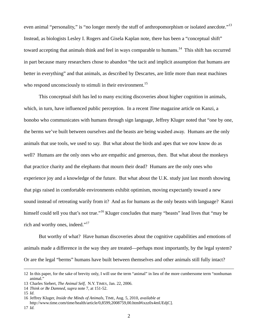even animal "personality," is "no longer merely the stuff of anthropomorphism or isolated anecdote."<sup>13</sup> Instead, as biologists Lesley I. Rogers and Gisela Kaplan note, there has been a "conceptual shift" toward accepting that animals think and feel in ways comparable to humans.<sup>14</sup> This shift has occurred in part because many researchers chose to abandon "the tacit and implicit assumption that humans are better in everything" and that animals, as described by Descartes, are little more than meat machines who respond unconsciously to stimuli in their environment.<sup>15</sup>

 This conceptual shift has led to many exciting discoveries about higher cognition in animals, which, in turn, have influenced public perception. In a recent *Time* magazine article on Kanzi, a bonobo who communicates with humans through sign language, Jeffrey Kluger noted that "one by one, the berms we've built between ourselves and the beasts are being washed away. Humans are the only animals that use tools, we used to say. But what about the birds and apes that we now know do as well? Humans are the only ones who are empathic and generous, then. But what about the monkeys that practice charity and the elephants that mourn their dead? Humans are the only ones who experience joy and a knowledge of the future. But what about the U.K. study just last month showing that pigs raised in comfortable environments exhibit optimism, moving expectantly toward a new sound instead of retreating warily from it? And as for humans as the only beasts with language? Kanzi himself could tell you that's not true."<sup>16</sup> Kluger concludes that many "beasts" lead lives that "may be rich and worthy ones, indeed."<sup>17</sup>

 But worthy of what? Have human discoveries about the cognitive capabilities and emotions of animals made a difference in the way they are treated—perhaps most importantly, by the legal system? Or are the legal "berms" humans have built between themselves and other animals still fully intact?

 <sup>12</sup> In this paper, for the sake of brevity only, I will use the term "animal" in lieu of the more cumbersome term "nonhuman animal."

<sup>13</sup> Charles Siebert, *The Animal Self*, N.Y. TIMES, Jan. 22, 2006.

<sup>14</sup> *Think or Be Damned*, *supra* note 7, at 151-52.

<sup>15</sup> *Id*.

<sup>16</sup> Jeffrey Kluger, *Inside the Minds of Animals*, TIME, Aug. 5, 2010, *available at*

http://www.time.com/time/health/article/0,8599,2008759,00.html#ixzz0x4mUEdjC]. 17 *Id*.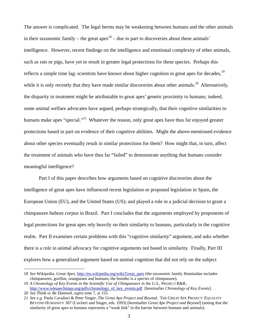The answer is complicated. The legal berms may be weakening between humans and the other animals in their taxonomic family – the great apes<sup>18</sup> – due in part to discoveries about these animals' intelligence. However, recent findings on the intelligence and emotional complexity of other animals, such as rats or pigs, have yet to result in greater legal protections for these species. Perhaps this reflects a simple time lag: scientists have known about higher cognition in great apes for decades, <sup>19</sup> while it is only recently that they have made similar discoveries about other animals.<sup>20</sup> Alternatively, the disparity in treatment might be attributable to great apes' genetic proximity to humans; indeed, some animal welfare advocates have argued, perhaps strategically, that their cognitive similarities to humans make apes "special."<sup>21</sup> Whatever the reason, only great apes have thus far enjoyed greater protections based in part on evidence of their cognitive abilities. Might the above-mentioned evidence about other species eventually result in similar protections for them? How might that, in turn, affect the treatment of animals who have thus far "failed" to demonstrate anything that humans consider meaningful intelligence?

 Part I of this paper describes how arguments based on cognitive discoveries about the intelligence of great apes have influenced recent legislation or proposed legislation in Spain, the European Union (EU), and the United States (US); and played a role in a judicial decision to grant a chimpanzee *habeas corpus* in Brazil. Part I concludes that the arguments employed by proponents of legal protections for great apes rely heavily on their similarity to humans, particularly in the cognitive realm. Part II examines certain problems with this "cognitive similarity" argument, and asks whether there is a role in animal advocacy for cognitive arguments not based in similarity. Finally, Part III explores how a generalized argument based on animal cognition that did *not* rely on the subject

<sup>18</sup> *See* Wikipedia, *Great Apes*, http://en.wikipedia.org/wiki/Great\_apes (the taxonomic family Hominidae includes chimpanzees, gorillas, orangutans and humans; the bonobo is a species of chimpanzee).

<sup>19</sup> *A Chronology of Key Events in the Scientific Use of Chimpanzees in the U.S.*, PROJECT R&R, http://www.releasechimps.org/pdfs/chronology\_of\_key\_events.pdf [hereinafter *Chronology of Key Events*].

<sup>20</sup> *See Think or Be Damned*, *supra* note 7, at 155.

<sup>21</sup> *See e.g.* Paola Cavalieri & Peter Singer*, The Great Ape Project and Beyond*, THE GREAT APE PROJECT: EQUALITY BEYOND HUMANITY 307 (Cavlieri and Singer, eds. 1993) [hereinafter *Great Ape Project and Beyond*] (noting that the similarity of great apes to humans represents a "weak link" in the barrier between humans and animals).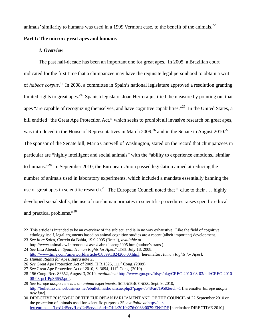animals' similarity to humans was used in a 1999 Vermont case, to the benefit of the animals.<sup>22</sup>

## **Part I: The mirror: great apes and humans**

## *1. Overview*

The past half-decade has been an important one for great apes. In 2005, a Brazilian court indicated for the first time that a chimpanzee may have the requisite legal personhood to obtain a writ of *habeas corpus*. 23 In 2008, a committee in Spain's national legislature approved a resolution granting limited rights to great apes.<sup>24</sup> Spanish legislator Joan Herrera justified the measure by pointing out that apes "are capable of recognizing themselves, and have cognitive capabilities."<sup>25</sup> In the United States, a bill entitled "the Great Ape Protection Act," which seeks to prohibit all invasive research on great apes, was introduced in the House of Representatives in March  $2009<sup>26</sup>$  and in the Senate in August  $2010<sup>27</sup>$ The sponsor of the Senate bill, Maria Cantwell of Washington, stated on the record that chimpanzees in particular are "highly intelligent and social animals" with the "ability to experience emotions...similar to humans."<sup>28</sup> In September 2010, the European Union passed legislation aimed at reducing the number of animals used in laboratory experiments, which included a mandate essentially banning the use of great apes in scientific research.<sup>29</sup> The European Council noted that "[d]ue to their . . . highly developed social skills, the use of non-human primates in scientific procedures raises specific ethical and practical problems."<sup>30</sup>

<sup>22</sup> This article is intended to be an overview of the subject, and is in no way exhaustive. Like the field of cognitive ethology itself, legal arguments based on animal cognition studies are a recent (albeit important) development.

<sup>23</sup> *See In re Suica*, Correio da Bahia, 19.9.2005 (Brazil), *available at* http://www.animallaw.info/nonus/cases/cabrsuicaeng2005.htm (author's trans.).

<sup>24</sup> *See* Lisa Abend, *In Spain, Human Rights for Apes*," TIME, July 18, 2008, http://www.time.com/time/world/article/0,8599,1824206,00.html [hereinafter *Human Rights for Apes*].

<sup>25</sup> *Human Rights for Apes*, *supra* note 23.

<sup>26</sup> *See* Great Ape Protection Act of 2009*,* H.R.1326, 111th Cong. (2009).

<sup>27</sup> *See* Great Ape Protection Act of 2010, S. 3694, 111<sup>th</sup> Cong. (2010).

<sup>28 156</sup> Cong. Rec. S6652, August 3, 2010, *available at* http://www.gpo.gov/fdsys/pkg/CREC-2010-08-03/pdf/CREC-2010- 08-03-pt1-PgS6652.pdf.

<sup>29</sup> *See Europe adopts new law on animal experiments*, SCIENCEBUSINESS, Sept. 9, 2010, http://bulletin.sciencebusiness.net/ebulletins/showissue.php3?page=/548/art/19592&ch=1 [hereinafter *Europe adopts new law*].

<sup>30</sup> DIRECTIVE 2010/63/EU OF THE EUROPEAN PARLIAMENT AND OF THE COUNCIL of 22 September 2010 on the protection of animals used for scientific purposes 35, *available at* http://eurlex.europa.eu/LexUriServ/LexUriServ.do?uri=OJ:L:2010:276:0033:0079:EN:PDF [hereinafter DIRECTIVE 2010].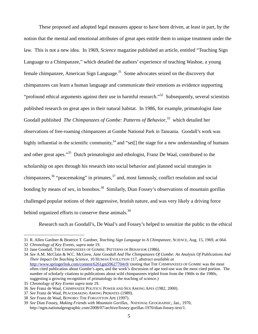These proposed and adopted legal measures appear to have been driven, at least in part, by the notion that the mental and emotional attributes of great apes entitle them to unique treatment under the law. This is not a new idea. In 1969, *Science* magazine published an article, entitled "Teaching Sign Language to a Chimpanzee," which detailed the authors' experience of teaching Washoe, a young female chimpanzee, American Sign Language.<sup>31</sup> Some advocates seized on the discovery that chimpanzees can learn a human language and communicate their emotions as evidence supporting "profound ethical arguments against their use in harmful research."<sup>32</sup> Subsequently, several scientists published research on great apes in their natural habitat. In 1986, for example, primatologist Jane Goodall published *The Chimpanzees of Gombe: Patterns of Behavior*, 33 which detailed her observations of free-roaming chimpanzees at Gombe National Park in Tanzania. Goodall's work was highly influential in the scientific community,<sup>34</sup> and "set[] the stage for a new understanding of humans and other great apes."<sup>35</sup> Dutch primatologist and ethologist, Franz De Waal, contributed to the scholarship on apes through his research into social behavior and planned social strategies in chimpanzees,  $36$  "peacemaking" in primates,  $37$  and, most famously, conflict resolution and social bonding by means of sex, in bonobos.<sup>38</sup> Similarly, Dian Fossey's observations of mountain gorillas challenged popular notions of their aggressive, brutish nature, and was very likely a driving force behind organized efforts to conserve these animals.<sup>39</sup>

Research such as Goodall's, De Waal's and Fossey's helped to sensitize the public to the ethical

<sup>31</sup> R. Allen Gardner & Beatrice T. Gardner, *Teaching Sign Language to A Chimpanzee*, SCIENCE, Aug. 15, 1969, at 664.

<sup>32</sup> *Chronology of Key Events*, *supra* note 19.

<sup>33</sup> Jane Goodall, THE CHIMPANZEES OF GOMBE: PATTERNS OF BEHAVIOR (1986).

<sup>34</sup> *See* A.M. McClain & W.C. McGrew, *Jane Goodall And The Chimpanzees Of Gombe: An Analysis Of Publications And Their Impact On Teaching Science*, 10 HUMAN EVOLUTION 117, *abstract available at* http://www.springerlink.com/content/6261gm59627704v9/ (noting that THE CHIMPANZEES OF GOMBE was the most often cited publication about Gombe's apes, and the work's discussion of ape tool-use was the most cited portion. The number of scholarly citations to publications about wild chimpanzees tripled from from the 1960s to the 1980s, suggesting a growing recognition of primatology in the teaching of science.)

<sup>35</sup> *Chronology of Key Events supra* note 19.

<sup>36</sup> *See* Franz de Waal, CHIMPANZEE POLITICS: POWER AND SEX AMONG APES (1982, 2000).

<sup>37</sup> *See* Franz de Waal, PEACEMAKING AMONG PRIMATES (1989).

<sup>38</sup> *See* Franz de Waal, BONOBO: THE FORGOTTON APE (1997).

<sup>39</sup> *See* Dian Fossey, *Making Friends with Mountain Gorillas*, NATIONAL GEOGRAPHIC, Jan., 1970, http://ngm.nationalgeographic.com/2008/07/archive/fossey-gorillas-1970/dian-fossey-text/1.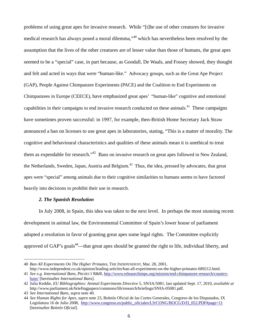problems of using great apes for invasive research. While "[t]he use of other creatures for invasive medical research has always posed a moral dilemma,"40 which has nevertheless been resolved by the assumption that the lives of the other creatures are of lesser value than those of humans, the great apes seemed to be a "special" case, in part because, as Goodall, De Waals, and Fossey showed, they thought and felt and acted in ways that were "human-like." Advocacy groups, such as the Great Ape Project (GAP), People Against Chimpanzee Experiments (PACE) and the Coalition to End Experiments on Chimpanzees in Europe (CEECE), have emphasized great apes' "human-like" cognitive and emotional capabilities in their campaigns to end invasive research conducted on these animals.41 These campaigns have sometimes proven successful: in 1997, for example, then-British Home Secretary Jack Straw announced a ban on licenses to use great apes in laboratories, stating, "This is a matter of morality. The cognitive and behavioural characteristics and qualities of these animals mean it is unethical to treat them as expendable for research."<sup>42</sup> Bans on invasive research on great apes followed in New Zealand, the Netherlands, Sweden, Japan, Austria and Belgium.<sup>43</sup> Thus, the idea, pressed by advocates, that great apes were "special" among animals due to their cognitive similarities to humans seems to have factored heavily into decisions to prohibit their use in research.

### *2. The Spanish Resolution*

 In July 2008, in Spain, this idea was taken to the next level. In perhaps the most stunning recent development in animal law, the Environmental Committee of Spain's lower house of parliament adopted a resolution in favor of granting great apes some legal rights. The Committee explicitly approved of GAP's goals<sup>44</sup>—that great apes should be granted the right to life, individual liberty, and

<sup>40</sup> *Ban All Experiments On The Higher Primates*, THE INDEPENDENT, Mar. 28, 2001, http://www.independent.co.uk/opinion/leading-articles/ban-all-experiments-on-the-higher-primates-689212.html.

<sup>41</sup> *See e.g. International Bans*, PROJECT R&R, http://www.releasechimps.org/mission/end-chimpanzee-research/countrybans/ [hereinafter *International Bans*].

<sup>42</sup> Julia Keddie, *EU Bibliographies: Animal Experiments Directive* 5, SN/IA/5081, last updated Sept. 17, 2010, *available at* http://www.parliament.uk/briefingpapers/commons/lib/research/briefings/SNIA-05081.pdf.

<sup>43</sup> *See International Bans*, *supra* note 40.

<sup>44</sup> *See Human Rights for Apes*, *supra* note 23, Boletín Oficial de las Cortes Generales, Congreso de los Disputados, IX Legislatura 16 de Julio 2008, http://www.congreso.es/public\_oficiales/L9/CONG/BOCG/D/D\_052.PDF#page=11 [hereinafter *Boletín Oficial*].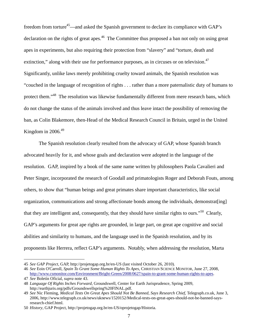freedom from torture<sup>45</sup>—and asked the Spanish government to declare its compliance with GAP's declaration on the rights of great apes.<sup>46</sup> The Committee thus proposed a ban not only on using great apes in experiments, but also requiring their protection from "slavery" and "torture, death and extinction," along with their use for performance purposes, as in circuses or on television. $47$ Significantly, unlike laws merely prohibiting cruelty toward animals, the Spanish resolution was "couched in the language of recognition of rights . . . rather than a more paternalistic duty of humans to protect them."<sup>48</sup> The resolution was likewise fundamentally different from mere research bans, which do not change the status of the animals involved and thus leave intact the possibility of removing the ban, as Colin Blakemore, then-Head of the Medical Research Council in Britain, urged in the United Kingdom in  $2006<sup>49</sup>$ 

 The Spanish resolution clearly resulted from the advocacy of GAP, whose Spanish branch advocated heavily for it, and whose goals and declaration were adopted in the language of the resolution. GAP, inspired by a book of the same name written by philosophers Paola Cavalieri and Peter Singer, incorporated the research of Goodall and primatologists Roger and Deborah Fouts, among others, to show that "human beings and great primates share important characteristics, like social organization, communications and strong affectionate bonds among the individuals, demonstrat[ing] that they are intelligent and, consequently, that they should have similar rights to ours."<sup>50</sup> Clearly, GAP's arguments for great ape rights are grounded, in large part, on great ape cognitive and social abilities and similarity to humans, and the language used in the Spanish resolution, and by its proponents like Herrera, reflect GAP's arguments. Notably, when addressing the resolution, Marta

<sup>45</sup> *See GAP Project*, GAP, http://projetogap.org.br/en-US (last visited October 26, 2010).

<sup>46</sup> *See* Eoin O'Carroll, *Spain To Grant Some Human Rights To Apes*, CHRISTIAN SCIENCE MONITOR, June 27, 2008, http://www.csmonitor.com/Environment/Bright-Green/2008/0627/spain-to-grant-some-human-rights-to-apes. 47 *See* Boletín Oficial, *supra* note 43.

<sup>48</sup> *Language Of Rights Inches Forward*, Groundswell, Center for Earth Jurisprudence, Spring 2009, http://earthjuris.org/pdfs/Groundswellspring%20FINAL.pdf.

<sup>49</sup> *See* Nic Fleming, *Medical Tests On Great Apes Should Not Be Banned, Says Research Chief,* Telegraph.co.uk, June 3, 2006, http://www.telegraph.co.uk/news/uknews/1520152/Medical-tests-on-great-apes-should-not-be-banned-saysresearch-chief.html.

<sup>50</sup> *History*, GAP Project, http://projetogap.org.br/en-US/oprojetogap/Historia.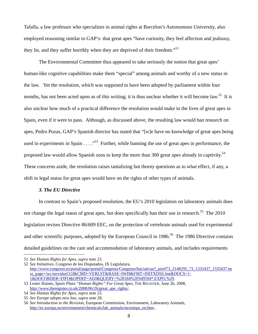Tafalla, a law professor who specializes in animal rights at Barcelon's Autonomous University, also employed reasoning similar to GAP's: that great apes "have curiosity, they feel affection and jealousy, they lie, and they suffer horribly when they are deprived of their freedom."<sup>51</sup>

 The Environmental Committee thus appeared to take seriously the notion that great apes' human-like cognitive capabilities make them "special" among animals and worthy of a new status in the law. Yet the resolution, which was supposed to have been adopted by parliament within four months, has not been acted upon as of this writing; it is thus unclear whether it will become law.<sup>52</sup> It is also unclear how much of a practical difference the resolution would make in the lives of great apes in Spain, even if it were to pass. Although, as discussed above, the resulting law would ban research on apes, Pedro Pozas, GAP's Spanish director has stated that "[w]e have no knowledge of great apes being used in experiments in Spain . . . ."53 Further, while banning the use of great apes in performance, the proposed law would allow Spanish zoos to keep the more than 300 great apes already in captivity.<sup>54</sup> These concerns aside, the resolution raises tantalizing but thorny questions as to what effect, if any, a shift in legal status for great apes would have on the rights of other types of animals.

## *3. The EU Directive*

 In contrast to Spain's proposed resolution, the EU's 2010 legislation on laboratory animals does not change the legal status of great apes, but does specifically ban their use in research.<sup>55</sup> The 2010 legislation revises Directive 86/609 EEC, on the protection of vertebrate animals used for experimental and other scientific purposes, adopted by the European Council in 1986.<sup>56</sup> The 1986 Directive contains detailed guidelines on the care and accommodation of laboratory animals, and includes requirements

<sup>51</sup> *See Human Rights for Apes*, *supra* note 23.

<sup>52</sup> *See Initiatives*, Congreso de los Disputados, IX Legislatura, http://www.congreso.es/portal/page/portal/Congreso/Congreso/Iniciativas?\_piref73\_2148295\_73\_1335437\_1335437.ne xt\_page=/wc/servidorCGI&CMD=VERLST&BASE=IWI9&FMT=INITXDSS.fmt&DOCS=1- 1&DOCORDER=FIFO&OPDEF=ADJ&QUERY=%28184%2F049594\*.EXPO.%29.

<sup>53</sup> Lester Haines, *Spain Plans "Human Rights" For Great Apes*, THE REGISTER, June 26, 2008, http://www.theregister.co.uk/2008/06/26/great\_ape\_rights/.

<sup>54</sup> *See Human Rights for Apes*, *supra* note 23.

<sup>55</sup> *See Europe adopts new law*, *supra* note 28.

<sup>56</sup> *See Introduction to the Revision,* European Commission, Environment, Laboratory Animals, http://ec.europa.eu/environment/chemicals/lab\_animals/nextsteps\_en.htm...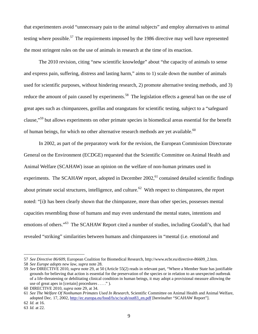that experimenters avoid "unnecessary pain to the animal subjects" and employ alternatives to animal testing where possible.<sup>57</sup> The requirements imposed by the 1986 directive may well have represented the most stringent rules on the use of animals in research at the time of its enaction.

 The 2010 revision, citing "new scientific knowledge" about "the capacity of animals to sense and express pain, suffering, distress and lasting harm," aims to 1) scale down the number of animals used for scientific purposes, without hindering research, 2) promote alternative testing methods, and 3) reduce the amount of pain caused by experiments.<sup>58</sup> The legislation effects a general ban on the use of great apes such as chimpanzees, gorillas and orangutans for scientific testing, subject to a "safeguard clause,"59 but allows experiments on other primate species in biomedical areas essential for the benefit of human beings, for which no other alternative research methods are yet available.<sup>60</sup>

 In 2002, as part of the preparatory work for the revision, the European Commission Directorate General on the Environment (ECDGE) requested that the Scientific Committee on Animal Health and Animal Welfare (SCAHAW) issue an opinion on the welfare of non-human primates used in experiments. The SCAHAW report, adopted in December 2002,<sup>61</sup> contained detailed scientific findings about primate social structures, intelligence, and culture.<sup>62</sup> With respect to chimpanzees, the report noted: "[i]t has been clearly shown that the chimpanzee, more than other species, possesses mental capacities resembling those of humans and may even understand the mental states, intentions and emotions of others."<sup>63</sup> The SCAHAW Report cited a number of studies, including Goodall's, that had revealed "striking" similarities between humans and chimpanzees in "mental (i.e. emotional and

<sup>57</sup> *See Directive 86/609*, European Coalition for Biomedical Research, http://www.ecbr.eu/directive-86609\_2.htm.

<sup>58</sup> *See Europe adopts new law*, *supra* note 28.

<sup>59</sup> *See* DIRECTIVE 2010, *supra* note 29, at 50 (Article 55(2) reads in relevant part, "Where a Member State has justifiable grounds for believing that action is essential for the preservation of the species or in relation to an unexpected outbreak of a life-threatening or debilitating clinical condition in human beings, it may adopt a provisional measure allowing the use of great apes in [certain] procedures . . . ." ).

<sup>60</sup> DIRECTIVE 2010, *supra* note 29, at 34.

<sup>61</sup> *See The Welfare Of Nonhuman Primates Used In Research*, Scientific Committee on Animal Health and Animal Welfare, adopted Dec. 17, 2002, http://ec.europa.eu/food/fs/sc/scah/out83\_en.pdf [hereinafter "SCAHAW Report"].

<sup>62</sup> *Id.* at 16.

<sup>63</sup> *Id.* at 22.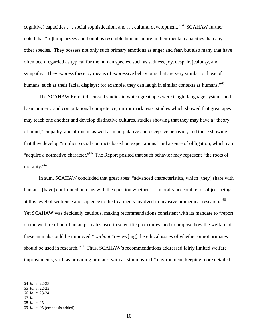cognitive) capacities . . . social sophistication, and . . . cultural development."64 SCAHAW further noted that "[c]himpanzees and bonobos resemble humans more in their mental capacities than any other species. They possess not only such primary emotions as anger and fear, but also many that have often been regarded as typical for the human species, such as sadness, joy, despair, jealousy, and sympathy. They express these by means of expressive behaviours that are very similar to those of humans, such as their facial displays; for example, they can laugh in similar contexts as humans."<sup>65</sup>

The SCAHAW Report discussed studies in which great apes were taught language systems and basic numeric and computational competence, mirror mark tests, studies which showed that great apes may teach one another and develop distinctive cultures, studies showing that they may have a "theory of mind," empathy, and altruism, as well as manipulative and deceptive behavior, and those showing that they develop "implicit social contracts based on expectations" and a sense of obligation, which can "acquire a normative character."66 The Report posited that such behavior may represent "the roots of morality."<sup>67</sup>

 In sum, SCAHAW concluded that great apes' "advanced characteristics, which [they] share with humans, [have] confronted humans with the question whether it is morally acceptable to subject beings at this level of sentience and sapience to the treatments involved in invasive biomedical research."68 Yet SCAHAW was decidedly cautious, making recommendations consistent with its mandate to "report on the welfare of non-human primates used in scientific procedures, and to propose how the welfare of these animals could be improved," *without* "review[ing] the ethical issues of whether or not primates should be used in research."<sup>69</sup> Thus, SCAHAW's recommendations addressed fairly limited welfare improvements, such as providing primates with a "stimulus-rich" environment, keeping more detailed

<sup>64</sup> *Id*. at 22-23.

<sup>65</sup> *Id.* at 22-23.

<sup>66</sup> *Id.* at 23-24.

<sup>67</sup> *Id*.

<sup>68</sup> *Id*. at 25.

<sup>69</sup> *Id*. at 95 (emphasis added).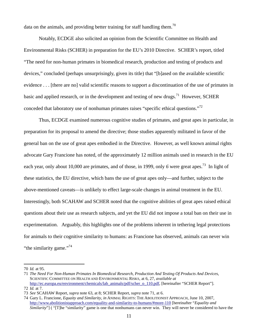data on the animals, and providing better training for staff handling them.<sup>70</sup>

 Notably, ECDGE also solicited an opinion from the Scientific Committee on Health and Environmental Risks (SCHER) in preparation for the EU's 2010 Directive. SCHER's report, titled "The need for non-human primates in biomedical research, production and testing of products and devices," concluded (perhaps unsurprisingly, given its title) that "[b]ased on the available scientific evidence . . . [there are no] valid scientific reasons to support a discontinuation of the use of primates in basic and applied research, or in the development and testing of new drugs.<sup>71</sup> However, SCHER conceded that laboratory use of nonhuman primates raises "specific ethical questions."<sup>72</sup>

 Thus, ECDGE examined numerous cognitive studies of primates, and great apes in particular, in preparation for its proposal to amend the directive; those studies apparently militated in favor of the general ban on the use of great apes embodied in the Directive. However, as well known animal rights advocate Gary Francione has noted, of the approximately 12 million animals used in research in the EU each year, only about 10,000 are primates, and of those, in 1999, only 6 were great apes.<sup>73</sup> In light of these statistics, the EU directive, which bans the use of great apes only—and further, subject to the above-mentioned caveats—is unlikely to effect large-scale changes in animal treatment in the EU. Interestingly, both SCAHAW and SCHER noted that the cognitive abilities of great apes raised ethical questions about their use as research subjects, and yet the EU did not impose a total ban on their use in experimentation. Arguably, this highlights one of the problems inherent in tethering legal protections for animals to their cognitive similarity to humans: as Francione has observed, animals can never win "the similarity game."<sup>74</sup>

<sup>70</sup> *Id.* at 95.

<sup>71</sup> *The Need For Non-Human Primates In Biomedical Research, Production And Testing Of Products And Devices*, SCIENTIFIC COMMITTEE ON HEALTH AND ENVIRONMENTAL RISKS, at 6, 27, *available at* http://ec.europa.eu/environment/chemicals/lab\_animals/pdf/scher\_o\_110.pdf, [hereinafter "SCHER Report"].

<sup>72</sup> *Id.* at 7.

<sup>73</sup> *See* SCAHAW Report, *supra* note 63, at 8; SCHER Report, *supra* note 71, at 6.

<sup>74</sup> Gary L. Francione, *Equaity and Similarity*, *in* ANIMAL RIGHTS: THE ABOLITIONIST APPROACH, June 10, 2007, http://www.abolitionistapproach.com/equality-and-similarity-to-humans/#more-110 [hereinafter "*Equality and Similarity*"] ( "[T]he "similarity" game is one that nonhumans can never win. They will never be considered to have the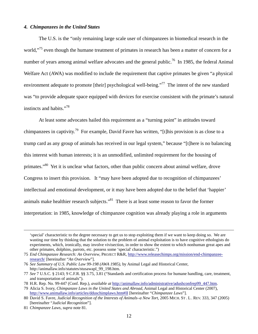### *4. Chimpanzees in the United States*

 The U.S. is the "only remaining large scale user of chimpanzees in biomedical research in the world,"<sup>75</sup> even though the humane treatment of primates in research has been a matter of concern for a number of years among animal welfare advocates and the general public.<sup>76</sup> In 1985, the federal Animal Welfare Act (AWA) was modified to include the requirement that captive primates be given "a physical environment adequate to promote [their] psychological well-being."<sup>77</sup> The intent of the new standard was "to provide adequate space equipped with devices for exercise consistent with the primate's natural instincts and habits."<sup>78</sup>

 At least some advocates hailed this requirement as a "turning point" in attitudes toward chimpanzees in captivity.<sup>79</sup> For example, David Favre has written, "[t]his provision is as close to a trump card as any group of animals has received in our legal system," because "[t]here is no balancing this interest with human interests; it is an unmodified, unlimited requirement for the housing of primates."<sup>80</sup> Yet it is unclear what factors, other than public concern about animal welfare, drove Congress to insert this provision. It "may have been adopted due to recognition of chimpanzees' intellectual and emotional development, or it may have been adopted due to the belief that 'happier' animals make healthier research subjects."<sup>81</sup> There is at least some reason to favor the former interpretation: in 1985, knowledge of chimpanzee cognition was already playing a role in arguments

 <sup>&#</sup>x27;special' characteristic to the degree necessary to get us to stop exploiting them if we want to keep doing so. We are wasting our time by thinking that the solution to the problem of animal exploitation is to have cognitive ethologists do experiments, which, ironically, may involve vivisection, in order to show the extent to which nonhuman great apes and other primates, dolphins, parrots, etc. possess some 'special' characteristic.")

<sup>75</sup> *End Chimpanzee Research: An Overview*, PROJECT R&R, http://www.releasechimps.org/mission/end-chimpanzeeresearch/ [hereinafter "*An Overview*"].

<sup>76</sup> *See Summary of U.S. Public Law 99-198 (AWA 1985)*, by Animal Legal and Historical Center, http://animallaw.info/statutes/stusawapl\_99\_198.htm.

<sup>77</sup> *See* 7 U.S.C. § 2143; 9 C.F.R. §§ 3.75, 3.81 ("Standards and certification process for humane handling, care, treatment, and transportation of animals").

<sup>78</sup> H.R. Rep. No. 99-447 (Conf. Rep.), *available at* http://animallaw.info/administrative/adushconfrep99\_447.htm.

<sup>79</sup> Alicia S. Ivory, *Chimpanzee Laws in the United States and Abroad*, Animal Legal and Historical Center (2007), http://www.animallaw.info/articles/dduschimplaws.htm#II [hereinafter "*Chimpanzee Laws*"].

<sup>80</sup> David S. Favre, *Judicial Recognition of the Interests of Animals–a New Tort*, 2005 MICH. ST . L . REV. 333, 347 (2005) [hereinafter "*Judicial Recognition*"].

<sup>81</sup> *Chimpanzee Laws*, *supra* note 81.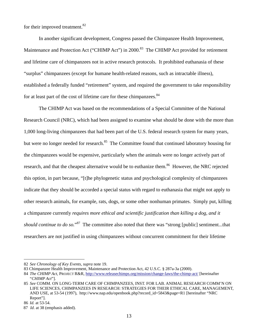for their improved treatment.<sup>82</sup>

 In another significant development, Congress passed the Chimpanzee Health Improvement, Maintenance and Protection Act ("CHIMP Act") in 2000.<sup>83</sup> The CHIMP Act provided for retirement and lifetime care of chimpanzees not in active research protocols. It prohibited euthanasia of these "surplus" chimpanzees (except for humane health-related reasons, such as intractable illness), established a federally funded "retirement" system, and required the government to take responsibility for at least part of the cost of lifetime care for these chimpanzees.<sup>84</sup>

 The CHIMP Act was based on the recommendations of a Special Committee of the National Research Council (NRC), which had been assigned to examine what should be done with the more than 1,000 long-living chimpanzees that had been part of the U.S. federal research system for many years, but were no longer needed for research.<sup>85</sup> The Committee found that continued laboratory housing for the chimpanzees would be expensive, particularly when the animals were no longer actively part of research, and that the cheapest alternative would be to euthanize them.<sup>86</sup> However, the NRC rejected this option, in part because, "[t]he phylogenetic status and psychological complexity of chimpanzees indicate that they should be accorded a special status with regard to euthanasia that might not apply to other research animals, for example, rats, dogs, or some other nonhuman primates. Simply put, killing a chimpanzee currently *requires more ethical and scientific justification than killing a dog, and it*  should continue to do so."<sup>87</sup> The committee also noted that there was "strong [public] sentiment...that researchers are not justified in using chimpanzees without concurrent commitment for their lifetime

<sup>82</sup> *See Chronology of Key Events*, *supra* note 19.

<sup>83</sup> Chimpanzee Health Improvement, Maintenance and Protection Act, 42 U.S.C. § 287a-3a (2000).

<sup>84</sup> *The CHIMP Act*, PROJECT R&R, http://www.releasechimps.org/mission/change-laws/the-chimp-act/ [hereinafter "*CHIMP Act*"].

<sup>85</sup> *See* COMM. ON LONG-TERM CARE OF CHIMPANZEES, INST. FOR LAB. ANIMAL RESEARCH COMM'N ON LIFE SCIENCES, CHIMPANZEES IN RESEARCH: STRATEGIES FOR THEIR ETHICAL CARE, MANAGEMENT, AND USE, at 53-54 (1997), http://www.nap.edu/openbook.php?record\_id=5843&page=R1 [hereinafter "NRC Report"].

<sup>86</sup> *Id.* at 53-54.

<sup>87</sup> *Id*. at 38 (emphasis added).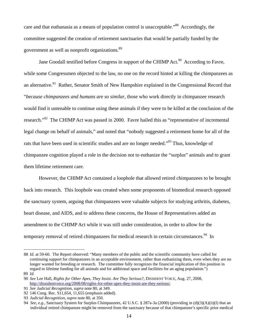care and that euthanasia as a means of population control is unacceptable.<sup>88</sup> Accordingly, the committee suggested the creation of retirement sanctuaries that would be partially funded by the government as well as nonprofit organizations.<sup>89</sup>

Jane Goodall testified before Congress in support of the CHIMP Act.<sup>90</sup> According to Favre, while some Congressmen objected to the law, no one on the record hinted at killing the chimpanzees as an alternative.<sup>91</sup> Rather, Senator Smith of New Hampshire explained in the Congressional Record that "*because chimpanzees and humans are so similar*, those who work directly in chimpanzee research would find it untenable to continue using these animals if they were to be killed at the conclusion of the research."92 The CHIMP Act was passed in 2000. Favre hailed this as "representative of incremental legal change on behalf of animals," and noted that "nobody suggested a retirement home for all of the rats that have been used in scientific studies and are no longer needed."<sup>93</sup> Thus, knowledge of chimpanzee cognition played a role in the decision not to euthanize the "surplus" animals and to grant them lifetime retirement care.

 However, the CHIMP Act contained a loophole that allowed retired chimpanzees to be brought back into research. This loophole was created when some proponents of biomedical research opposed the sanctuary system, arguing that chimpanzees were valuable subjects for studying arthritis, diabetes, heart disease, and AIDS, and to address these concerns, the House of Representatives added an amendment to the CHIMP Act while it was still under consideration, in order to allow for the temporary removal of retired chimpanzees for medical research in certain circumstances.<sup>94</sup> In

<sup>88</sup> *Id*. at 59-60. The Report observed: "Many members of the public and the scientific community have called for continuing support for chimpanzees in an acceptable environment, rather than euthanizing them, even when they are no longer wanted for breeding or research. The committee fully recognizes the financial implication of this position in regard to lifetime funding for all animals and for additional space and facilities for an aging population.")

<sup>89</sup> *Id.*

<sup>90</sup> *See* Lee Hall, *Rights for Other Apes, They Insist. Are They Serious?,* DISSIDENT VOICE, Aug. 27, 2008, http://dissidentvoice.org/2008/08/rights-for-other-apes-they-insist-are-they-serious/.

<sup>91</sup> *See Judicial Recognition, supra* note 80, at 349.

<sup>92 146</sup> Cong. Rec. S11,654, 11,655 (emphasis added).

<sup>93</sup> *Judicial Recognition*, *supra* note 80, at 350.

<sup>94</sup> *See*, *e.g.*, Sanctuary System for Surplus Chimpanzees, 42 U.S.C. § 287a-3a (2000) (providing in (d)(3)(A)(ii)(I) that an individual retired chimpanzee might be removed from the sanctuary because of that chimpanzee's specific prior medical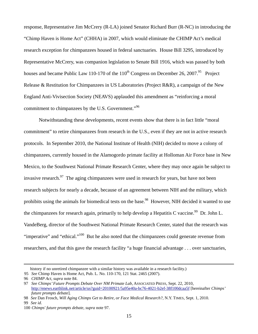response, Representative Jim McCrery (R-LA) joined Senator Richard Burr (R-NC) in introducing the "Chimp Haven is Home Act" (CHHA) in 2007, which would eliminate the CHIMP Act's medical research exception for chimpanzees housed in federal sanctuaries. House Bill 3295, introduced by Representative McCrery, was companion legislation to Senate Bill 1916, which was passed by both houses and became Public Law 110-170 of the  $110^{th}$  Congress on December 26, 2007.<sup>95</sup> Project Release & Restitution for Chimpanzees in US Laboratories (Project R&R), a campaign of the New England Anti-Vivisection Society (NEAVS) applauded this amendment as "reinforcing a moral commitment to chimpanzees by the U.S. Government."<sup>96</sup>

 Notwithstanding these developments, recent events show that there is in fact little "moral commitment" to retire chimpanzees from research in the U.S., even if they are not in active research protocols. In September 2010, the National Institute of Health (NIH) decided to move a colony of chimpanzees, currently housed in the Alamogordo primate facility at Holloman Air Force base in New Mexico, to the Southwest National Primate Research Center, where they may once again be subject to invasive research. $97$  The aging chimpanzees were used in research for years, but have not been research subjects for nearly a decade, because of an agreement between NIH and the military, which prohibits using the animals for biomedical tests on the base.<sup>98</sup> However, NIH decided it wanted to use the chimpanzees for research again, primarily to help develop a Hepatitis C vaccine.<sup>99</sup> Dr. John L. VandeBerg, director of the Southwest National Primate Research Center, stated that the research was "imperative" and "ethical."<sup>100</sup> But he also noted that the chimpanzees could generate revenue from researchers, and that this gave the research facility "a huge financial advantage . . . over sanctuaries,

99 *See id*.

history if no unretired chimpanzee with a similar history was available in a research facility.)

<sup>95</sup> *See* Chimp Haven is Home Act, Pub. L. No. 110-170, 121 Stat. 2465 (2007).

<sup>96</sup> *CHIMP Act*, *supra* note 84.

<sup>97</sup> *See Chimps' Future Prompts Debate Over NM Primate Lab*, ASSOCIATED PRESS, Sept. 22, 2010, http://enews.earthlink.net/article/us?guid=20100921/5a95e40a-bc76-4021-b2ef-38f100dcaa5f [hereinafter *Chimps' future prompts debate*].

<sup>98</sup> *See* Dan Frosch, *Will Aging Chimps Get to Retire, or Face Medical Research?,* N.Y. TIMES, Sept. 1, 2010.

<sup>100</sup> *Chimps' future prompts debate*, *supra* note 97.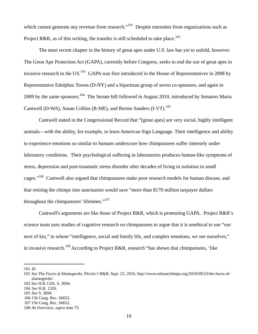which cannot generate any revenue from research."<sup>101</sup> Despite entreaties from organizations such as Project R&R, as of this writing, the transfer is still scheduled to take place.<sup>102</sup>

 The most recent chapter in the history of great apes under U.S. law has yet to unfold, however. The Great Ape Protection Act (GAPA), currently before Congress, seeks to end the use of great apes in invasive research in the US.<sup>103</sup> GAPA was first introduced in the House of Representatives in 2008 by Representative Edolphus Towns (D-NY) and a bipartisan group of seven co-sponsors, and again in 2009 by the same sponsors.<sup>104</sup> The Senate bill followed in August 2010, introduced by Senators Maria Cantwell (D-WA), Susan Collins (R-ME), and Bernie Sanders (I-VT).<sup>105</sup>

 Cantwell stated in the Congressional Record that "[great apes] are very social, highly intelligent animals—with the ability, for example, to learn American Sign Language. Their intelligence and ability to experience emotions so similar to humans underscore how chimpanzees suffer intensely under laboratory conditions. Their psychological suffering in laboratories produces human-like symptoms of stress, depression and post-traumatic stress disorder after decades of living in isolation in small cages."<sup>106</sup> Cantwell also argued that chimpanzees make poor research models for human disease, and that retiring the chimps into sanctuaries would save "more than \$170 million taxpayer dollars throughout the chimpanzees' lifetimes."<sup>107</sup>

 Cantwell's arguments are like those of Project R&R, which is promoting GAPA. Project R&R's science team uses studies of cognitive research on chimpanzees to argue that it is unethical to use "our next of kin," in whose "intelligence, social and family life, and complex emotions, we see ourselves," in invasive research.<sup>108</sup> According to Project R&R, research "has shown that chimpanzees, 'like

101 *Id*.

<sup>102</sup> *See The Faces of Alamogordo*, PROJECT R&R, Sept. 23, 2010, http://www.releasechimps.org/2010/09/23/the-faces-ofalamogordo/.

<sup>103</sup> *See* H.R.1326, S. 3694.

<sup>104</sup> *See* H.R. 1326.

<sup>105</sup> *See* S. 3694.

<sup>106 156</sup> Cong. Rec. S6652.

<sup>107 156</sup> Cong. Rec. S6652.

<sup>108</sup> *An Overview*, *supra* note 75.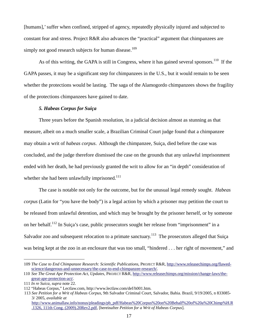[humans],' suffer when confined, stripped of agency, repeatedly physically injured and subjected to constant fear and stress. Project R&R also advances the "practical" argument that chimpanzees are simply not good research subjects for human disease.<sup>109</sup>

As of this writing, the GAPA is still in Congress, where it has gained several sponsors.<sup>110</sup> If the GAPA passes, it may be a significant step for chimpanzees in the U.S., but it would remain to be seen whether the protections would be lasting. The saga of the Alamogordo chimpanzees shows the fragility of the protections chimpanzees have gained to date.

# *5. Habeas Corpus for Suiça*

 Three years before the Spanish resolution, in a judicial decision almost as stunning as that measure, albeit on a much smaller scale, a Brazilian Criminal Court judge found that a chimpanzee may obtain a writ of *habeas corpus*. Although the chimpanzee, Suiça, died before the case was concluded, and the judge therefore dismissed the case on the grounds that any unlawful imprisonment ended with her death, he had previously granted the writ to allow for an "in depth" consideration of whether she had been unlawfully imprisoned. $111$ 

 The case is notable not only for the outcome, but for the unusual legal remedy sought. *Habeas corpus* (Latin for "you have the body") is a legal action by which a prisoner may petition the court to be released from unlawful detention, and which may be brought by the prisoner herself, or by someone on her behalf.112 In Suiça's case, public prosecutors sought her release from "imprisonment" in a Salvador zoo and subsequent relocation to a primate sanctuary.<sup>113</sup> The prosecutors alleged that Suiça was being kept at the zoo in an enclosure that was too small, "hindered . . . her right of movement," and

<sup>109</sup> *The Case to End Chimpanzee Research: Scientific Publications*, PROJECT R&R, http://www.releasechimps.org/flawedscience/dangerous-and-unnecessary/the-case-to-end-chimpanzee-research/.

<sup>110</sup> *See The Great Ape Protection Act, Updates*, PROJECT R&R, http://www.releasechimps.org/mission/change-laws/thegreat-ape-protection-act/.

<sup>111</sup> *In re Suica*, *supra* note 22.

<sup>112 &</sup>quot;Habeas Corpus," Lectlaw.com, http://www.lectlaw.com/def/h001.htm.

<sup>113</sup> *See Petition for a Writ of Habeas Corpus*, 9th Salvador Criminal Court, Salvador, Bahia. Brazil, 9/19/2005, n 833085- 3/ 2005, *available at*  http://www.animallaw.info/nonus/pleadings/pb\_pdf/Habeas%20Corpus%20on%20Behalf%20of%20a%20Chimp%H.R

<sup>.1326, 111</sup>th Cong. (2009).20Rev2.pdf, [hereinafter *Petition for a Writ of Habeas Corpus*].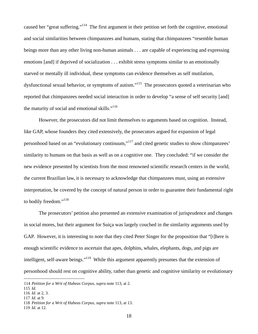caused her "great suffering."114 The first argument in their petition set forth the cognitive, emotional and social similarities between chimpanzees and humans, stating that chimpanzees "resemble human beings more than any other living non-human animals . . . are capable of experiencing and expressing emotions [and] if deprived of socialization . . . exhibit stress symptoms similar to an emotionally starved or mentally ill individual, these symptoms can evidence themselves as self mutilation, dysfunctional sexual behavior, or symptoms of autism."<sup>115</sup> The prosecutors quoted a veterinarian who reported that chimpanzees needed social interaction in order to develop "a sense of self security [and] the maturity of social and emotional skills."<sup>116</sup>

 However, the prosecutors did not limit themselves to arguments based on cognition. Instead, like GAP, whose founders they cited extensively, the prosecutors argued for expansion of legal personhood based on an "evolutionary continuum,"<sup>117</sup> and cited genetic studies to show chimpanzees' similarity to humans on that basis as well as on a cognitive one. They concluded: "if we consider the new evidence presented by scientists from the most renowned scientific research centers in the world, the current Brazilian law, it is necessary to acknowledge that chimpanzees must, using an extensive interpretation, be covered by the concept of natural person in order to guarantee their fundamental right to bodily freedom."<sup>118</sup>

 The prosecutors' petition also presented an extensive examination of jurisprudence and changes in social mores, but their argument for Suiça was largely couched in the similarity arguments used by GAP. However, it is interesting to note that they cited Peter Singer for the proposition that "[t]here is enough scientific evidence to ascertain that apes, dolphins, whales, elephants, dogs, and pigs are intelligent, self-aware beings."<sup>119</sup> While this argument apparently presumes that the extension of personhood should rest on cognitive ability, rather than genetic and cognitive similarity or evolutionary

<sup>114</sup> *Petition for a Writ of Habeas Corpus, supra* note 113, at 2.

<sup>115</sup> *Id.*

<sup>116</sup> *Id*. at 2, 3.

<sup>117</sup> *Id*. at 9.

<sup>118</sup> *Petition for a Writ of Habeas Corpus, supra* note 113, at 13.

<sup>119</sup> *Id*. at 12.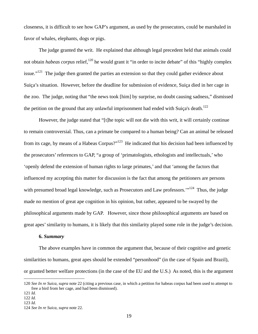closeness, it is difficult to see how GAP's argument, as used by the prosecutors, could be marshaled in favor of whales, elephants, dogs or pigs.

 The judge granted the writ. He explained that although legal precedent held that animals could not obtain *habeas corpus* relief,<sup>120</sup> he would grant it "in order to incite debate" of this "highly complex" issue."<sup>121</sup> The judge then granted the parties an extension so that they could gather evidence about Suiça's situation. However, before the deadline for submission of evidence, Suiça died in her cage in the zoo. The judge, noting that "the news took [him] by surprise, no doubt causing sadness," dismissed the petition on the ground that any unlawful imprisonment had ended with Suiça's death.<sup>122</sup>

 However, the judge stated that "[t]he topic will not die with this writ, it will certainly continue to remain controversial. Thus, can a primate be compared to a human being? Can an animal be released from its cage, by means of a Habeas Corpus?"<sup>123</sup> He indicated that his decision had been influenced by the prosecutors' references to GAP, "a group of 'primatologists, ethologists and intellectuals,' who 'openly defend the extension of human rights to large primates,' and that 'among the factors that influenced my accepting this matter for discussion is the fact that among the petitioners are persons with presumed broad legal knowledge, such as Prosecutors and Law professors."<sup>124</sup> Thus, the judge made no mention of great ape cognition in his opinion, but rather, appeared to be swayed by the philosophical arguments made by GAP. However, since those philosophical arguments are based on great apes' similarity to humans, it is likely that this similarity played some role in the judge's decision.

# **6.** *Summary*

The above examples have in common the argument that, because of their cognitive and genetic similarities to humans, great apes should be extended "personhood" (in the case of Spain and Brazil), or granted better welfare protections (in the case of the EU and the U.S.) As noted, this is the argument

<sup>120</sup> *See In re Suica*, *supra* note 22 (citing a previous case, in which a petition for habeas corpus had been used to attempt to free a bird from her cage, and had been dismissed).

<sup>121</sup> *Id.*

<sup>122</sup> *Id.* 

<sup>123</sup> *Id*.

<sup>124</sup> *See In re Suica*, *supra* note 22.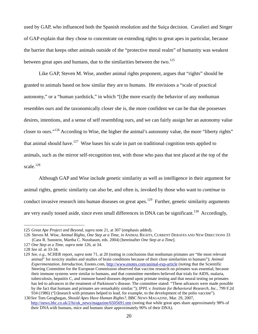used by GAP, who influenced both the Spanish resolution and the Suiça decision. Cavalieri and Singer of GAP explain that they chose to concentrate on extending rights to great apes in particular, because the barrier that keeps other animals outside of the "protective moral realm" of humanity was weakest between great apes and humans, due to the similarities between the two.<sup>125</sup>

 Like GAP, Steven M. Wise, another animal rights proponent, argues that "rights" should be granted to animals based on how similar they are to humans. He envisions a "scale of practical autonomy," or a "human yardstick," in which "[t]he more exactly the behavior of any nonhuman resembles ours and the taxonomically closer she is, the more confident we can be that she possesses desires, intentions, and a sense of self resembling ours, and we can fairly assign her an autonomy value closer to ours."126 According to Wise, the higher the animal's autonomy value, the more "liberty rights" that animal should have.<sup>127</sup> Wise bases his scale in part on traditional cognition tests applied to animals, such as the mirror self-recognition test, with those who pass that test placed at the top of the scale.<sup>128</sup>

 Although GAP and Wise include genetic similarity as well as intelligence in their argument for animal rights, genetic similarity can also be, and often is, invoked by those who want to *continue* to conduct invasive research into human diseases on great apes.<sup>129</sup> Further, genetic similarity arguments are very easily tossed aside, since even small differences in DNA can be significant.<sup>130</sup> Accordingly,

<sup>125</sup> *Great Ape Project and Beyond*, *supra* note 21, at 307 (emphasis added).

<sup>126</sup> Steven M. Wise, *Animal Rights, One Step at a Time*, *in* ANIMAL RIGHTS, CURRENT DEBATES AND NEW DIRECTIONS 33 (Cass R. Sunstein, Martha C. Nussbaum, eds. 2004) [hereinafter *One Step at a Time*].

<sup>127</sup> *One Step at a Time*, *supra* note 126, at 34.

<sup>128</sup> *See id*. at 33-34.

<sup>129</sup> *See*, *e.g.*, SCHER report, *supra* note 71, at 20 (noting in conclusions that nonhuman primates are "the most relevant animal" for toxicity studies and studies of brain conditions because of their close similarities to humans"); *Animal Experimentation, Introduction*, Enotes.com, http://www.enotes.com/animal-exp-article (noting that the Scientific Steering Committee for the European Commission observed that vaccine research on primates was essential, because their immune systems were similar to humans, and that committee members believed that trials for AIDS, malaria, tuberculosis, hepatitis C, and immune based diseases depend upon primate testing and that neural testing on primates has led to advances in the treatment of Parkinson's disease. The committee stated: "These advances were made possible by the fact that humans and primates are remarkably similar."); *IPPL v. Institute for Behavioral Research, Inc.*, 799 F.2d 934 (1986) ("[r]esearch with primates helped to lead, for example, to the development of the polio vaccine").

<sup>130</sup> *See* Tom Geoghegan, *Should Apes Have Human Rights?*, BBC NEWS MAGAZINE, Mar. 29, 2007, http://news.bbc.co.uk/2/hi/uk\_news/magazine/6505691.stm (noting that while great apes share approximately 98% of their DNA with humans, mice and humans share approximately 90% of their DNA).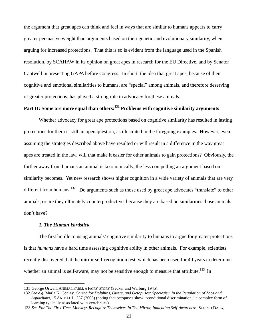the argument that great apes can think and feel in ways that are similar to humans appears to carry greater persuasive weight than arguments based on their genetic and evolutionary similarity, when arguing for increased protections. That this is so is evident from the language used in the Spanish resolution, by SCAHAW in its opinion on great apes in research for the EU Directive, and by Senator Cantwell in presenting GAPA before Congress. In short, the idea that great apes, because of their cognitive and emotional similarities to humans, are "special" among animals, and therefore deserving of greater protections, has played a strong role in advocacy for these animals.

# Part II: Some are more equal than others:<sup>131</sup> Problems with cognitive similarity arguments

 Whether advocacy for great ape protections based on cognitive similarity has resulted in lasting protections for them is still an open question, as illustrated in the foregoing examples. However, even assuming the strategies described above have resulted or will result in a difference in the way great apes are treated in the law, will that make it easier for other animals to gain protections? Obviously, the further away from humans an animal is taxonomically, the less compelling an argument based on similarity becomes. Yet new research shows higher cognition in a wide variety of animals that are very different from humans.<sup>132</sup> Do arguments such as those used by great ape advocates "translate" to other animals, or are they ultimately counterproductive, because they are based on similarities those animals don't have?

#### *1. The Human Yardstick*

 $\overline{a}$ 

 The first hurdle to using animals' cognitive similarity to humans to argue for greater protections is that *humans* have a hard time assessing cognitive ability in other animals. For example, scientists recently discovered that the mirror self-recognition test, which has been used for 40 years to determine whether an animal is self-aware, may not be sensitive enough to measure that attribute.<sup>133</sup> In

<sup>131</sup> George Orwell, ANIMAL FARM, A FAIRY STORY (Secker and Warburg 1945).

<sup>132</sup> *See e.g.* Marla K. Conley, *Caring for Dolphins, Otters, and Octopuses: Speciesism in the Regulation of Zoos and Aquariums*, 15 ANIMAL L. 237 (2008) (noting that octopuses show "conditional discrimination," a complex form of learning typically associated with vertebrates).

<sup>133</sup> *See For The First Time, Monkeys Recognize Themselves In The Mirror, Indicating Self-Awareness*, SCIENCEDAILY,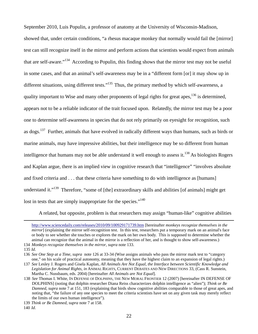September 2010, Luis Populin, a professor of anatomy at the University of Wisconsin-Madison, showed that, under certain conditions, "a rhesus macaque monkey that normally would fail the [mirror] test can still recognize itself in the mirror and perform actions that scientists would expect from animals that are self-aware."134 According to Populin, this finding shows that the mirror test may not be useful in some cases, and that an animal's self-awareness may be in a "different form [or] it may show up in different situations, using different tests."<sup>135</sup> Thus, the primary method by which self-awareness, a quality important to Wise and many other proponents of legal rights for great apes,  $^{136}$  is determined, appears not to be a reliable indicator of the trait focused upon. Relatedly, the mirror test may be a poor one to determine self-awareness in species that do not rely primarily on eyesight for recognition, such as dogs.<sup>137</sup> Further, animals that have evolved in radically different ways than humans, such as birds or marine animals, may have impressive abilities, but their intelligence may be so different from human intelligence that humans may not be able understand it well enough to assess it.<sup>138</sup> As biologists Rogers and Kaplan argue, there is an implied view in cognitive research that "intelligence" "involves absolute and fixed criteria and . . . that these criteria have something to do with intelligence as [humans] understand it."<sup>139</sup> Therefore, "some of [the] extraordinary skills and abilities [of animals] might get lost in tests that are simply inappropriate for the species."<sup>140</sup>

A related, but opposite, problem is that researchers may assign "human-like" cognitive abilities

http://www.sciencedaily.com/releases/2010/09/100929171739.htm [hereinafter *monkeys recognize themselves in the mirror*] (explaining the mirror self-recognition test. In this test, researchers put a temporary mark on an animal's face or body to see whether she touches or explores the mark on her own body. This is supposed to determine whether the animal can recognize that the animal in the mirror is a reflection of her, and is thought to show self-awareness.)

<sup>134</sup> *Monkeys recognize themselves in the mirror*, *supra* note 133.

<sup>135</sup> *Id*.

<sup>136</sup> *See One Step at a Time*, *supra* note 126 at 33-34 (Wise assigns animals who pass the mirror mark test to "category one," on his scale of practical autonomy, meaning that they have the highest claim to an expansion of legal rights.)

<sup>137</sup> *See* Lesley J. Rogers and Gisela Kaplan, *All Animals Are Not Equal, the Interface between Scientific Knowledge and Legislation for Animal Rights, in* ANIMAL RIGHTS, CURRENT DEBATES AND NEW DIRECTIONS 33, (Cass R. Sunstein, Martha C. Nussbaum, eds. 2004) [hereinafter *All Animals are Not Equal*].

<sup>138</sup> *See* Thomas I. White, IN DEFENSE OF DOLPHINS, THE NEW MORAL FRONTIER 12 (2007) [hereinafter IN DEFENSE OF DOLPHINS] (noting that dolphin researcher Diana Reiss characterizes dolphin intelligence as "alien"); *Think or Be Damned*, *supra* note 7 at 151, 183 (explaining that birds show cognitive abilities comparable to those of great apes, and noting that, "the failure of any one species to meet the criteria scientists have set on any given task may merely reflect the limits of our own human intelligence").

<sup>139</sup> *Think or Be Damned*, *supra* note 7 at 158.

<sup>140</sup> *Id*.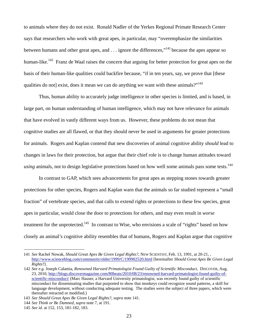to animals where they do not exist. Ronald Nadler of the Yerkes Regional Primate Research Center says that researchers who work with great apes, in particular, may "overemphasize the similarities between humans and other great apes, and  $\ldots$  ignore the differences,"<sup>141</sup> because the apes appear so human-like.<sup>142</sup> Franz de Waal raises the concern that arguing for better protection for great apes on the basis of their human-like qualities could backfire because, "if in ten years, say, we prove that [these qualities do not] exist, does it mean we can do anything we want with these animals?"<sup>143</sup>

 Thus, human ability to accurately judge intelligence in other species is limited, and is based, in large part, on human understanding of human intelligence, which may not have relevance for animals that have evolved in vastly different ways from us. However, these problems do not mean that cognitive studies are all flawed, or that they should never be used in arguments for greater protections for animals. Rogers and Kaplan contend that new discoveries of animal cognitive ability *should* lead to changes in laws for their protection, but argue that their chief role is to change human attitudes toward *using* animals, not to design legislative protections based on how well some animals pass some tests.<sup>144</sup>

 In contrast to GAP, which sees advancements for great apes as stepping stones towards greater protections for other species, Rogers and Kaplan warn that the animals so far studied represent a "small fraction" of vertebrate species, and that calls to extend rights or protections to these few species, great apes in particular, would close the door to protections for others, and may even result in *worse* treatment for the unprotected.<sup>145</sup> In contrast to Wise, who envisions a scale of "rights" based on how closely an animal's cognitive ability resembles that of humans, Rogers and Kaplan argue that cognitive

<sup>141</sup> *See* Rachel Nowak, *Should Great Apes Be Given Legal Rights?*, NEW SCIENTIST, Feb. 13, 1991, at 20-21, , http://www.scienceblog.com/community/older/1999/C/199902520.html [hereinafter *Should Great Apes Be Given Legal Rights*?].

<sup>142</sup> *See e.g.* Joseph Calamia, *Renowned Harvard Primatologist Found Guilty of Scientific Misconduct*, DISCOVER, Aug. 23, 2010, http://blogs.discovermagazine.com/80beats/2010/08/23/renowned-harvard-primatologist-found-guilty-ofscientific-misconduct/ (Marc Hauser, a Harvard University primatologist, was recently found guilty of scientific misconduct for disseminating studies that purported to show that monkeys could recognize sound patterns, a skill for language development, without conducting adequate testing. The studies were the subject of three papers, which were thereafter retracted or modified.)

<sup>143</sup> *See Should Great Apes Be Given Legal Rights?, supra* note 141.

<sup>144</sup> *See Think or Be Damned*, *supra* note 7, at 191.

<sup>145</sup> *See id*. at 152, 153, 181-182, 183.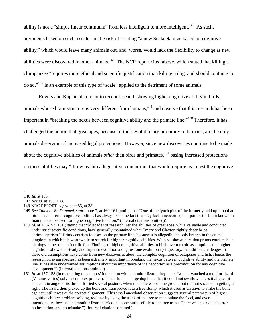ability is not a "simple linear continuum" from less intelligent to more intelligent.<sup>146</sup> As such, arguments based on such a scale run the risk of creating "a new Scala Naturae based on cognitive ability," which would leave many animals out, and, worse, would lack the flexibility to change as new abilities were discovered in other animals.<sup>147</sup> The NCR report cited above, which stated that killing a chimpanzee "requires more ethical and scientific justification than killing a dog, and should continue to do so,"148 is an example of this type of "scale" applied to the detriment of some animals.

 Rogers and Kaplan also point to recent research showing higher cognitive ability in birds, animals whose brain structure is very different from humans,<sup>149</sup> and observe that this research has been important in "breaking the nexus between cognitive ability and the primate line."150 Therefore, it has challenged the notion that great apes, because of their evolutionary proximity to humans, are the only animals deserving of increased legal protections. However, since new discoveries continue to be made about the cognitive abilities of animals *other* than birds and primates,<sup>151</sup> basing increased protections on these abilities may "throw us into a legislative conundrum that would require us to test the cognitive

<sup>146</sup> *Id*. at 183.

<sup>147</sup> *See id.* at 153, 183.

<sup>148</sup> NRC REPORT, *supra* note 85, at 38.

<sup>149</sup> *See Think or Be Damned, supra* note 7, at 160-161 (noting that "One of the lynch pins of the formerly held opinion that birds have inferior cognitive abilities has always been the fact that they lack a neocortex, that part of the brain known in mammals to be used for higher cognitive function." (internal citations omitted)).

<sup>150</sup> *Id*. at 156-157, 181 (stating that "[d]ecades of research into the abilities of great apes, while valuable and conducted under strict scientific conditions, have generally maintained what Emery and Clayton rightly describe as "primocentrism." Primocentrism focuses on the primate line, because it is allegedly the only branch in the animal kingdom in which it is worthwhile to search for higher cognitive abilities. We have shown here that primocentrism is an ideology rather than scientific fact. Findings of higher cognitive abilities in birds overturn old assumptions that higher cognition followed a steady and superior evolution along just one evolutionary trajectory. In addition, challenges to these old assumptions have come from new discoveries about the complex cognition of octopuses and fish. Hence, the research on avian species has been extremely important in breaking the nexus between cognitive ability and the primate line. It has also undermined assumptions about the importance of the neocortex as a precondition for any cognitive development.") (Internal citations omitted.)

<sup>151</sup> *Id.* at 157-158 (in recounting the authors' interaction with a monitor lizard, they state: "we . . . watched a monitor lizard (Varanus varius) solve a complex problem. It had found a large dog bone that it could not swallow unless it aligned it at a certain angle to its throat. It tried several postures when the bone was on the ground but did not succeed in getting it right. The lizard then picked up the bone and transported it to a tree stump, which it used as an anvil to strike the bone against until it was at the correct alignment. This small anecdotal observation suggests several parameters of higher cognitive ability: problem solving, tool use by using the trunk of the tree to manipulate the food, and even intentionality, because the monitor lizard carried the bone purposefully to the tree trunk. There was no trial and error, no hesitation, and no mistake.") (Internal citations omitted.)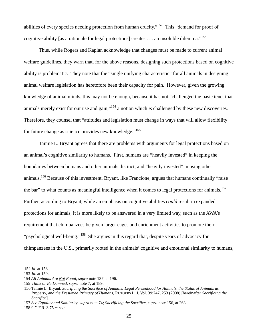abilities of every species needing protection from human cruelty."<sup>152</sup> This "demand for proof of cognitive ability [as a rationale for legal protections] creates  $\dots$  an insoluble dilemma."<sup>153</sup>

 Thus, while Rogers and Kaplan acknowledge that changes must be made to current animal welfare guidelines, they warn that, for the above reasons, designing such protections based on cognitive ability is problematic. They note that the "single unifying characteristic" for all animals in designing animal welfare legislation has heretofore been their capacity for pain. However, given the growing knowledge of animal minds, this may not be enough, because it has not "challenged the basic tenet that animals merely exist for our use and gain,"154 a notion which *is* challenged by these new discoveries. Therefore, they counsel that "attitudes and legislation must change in ways that will allow flexibility for future change as science provides new knowledge."<sup>155</sup>

 Taimie L. Bryant agrees that there are problems with arguments for legal protections based on an animal's cognitive similarity to humans. First, humans are "heavily invested" in keeping the boundaries between humans and other animals distinct, and "heavily invested" in using other animals.<sup>156</sup> Because of this investment, Bryant, like Francione, argues that humans continually "raise" the bar" to what counts as meaningful intelligence when it comes to legal protections for animals.<sup>157</sup> Further, according to Bryant, while an emphasis on cognitive abilities *could* result in expanded protections for animals, it is more likely to be answered in a very limited way, such as the AWA's requirement that chimpanzees be given larger cages and enrichment activities to promote their "psychological well-being."158 She argues in this regard that, despite years of advocacy for chimpanzees in the U.S., primarily rooted in the animals' cognitive and emotional similarity to humans,

<sup>152</sup> *Id*. at 158.

<sup>153</sup> *Id*. at 159.

<sup>154</sup> *All Animals Are Not Equal*, *supra* note 137, at 196.

<sup>155</sup> *Think or Be Damned*, *supra* note 7, at 189.

<sup>156</sup> Taimie L. Bryant, *Sacrificing the Sacrifice of Animals: Legal Personhood for Animals, the Status of Animals as Property, and the Presumed Primacy of Humans*, RUTGERS L. J. Vol. 39:247, 253 (2008) [hereinafter *Sacrificing the Sacrifice*].

<sup>157</sup> *See Equality and Similarity*, *supra* note 74; *Sacrificing the Sacrifice*, *supra* note 156, at 263.

<sup>158 9</sup> C.F.R. 3.75 *et seq*.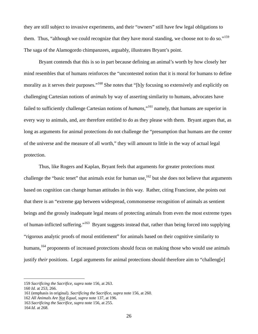they are still subject to invasive experiments, and their "owners" still have few legal obligations to them. Thus, "although we could recognize that they have moral standing, we choose not to do so."<sup>159</sup> The saga of the Alamogordo chimpanzees, arguably, illustrates Bryant's point.

 Bryant contends that this is so in part because defining an animal's worth by how closely her mind resembles that of humans reinforces the "uncontested notion that it is moral for humans to define morality as it serves their purposes."<sup>160</sup> She notes that "[b]y focusing so extensively and explicitly on challenging Cartesian notions of *animals* by way of asserting similarity to humans, advocates have failed to sufficiently challenge Cartesian notions of *humans*,"<sup>161</sup> namely, that humans are superior in every way to animals, and, are therefore entitled to do as they please with them. Bryant argues that, as long as arguments for animal protections do not challenge the "presumption that humans are the center of the universe and the measure of all worth," they will amount to little in the way of actual legal protection.

 Thus, like Rogers and Kaplan, Bryant feels that arguments for greater protections must challenge the "basic tenet" that animals exist for human use,<sup>162</sup> but she does not believe that arguments based on cognition can change human attitudes in this way. Rather, citing Francione, she points out that there is an "extreme gap between widespread, commonsense recognition of animals as sentient beings and the grossly inadequate legal means of protecting animals from even the most extreme types of human-inflicted suffering."163 Bryant suggests instead that, rather than being forced into supplying "rigorous analytic proofs of moral entitlement" for animals based on their cognitive similarity to humans,<sup>164</sup> proponents of increased protections should focus on making those who would use animals justify *their* positions. Legal arguments for animal protections should therefore aim to "challeng[e]

<sup>159</sup> *Sacrificing the Sacrifice*, *supra* note 156, at 263.

<sup>160</sup> *Id*. at 253, 266.

<sup>161 (</sup>emphasis in original). *Sacrificing the Sacrifice*, *supra* note 156, at 260.

<sup>162</sup> *All Animals Are Not Equal*, *supra* note 137, at 196.

<sup>163</sup> *Sacrificing the Sacrifice*, *supra* note 156, at 255.

<sup>164</sup> *Id*. at 268.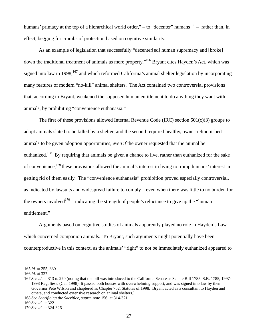humans' primacy at the top of a hierarchical world order," – to "decenter" humans<sup>165</sup> – rather than, in effect, begging for crumbs of protection based on cognitive similarity.

 As an example of legislation that successfully "decenter[ed] human supremacy and [broke] down the traditional treatment of animals as mere property,"166 Bryant cites Hayden's Act, which was signed into law in 1998, $167$  and which reformed California's animal shelter legislation by incorporating many features of modern "no-kill" animal shelters. The Act contained two controversial provisions that, according to Bryant, weakened the supposed human entitlement to do anything they want with animals, by prohibiting "convenience euthanasia."

The first of these provisions allowed Internal Revenue Code (IRC) section  $501(c)(3)$  groups to adopt animals slated to be killed by a shelter, and the second required healthy, owner-relinquished animals to be given adoption opportunities, *even if* the owner requested that the animal be euthanized.<sup>168</sup> By requiring that animals be given a chance to live, rather than euthanized for the sake of convenience,<sup>169</sup> these provisions allowed the animal's interest in living to trump humans' interest in getting rid of them easily. The "convenience euthanasia" prohibition proved especially controversial, as indicated by lawsuits and widespread failure to comply—even when there was little to no burden for the owners involved<sup>170</sup>—indicating the strength of people's reluctance to give up the "human" entitlement."

 Arguments based on cognitive studies of animals apparently played no role in Hayden's Law, which concerned companion animals. To Bryant, such arguments might potentially have been counterproductive in this context, as the animals' "right" to not be immediately euthanized appeared to

<sup>165</sup> *Id*. at 255, 330.

<sup>166</sup> *Id*. at 327.

<sup>167</sup> *See id*. at 313 n. 270 (noting that the bill was introduced to the California Senate as Senate Bill 1785. S.B. 1785, 1997- 1998 Reg. Sess. (Cal. 1998). It passed both houses with overwhelming support, and was signed into law by then Governor Pete Wilson and chaptered as Chapter 752, Statutes of 1998. Bryant acted as a consultant to Hayden and others, and conducted extensive research on animal shelters.)

<sup>168</sup> *See Sacrificing the Sacrifice*, *supra* note 156, at 314-321.

<sup>169</sup> *See id*. at 322.

<sup>170</sup> *See id*. at 324-326.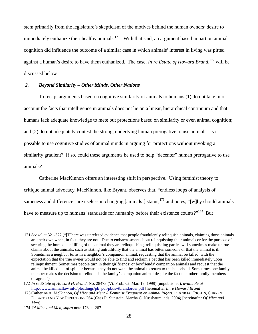stem primarily from the legislature's skepticism of the motives behind the human owners' desire to immediately euthanize their healthy animals.<sup>171</sup> With that said, an argument based in part on animal cognition did influence the outcome of a similar case in which animals' interest in living was pitted against a human's desire to have them euthanized. The case, *In re Estate of Howard Brand*, 172 will be discussed below.

#### *2. Beyond Similarity – Other Minds, Other Nations*

 To recap, arguments based on cognitive similarity of animals to humans (1) do not take into account the facts that intelligence in animals does not lie on a linear, hierarchical continuum and that humans lack adequate knowledge to mete out protections based on similarity or even animal cognition; and (2) do not adequately contest the strong, underlying human prerogative to use animals. Is it possible to use cognitive studies of animal minds in arguing for protections without invoking a similarity gradient? If so, could these arguments be used to help "decenter" human prerogative to use animals?

 Catherine MacKinnon offers an interesting shift in perspective. Using feminist theory to critique animal advocacy, MacKinnon, like Bryant, observes that, "endless loops of analysis of sameness and difference" are useless in changing [animals'] status, $^{173}$  and notes, "[w]hy should animals have to measure up to humans' standards for humanity before their existence counts?"<sup>174</sup> But

<sup>171</sup> *See id.* at 321-322 ("[T]here was unrefuted evidence that people fraudulently relinquish animals, claiming those animals are their own when, in fact, they are not. Due to embarrassment about relinquishing their animals or for the purpose of securing the immediate killing of the animal they are relinquishing, relinquishing parties will sometimes make untrue claims about the animals, such as stating untruthfully that the animal has bitten someone or that the animal is ill. Sometimes a neighbor turns in a neighbor's companion animal, requesting that the animal be killed, with the expectation that the true owner would not be able to find and reclaim a pet that has been killed immediately upon relinquishment. Sometimes people turn in their girlfriends' or boyfriends' companion animals and request that the animal be killed out of spite or because they do not want the animal to return to the household. Sometimes one family member makes the decision to relinquish the family's companion animal despite the fact that other family members disagree.")

<sup>172</sup> *In re Estate of Howard H. Brand*, No. 28473 (Vt. Prob. Ct. Mar. 17, 1999) (unpublished), *available at* http://www.animallaw.info/pleadings/pb\_pdf/pbusvtbrandorder.pdf [hereinafter *In re Howard Brand*].

<sup>173</sup> Catherine A. McKinnon, *Of Mice and Men: A Feminist Fragment on Animal Rights*, *in* ANIMAL RIGHTS, CURRENT DEBATES AND NEW DIRECTIONS 264 (Cass R. Sunstein, Martha C. Nussbaum, eds. 2004) [hereinafter *Of Mice and Men*].

<sup>174</sup> *Of Mice and Men*, *supra* note 173, at 267.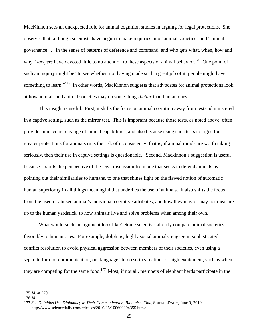MacKinnon sees an unexpected role for animal cognition studies in arguing for legal protections. She observes that, although scientists have begun to make inquiries into "animal societies" and "animal governance . . . in the sense of patterns of deference and command, and who gets what, when, how and why," *lawyers* have devoted little to no attention to these aspects of animal behavior.<sup>175</sup> One point of such an inquiry might be "to see whether, not having made such a great job of it, people might have something to learn."<sup>176</sup> In other words, MacKinnon suggests that advocates for animal protections look at how animals and animal societies may do some things *better* than human ones.

 This insight is useful. First, it shifts the focus on animal cognition away from tests administered in a captive setting, such as the mirror test. This is important because those tests, as noted above, often provide an inaccurate gauge of animal capabilities, and also because using such tests to argue for greater protections for animals runs the risk of inconsistency: that is, if animal minds are worth taking seriously, then their use in captive settings is questionable. Second, Mackinnon's suggestion is useful because it shifts the perspective of the legal discussion from one that seeks to defend animals by pointing out their similarities to humans, to one that shines light on the flawed notion of automatic human superiority in all things meaningful that underlies the use of animals. It also shifts the focus from the used or abused animal's individual cognitive attributes, and how they may or may not measure up to the human yardstick, to how animals live and solve problems when among their own.

 What would such an argument look like? Some scientists already compare animal societies favorably to human ones. For example, dolphins, highly social animals, engage in sophisticated conflict resolution to avoid physical aggression between members of their societies, even using a separate form of communication, or "language" to do so in situations of high excitement, such as when they are competing for the same food.<sup>177</sup> Most, if not all, members of elephant herds participate in the

<sup>175</sup> *Id*. at 270.

<sup>176</sup> *Id.* 

<sup>177</sup> *See Dolphins Use Diplomacy in Their Communication, Biologists Find*, SCIENCEDAILY, June 9, 2010, http://www.sciencedaily.com/releases/2010/06/100609094355.htm>.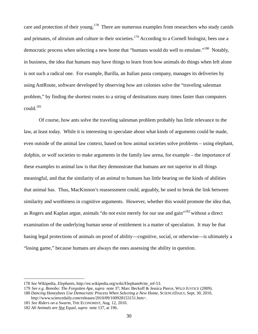care and protection of their young.<sup>178</sup> There are numerous examples from researchers who study canids and primates, of altruism and culture in their societies.<sup>179</sup> According to a Cornell biologist, bees use a democratic process when selecting a new home that "humans would do well to emulate."<sup>180</sup> Notably, in business, the idea that humans may have things to learn from how animals do things when left alone is not such a radical one. For example, Barilla, an Italian pasta company, manages its deliveries by using AntRoute, software developed by observing how ant colonies solve the "traveling salesman problem," by finding the shortest routes to a string of destinations many times faster than computers could.181

 Of course, how ants solve the traveling salesman problem probably has little relevance to the law, at least today. While it is interesting to speculate about what kinds of arguments could be made, even outside of the animal law context, based on how animal societies solve problems – using elephant, dolphin, or wolf societies to make arguments in the family law arena, for example – the importance of these examples to animal law is that they demonstrate that humans are not superior in all things meaningful, and that the similarity of an animal to humans has little bearing on the kinds of abilities that animal has. Thus, MacKinnon's reassessment could, arguably, be used to break the link between similarity and worthiness in cognitive arguments. However, whether this would promote the idea that, as Rogers and Kaplan argue, animals "do not exist merely for our use and gain"<sup>182</sup> without a direct examination of the underlying human sense of entitlement is a matter of speculation. It may be that basing legal protections of animals on proof of ability—cognitive, social, or otherwise—is ultimately a "losing game," because humans are always the ones assessing the ability in question.

<sup>178</sup> *See* Wikipedia, *Elephants,* http://en.wikipedia.org/wiki/Elephant#cite\_ref-53.

<sup>179</sup> *See e.g. Bonobo: The Forgotten Ape*, *supra* note 37; Marc Beckoff & Jessica Pierce, WILD JUSTICE (2009).

<sup>180</sup> *Dancing Honeybees Use Democratic Process When Selecting a New Home*, SCIENCEDAILY, Sept. 30, 2010, http://www.sciencedaily.com/releases/2010/09/100928153151.htm>.

<sup>181</sup> *See Riders on a Swarm*, THE ECONOMIST, Aug. 12, 2010.

<sup>182</sup> *All Animals are Not Equal*, *supra* note 137, at 196.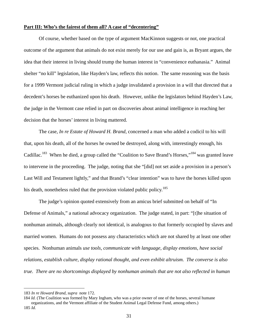#### **Part III: Who's the fairest of them all? A case of "decentering"**

 Of course, whether based on the type of argument MacKinnon suggests or not, one practical outcome of the argument that animals do not exist merely for our use and gain is, as Bryant argues, the idea that their interest in living should trump the human interest in "convenience euthanasia." Animal shelter "no kill" legislation, like Hayden's law, reflects this notion. The same reasoning was the basis for a 1999 Vermont judicial ruling in which a judge invalidated a provision in a will that directed that a decedent's horses be euthanized upon his death. However, unlike the legislators behind Hayden's Law, the judge in the Vermont case relied in part on discoveries about animal intelligence in reaching her decision that the horses' interest in living mattered.

 The case, *In re Estate of Howard H. Brand*, concerned a man who added a codicil to his will that, upon his death, all of the horses he owned be destroyed, along with, interestingly enough, his Cadillac.<sup>183</sup> When he died, a group called the "Coalition to Save Brand's Horses,"<sup>184</sup> was granted leave to intervene in the proceeding. The judge, noting that she "[did] not set aside a provision in a person's Last Will and Testament lightly," and that Brand's "clear intention" was to have the horses killed upon his death, nonetheless ruled that the provision violated public policy.<sup>185</sup>

 The judge's opinion quoted extensively from an amicus brief submitted on behalf of "In Defense of Animals," a national advocacy organization. The judge stated, in part: "[t]he situation of nonhuman animals, although clearly not identical, is analogous to that formerly occupied by slaves and married women. Humans do not possess any characteristics which are not shared by at least one other species. Nonhuman animals *use tools, communicate with language, display emotions, have social relations, establish culture, display rational thought, and even exhibit altruism. The converse is also true. There are no shortcomings displayed by nonhuman animals that are not also reflected in human* 

<sup>183</sup> *In re Howard Brand*, *supra* note 172.

<sup>184</sup> *Id.* (The Coalition was formed by Mary Ingham, who was a prior owner of one of the horses, several humane organizations, and the Vermont affiliate of the Student Animal Legal Defense Fund, among others.)

<sup>185</sup> *Id.*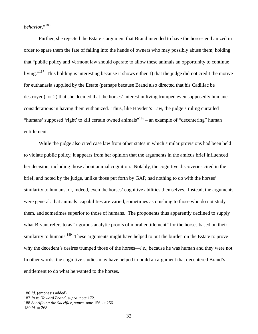# *behavior*."186

Further, she rejected the Estate's argument that Brand intended to have the horses euthanized in order to spare them the fate of falling into the hands of owners who may possibly abuse them, holding that "public policy and Vermont law should operate to allow these animals an opportunity to continue living."<sup>187</sup> This holding is interesting because it shows either 1) that the judge did not credit the motive for euthanasia supplied by the Estate (perhaps because Brand also directed that his Cadillac be destroyed), or 2) that she decided that the horses' interest in living trumped even supposedly humane considerations in having them euthanized. Thus, like Hayden's Law, the judge's ruling curtailed "humans' supposed 'right' to kill certain owned animals"<sup>188</sup> – an example of "decentering" human entitlement.

 While the judge also cited case law from other states in which similar provisions had been held to violate public policy, it appears from her opinion that the arguments in the amicus brief influenced her decision, including those about animal cognition. Notably, the cognitive discoveries cited in the brief, and noted by the judge, unlike those put forth by GAP, had nothing to do with the horses' similarity to humans, or, indeed, even the horses' cognitive abilities themselves. Instead, the arguments were general: that animals' capabilities are varied, sometimes astonishing to those who do not study them, and sometimes superior to those of humans. The proponents thus apparently declined to supply what Bryant refers to as "rigorous analytic proofs of moral entitlement" for the horses based on their similarity to humans.<sup>189</sup> These arguments might have helped to put the burden on the Estate to prove why the decedent's desires trumped those of the horses—*i.e.*, because he was human and they were not. In other words, the cognitive studies may have helped to build an argument that decentered Brand's entitlement to do what he wanted to the horses.

<sup>186</sup> *Id*. (emphasis added).

<sup>187</sup> *In re Howard Brand*, *supra* note 172.

<sup>188</sup> *Sacrificing the Sacrifice*, *supra* note 156, at 256.

<sup>189</sup> *Id.* at 268.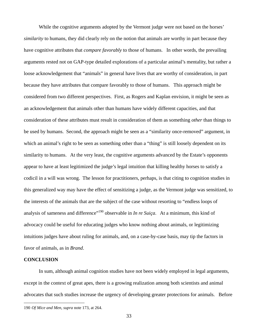While the cognitive arguments adopted by the Vermont judge were not based on the horses' *similarity* to humans, they did clearly rely on the notion that animals are worthy in part because they have cognitive attributes that *compare favorably* to those of humans. In other words, the prevailing arguments rested not on GAP-type detailed explorations of a particular animal's mentality, but rather a loose acknowledgement that "animals" in general have lives that are worthy of consideration, in part because they have attributes that compare favorably to those of humans. This approach might be considered from two different perspectives. First, as Rogers and Kaplan envision, it might be seen as an acknowledgement that animals other than humans have widely different capacities, and that consideration of these attributes must result in consideration of them as something *other* than things to be used by humans. Second, the approach might be seen as a "similarity once-removed" argument, in which an animal's right to be seen as something other than a "thing" is still loosely dependent on its similarity to humans. At the very least, the cognitive arguments advanced by the Estate's opponents appear to have at least legitimized the judge's legal intuition that killing healthy horses to satisfy a codicil in a will was wrong. The lesson for practitioners, perhaps, is that citing to cognition studies in this generalized way may have the effect of sensitizing a judge, as the Vermont judge was sensitized, to the interests of the animals that are the subject of the case without resorting to "endless loops of analysis of sameness and difference"<sup>190</sup> observable in *In re Suiça*. At a minimum, this kind of advocacy could be useful for educating judges who know nothing about animals, or legitimizing intuitions judges have about ruling for animals, and, on a case-by-case basis, may tip the factors in favor of animals, as in *Brand*.

# **CONCLUSION**

 $\overline{a}$ 

 In sum, although animal cognition studies have not been widely employed in legal arguments, except in the context of great apes, there is a growing realization among both scientists and animal advocates that such studies increase the urgency of developing greater protections for animals. Before

<sup>190</sup> *Of Mice and Men*, *supra* note 173, at 264.